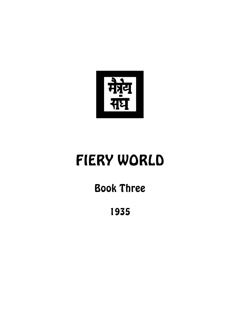

## FIERY WORLD<br>Book Three

1935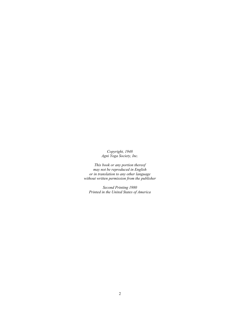*Copyright, 1948 Agni Yoga Society, Inc.*

*This book or any portion thereof may not be reproduced in English or in translation to any other language without written permission from the publisher*

*Second Printing 1980 Printed in the United States of America*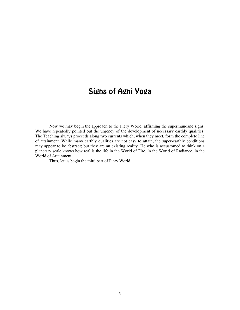## Signs of Agni Yoga

Now we may begin the approach to the Fiery World, affirming the supermundane signs. We have repeatedly pointed out the urgency of the development of necessary earthly qualities. The Teaching always proceeds along two currents which, when they meet, form the complete line of attainment. While many earthly qualities are not easy to attain, the super-earthly conditions may appear to be abstract; but they are an existing reality. He who is accustomed to think on a planetary scale knows how real is the life in the World of Fire, in the World of Radiance, in the World of Attainment.

Thus, let us begin the third part of Fiery World.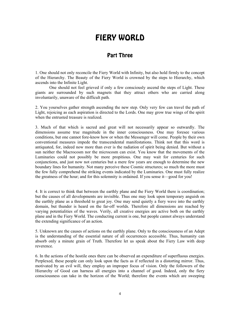## FIERY WORLD

## Part Three

1. One should not only reconcile the Fiery World with Infinity, but also hold firmly to the concept of the Hierarchy. The Beauty of the Fiery World is crowned by the steps to Hierarchy, which ascends into the Infinite Light.

 One should not feel grieved if only a few consciously ascend the steps of Light. These giants are surrounded by such magnets that they attract others who are carried along involuntarily, unaware of the difficult path.

2. You yourselves gather strength ascending the new step. Only very few can travel the path of Light, rejoicing as each aspiration is directed to the Lords. One may grow true wings of the spirit when the entrusted treasure is realized.

3. Much of that which is sacred and great will not necessarily appear so outwardly. The dimensions assume true magnitude in the inner consciousness. One may foresee various conditions, but one cannot fore-know how or when the Messenger will come. People by their own conventional measures impede the transcendental manifestations. Think not that this word is antiquated, for, indeed now more than ever is the radiation of spirit being denied. But without a sun neither the Macrocosm nor the microcosm can exist. You know that the movements of the Luminaries could not possibly be more propitious. One may wait for centuries for such conjunctions, and just now not centuries but a mere few years are enough to determine the new boundary lines for humanity. Not many perceive these Cosmic structures; so much the more must the few fully comprehend the striking events indicated by the Luminaries. One must fully realize the greatness of the hour; and for this solemnity is ordained. If you sense it—good for you!

4. It is correct to think that between the earthly plane and the Fiery World there is coordination; but the causes of all developments are invisible. Thus one may look upon temporary anguish on the earthly plane as a threshold to great joy. One may send quietly a fiery wave into the earthly domain, but thunder is heard on the far-off worlds. Therefore all dimensions are reached by varying potentialities of the waves. Verily, all creative energies are active both on the earthly plane and in the Fiery World. The conducting current is one, but people cannot always understand the extending significance of an action.

5. Unknown are the causes of actions on the earthly plane. Only to the consciousness of an Adept is the understanding of the essential nature of all occurrences accessible. Thus, humanity can absorb only a minute grain of Truth. Therefore let us speak about the Fiery Law with deep reverence.

6. In the actions of the hostile ones there can be observed an expenditure of superfluous energies. Perplexed, these people can only look upon the facts as if reflected in a distorting mirror. Thus, motivated by an evil will, they employ an improper focus of vision. Only the followers of the Hierarchy of Good can harness all energies into a channel of good. Indeed, only the fiery consciousness can take in the horizon of the World; therefore the events which are sweeping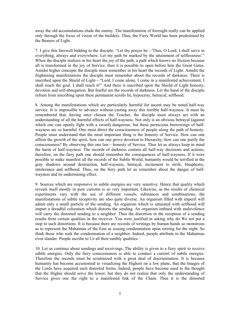away the old accumulations elude the enemy. The manifestation of foresight really can be applied only through the focus of vision of the builders. Thus, the Fiery World has been predestined by the Bearers of Light.

7. I give this farewell bidding to the disciple; "Let thy prayer be—'Thee, O Lord, I shall serve in everything, always and everywhere. Let my path be marked by the attainment of selflessness'." When the disciple realizes in his heart the joy of the path, a path which knows no friction because all is transformed in the joy of Service, then it is possible to open before him the Great Gates. Amidst higher concepts the disciple must remember in his heart the records of Light. Amidst the frightening manifestations the disciple must remember about the records of darkness. There is inscribed upon the Shield of Light—"Lord, I come alone, I come in a manifested achievement, I shall reach the goal. I shall reach it!" And there is inscribed upon the Shield of Light honesty, devotion and self-abnegation. But fearful are the records of darkness. Let the hand of the disciple refrain from inscribing upon these permanent scrolls lie, hypocrisy, betrayal, selfhood.

8. Among the manifestations which are particularly harmful for ascent may be noted half-way service. It is impossible to advance without casting away this terrible half-wayness. It must be remembered that, having once chosen the Teacher, the disciple must always act with an understanding of all the harmful effects of half-wayness. Not only is an obvious betrayal (against which one can openly fight with a sword) dangerous, but these pernicious burrowings of halfwayness are so harmful. One must direct the consciousness of people along the path of honesty. People must understand that the most important thing is the honesty of Service. How can one affirm the growth of the spirit, how can one prove devotion to Hierarchy, how can one purify the consciousness? By observing this one law—honesty of Service. Thus let us always keep in mind the harm of half-wayness. The records of darkness contain all half-way decisions and actions; therefore, on the fiery path one should remember the consequences of half-wayness. If it were possible to make manifest all the records of the Subtle World, humanity would be terrified at the gray shadows around destruction, half-wayness, betrayal, incitement to strife, blasphemy, intolerance and selfhood. Thus, on the fiery path let us remember about the danger of halfwayness and its undermining effect.

9. Sources which are responsive to subtle energies are very sensitive. Hence that quality which reveals itself mostly in pure currents is so very important. Likewise, as the results of chemical experiments vary with the use of different vessels, substances and combinations, the manifestations of subtle receptivity are also quite diverse. An organism filled with imperil will admit only a small particle of the sending. An organism which is saturated with selfhood will impart a dreadful coloration which distorts the sending. An organism imbued with malevolence will carry the distorted sending to a neighbor. Thus the distortion in the reception of a sending results from certain qualities in the receiver. You were justified in asking why do We not put a stop to such distortions. It is because there are records of writings by human hands so monstrous as to represent the Mahatmas of the East as issuing condemnation upon retiring for the night. So think those who seek the condemnation of a neighbor. Indeed, people attribute to the Mahatmas even slander. People ascribe to Us all their earthly qualities.

10. Let us continue about sendings and receivings. The ability is given to a fiery spirit to receive subtle energies. Only the fiery consciousness is able to conduct a current of subtle energies. Therefore the records must be scrutinized with a great deal of discrimination. It is because humanity has become accustomed to visualizing the Highest on a low plane, that the Images of the Lords have acquired such distorted forms. Indeed, people have become used to the thought that the Higher should serve the lower, but they do not realize that only the understanding of Service gives one the right to a manifested link of the Chain. Thus it is the distorted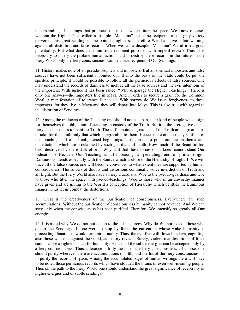understanding of sendings that produces the results which litter the space. We know of cases wherein the Higher Ones called a disciple "Mahatma" but some recipients of the gray variety perverted this great sending to the point of ugliness. Therefore We shall give a fair warning against all distortion and false records. When we call a disciple "Mahatma" We affirm a great potentiality. But what does a medium or a recipient poisoned with imperil reveal? Thus, it is necessary to purify the profane human actions and to destroy these records in the future. In the Fiery World only the fiery consciousness can be a true recipient of Our Sendings.

11. History makes note of all pseudo-prophets and imposters. But all spiritual imposters and false sources have not been sufficiently pointed out. If into the basis of the State could be put the spiritual principle, it would be possible to follow all the pernicious effects of false sources. One may understand the records of darkness to include all the false sources and the evil intentions of the imposters. With justice it has been asked, "Why disparage the Higher Teaching?" There is only one answer—the imposters live in Maya. And in order to secure a grain for the Common Weal, a manifestation of tolerance is needed. With sorrow do We issue forgiveness to these imposters, for they live in Maya and they will depart into Maya. This is also true with regard to the distortion of Sendings.

12. Among the traducers of the Teaching one should notice a particular kind of people who assign for themselves the obligation of standing in custody of the Truth. But it is the prerogative of the fiery consciousness to manifest Truth. The self-appointed guardians of the Truth are at great pains to take for the Truth only that which is agreeable to them. Hence, there are so many vilifiers of the Teaching and of all enlightened beginnings. It is correct to point out the anathema and maledictions which are proclaimed by such guardians of Truth. How much of the Beautiful has been destroyed by these dark efforts! Why is it that these forces of darkness cannot stand Our Indications? Because Our Teaching is all-embracing, all-pervading, and of primal origin. Darkness contends especially with the Source which is close to the Hierarchy of Light. If We will trace all the false sources one will become convinced to what extent they are supported by human consciousness. The sowers of doubts and distortions continually voice interdiction of Truth and all Light. But the Fiery World also has its Fiery Guardians. Woe to the pseudo-guardians and woe to those who litter the space with pseudo-teachings. Woe to those who in an unworthy manner have given and are giving to the World a conception of Hierarchy which belittles the Luminous Images. Thus let us combat the distortions.

13. Great is the creativeness of the purification of consciousness. Everywhere are such accumulations! Without the purification of consciousness humanity cannot advance. And We can save only when the consciousness has been purified. Therefore We intensify so greatly all Our energies.

14. It is asked why We do not put a stop to the false sources. Why do We not expose those who distort the Sendings? If one were to stop by force the current in whose wake humanity is proceeding, fanaticism would turn into brutality. Thus, the evil free will flows like lava, engulfing also those who rise against the Good, as history reveals. Surely, violent manifestations of force cannot carve a righteous path for humanity. Hence, all the subtle energies can be accepted only by a fiery consciousness. Thus, tolerance is truly the lot of the fiery consciousness. Of course, one should purify wherever there are accumulations of filth, and the lot of the fiery consciousness is to purify the records of space. Among the accumulated pages of human writings there will have to be noted those pernicious records which have clouded the brains of even well-meaning people. Thus on the path to the Fiery World one should understand the great significance of receptivity of higher energies and of subtle sendings.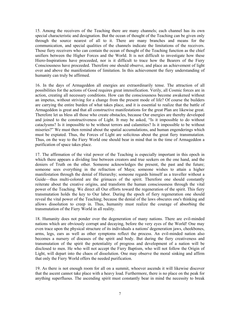15. Among the receivers of the Teaching there are many channels; each channel has its own special characteristic and designation. But the ocean of thought of the Teaching can be given only through the source nearest of all to it. There are many branches and means for the communication, and special qualities of the channels indicate the limitations of the receivers. Those fiery receivers who can contain the ocean of thought of the Teaching function as the chief unifiers between the Higher Forces and the World. It is not difficult to investigate how these Hiero-Inspirations have proceeded, nor is it difficult to trace how the Bearers of the Fiery Consciousness have proceeded. Therefore one should observe, and place an achievement of light over and above the manifestations of limitation. In this achievement the fiery understanding of humanity can truly be affirmed.

16. In the days of Armageddon all energies are extraordinarily tense. The attraction of all possibilities for the actions of Good requires great intensification. Verily, all Cosmic forces are in action, creating all necessary conditions. How can the consciousness become awakened without an impetus, without striving for a change from the present mode of life? Of course the builders are carrying the entire burden of what takes place, and it is essential to realize that the battle of Armageddon is great and that all constructive manifestations for the great Plan are likewise great. Therefore let us bless all those who create obstacles, because Our energies are thereby developed and joined to the constructiveness of Light. It may be asked, "Is it impossible to do without cataclysms? Is it impossible to be without terrors and calamities? Is it impossible to be without miseries?" We must then remind about the spatial accumulations, and human engenderings which must be expiated. Thus, the Forces of Light are solicitous about the great fiery transmutation. Thus, on the way to the Fiery World one should bear in mind that in the time of Armageddon a purification of space takes place.

17. The affirmation of the vital power of the Teaching is especially important in this epoch in which there appears a dividing line between creators and true seekers on the one hand, and the deniers of Truth on the other. Someone acknowledges the present, the past and the future; someone sees everything in the refraction of Maya; someone wishes to attain a higher manifestation through the denial of Hierarchy; someone regards himself as a traveller without a Guide—thus multi-colored are the grimaces of the spirit. Therefore one should constantly reiterate about the creative origins, and transform the human consciousness through the vital power of the Teaching. We direct all Our efforts toward the regeneration of the spirit. This fiery transmutation holds the key to Our labor. During the epoch of fiery regeneration one should reveal the vital power of the Teaching; because the denial of the laws obscures one's thinking and allows dissolution to creep in. Thus, humanity must realize the courage of absorbing the transmutation of the Fiery World in all reality.

18. Humanity does not ponder over the degeneration of many nations. There are evil-minded nations which are obviously corrupt and decaying, before the very eyes of the World! One may even trace upon the physical structure of its individuals a nations' degeneration jaws, cheekbones, arms, legs, ears as well as other symptoms reflect the process. An evil-minded nation also becomes a nursery of diseases of the spirit and body. But during the fiery creativeness and transmutation of the spirit the potentiality of progress and development of a nation will be disclosed to men. He who will not accept the Fiery Baptism, who will not follow the Origin of Light, will depart into the chaos of dissolution. One may observe the moral sinking and affirm that only the Fiery World offers the needed purification.

19. As there is not enough room for all on a summit, whoever ascends it will likewise discover that the ascent cannot take place with a heavy load. Furthermore, there is no place on the peak for anything superfluous. The ascending spirit must constantly bear in mind the necessity to break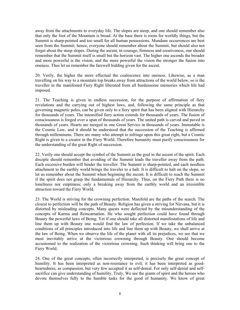away from the attachments to everyday life. The slopes are steep, and one should remember also that only the foot of the Mountain is broad. At the base there is room for worldly things, but the Summit is sharp-pointed and too small for all human possessions. Mundane occurrences are best seen from the Summit; hence, everyone should remember about the Summit, but should also not forget about the steep slopes. During the ascent, in courage, firmness and creativeness, one should remember that the Summit itself is small but the horizon vast. The higher one ascends the broader and more powerful is the vision; and the more powerful the vision the stronger the fusion into oneness. Thus let us remember the farewell bidding given for the ascent.

20. Verily, the higher the more effectual the coalescence into oneness. Likewise, as a man travelling on his way to a mountain top breaks away from attractions of the world below, so is the traveller in the manifested Fiery Right liberated from all burdensome memories which life had imposed.

21. The Teaching is given in endless succession, for the purpose of affirmation of fiery revelations and the carrying out of highest laws, and, following the same principle as that governing magnetic poles, can be given only to a fiery spirit that has been aligned with Hierarchy for thousands of years. The intensified fiery action extends for thousands of years. The fusion of consciousness is forged over a span of thousands of years. The united path is carved and paved in thousands of years. Hearts are merged in one Great Service in thousands of years. Immutable is the Cosmic Law, and it should be understood that the succession of the Teaching is affirmed through millenniums. There are many who attempt to infringe upon this great right, but a Cosmic Right is given to a creator in the Fiery World. Therefore humanity must purify consciousness for the understanding of the great Right of succession.

22. Verily one should accept the symbol of the Summit as the goal in the ascent of the spirit. Each disciple should remember that avoiding of the Summit leads the traveller away from the path. Each excessive burden will hinder the traveller. The Summit is sharp-pointed, and each needless attachment to the earthly world brings the traveler to a halt. It is difficult to halt on the slope, so let us remember about the Summit when beginning the ascent. It is difficult to reach the Summit if the spirit does not grasp the fundamentals of Hierarchy. Thus, on the Fiery Path there is no loneliness nor emptiness; only a breaking away from the earthly world and an irresistible attraction toward the Fiery World.

23. The World is striving for the crowning perfection. Manifold are the paths of the search. The closest to perfection will be the path of Beauty. Religion has given a striving for Nirvana, but it is distorted by misleading concepts. Many quests were deflected by the misunderstanding of the concepts of Karma and Reincarnation. He who sought perfection could have found through Beauty the powerful laws of Being. Yet if one should take all distorted manifestations of life and line them up with Beauty one would find the law of perfection. If we take the unbalanced conditions of all principles introduced into life and line them up with Beauty, we shall arrive at the law of Being. When we observe the life of the planet with all its prejudices, we see that we must inevitably arrive at the victorious crowning through Beauty. One should become accustomed to the realization of the victorious crowning. Such thinking will bring one to the Fiery World.

24. One of the great concepts, often incorrectly interpreted, is precisely the great concept of humility. It has been interpreted as non-resistance to evil; it has been interpreted as goodheartedness, as compassion, but very few accepted it as self-denial. For only self-denial and selfsacrifice can give understanding of humility. Truly, We see the giants of spirit and the heroes who devote themselves fully to the humble tasks for the good of humanity. We know of great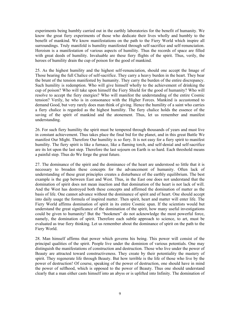experiments being humbly carried out in the earthly laboratories for the benefit of humanity. We know the great fiery experiments of those who dedicate their lives wholly and humbly to the benefit of mankind. We know manifestations on the path to the Fiery World which inspire all surroundings. Truly manifold is humility manifested through self-sacrifice and self-renunciation. Heroism is a manifestation of various aspects of humility. Thus the records of space are filled with great deeds of humility. Invaluable are these fiery flights of the spirit. Thus, verily, the heroes of humility drain the cup of poison for the good of mankind.

25. As the highest humility and the highest self-renunciation, should one accept the Image of Those bearing the full Chalice of self-sacrifice. They carry a heavy burden in the heart. They bear the brunt of the tension manifested by humanity. They carry the burden of the entire discrepancy. Such humility is redemption. Who will give himself wholly to the achievement of drinking the cup of poison? Who will take upon himself the Fiery Shield for the good of humanity? Who will resolve to accept the fiery energies? Who will manifest the understanding of the entire Cosmic tension? Verily, he who is in consonance with the Higher Forces. Mankind is accustomed to demand Good, but very rarely does man think of giving. Hence the humility of a saint who carries a fiery chalice is regarded as the highest humility. The fiery chalice holds the essence of the saving of the spirit of mankind and the atonement. Thus, let us remember and manifest understanding.

26. For such fiery humility the spirit must be tempered through thousands of years and must live in constant achievement. Thus takes place the final bid for the planet, and in this great Battle We manifest Our Might. Therefore Our humility is so fiery. It is not easy for a fiery spirit to manifest humility. The fiery spirit is like a furnace, like a flaming torch, and self-denial and self-sacrifice are its lot upon the last step. Therefore the last sojourn on Earth is so hard. Each threshold means a painful step. Thus do We forge the great future.

27. The dominance of the spirit and the dominance of the heart are understood so little that it is necessary to broaden these concepts for the advancement of humanity. Often lack of understanding of these great principles creates a disturbance of the earthly equilibrium. The best example is the gap between East and West. Thus, in the East one does not understand that the domination of spirit does not mean inaction and that domination of the heart is not lack of will. And the West has destroyed both these concepts and affirmed the domination of matter as the basis of life. One cannot advance without the dominance of spirit and of heart. One should accept into daily usage the formula of inspired matter. Then spirit, heart and matter will enter life. The Fiery World affirms domination of spirit in its entire Cosmic span. If the scientists would but understand the great significance of the domination of the spirit, how many useful investigations could be given to humanity! But the "bookmen" do not acknowledge the most powerful force, namely, the domination of spirit. Therefore each subtle approach to science, to art, must be evaluated as true fiery thinking. Let us remember about the dominance of spirit on the path to the Fiery World.

28. Man himself affirms that power which governs his being. This power will consist of the principal qualities of the spirit. People live under the dominion of various potentials. One may distinguish the manifestations of construction and destruction. Those who live under the power of Beauty are attracted toward constructiveness. They create by their potentiality the mastery of spirit. They regenerate life through Beauty. But how terrible is the life of those who live by the power of destruction! Of course, speaking of the power of destruction, one should have in mind the power of selfhood, which is opposed to the power of Beauty. Thus one should understand clearly that a man either casts himself into an abyss or is uplifted into Infinity. The domination of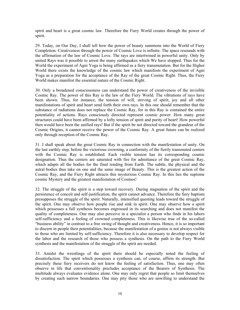spirit and heart is a great cosmic law. Therefore the Fiery World creates through the power of spirit.

29. Today, on Our Day, I shall tell how the power of beauty summons into the World of Fiery Completion. Creativeness through the power of Cosmic Love is infinite. The space resounds with the affirmation of the law of Cosmic Love. The rays are intertwined in powerful unity. Only by united Rays was it possible to arrest the many earthquakes which We have stopped. Thus for the World the experiment of Agni Yoga is being affirmed as a fiery transmutation. But for the Higher World there exists the knowledge of the cosmic law which manifests the experiment of Agni Yoga as a preparation for the acceptance of the Ray of the great Cosmic Right. Thus, the Fiery World makes manifest the essential nature of the Cosmic Right.

30. Only a broadened consciousness can understand the power of creativeness of the invisible Cosmic Ray. The power of this Ray is the law of the Fiery World. The vibrations of rays have been shown. Thus, for instance, the tension of will, striving of spirit, joy and all other manifestations of spirit and heart send forth their own rays. In this one should remember that the substance of radiations does not replace the Cosmic Ray, for in this Ray is contained the entire potentiality of actions. Rays consciously directed represent cosmic power. How many great structures could have been affirmed by a lofty tension of spirit and purity of heart! How powerful then would have been the unified rays! But if the spirit be not directed toward the grandeur of the Cosmic Origins, it cannot receive the power of the Cosmic Ray. A great future can be realized only through reception of the Cosmic Ray.

31. I shall speak about the great Cosmic Ray in connection with the manifestation of unity. On the last earthly step, before the victorious crowning, a conformity of the fierily transmuted centers with the Cosmic Ray is established. Each visible tension has its corresponding cosmic designation. Thus the centers are saturated with fire for admittance of the great Cosmic Ray, which adapts all the bodies for the final rending from Earth. The subtle, the physical and the astral bodies thus take on one and the same image of Beauty. This is the greatest action of the Cosmic Ray, and the Fiery Right attracts this mysterious Cosmic Ray. In this lies the supreme cosmic Mystery and the greatest manifestation of Cosmos!

32. The struggle of the spirit is a step toward recovery. During stagnation of the spirit and the persistence of conceit and self-justification, the spirit cannot advance. Therefore the fiery baptism presupposes the struggle of the spirit. Naturally, intensified questing leads toward the struggle of the spirit. One may observe how people rise and sink in spirit. One may observe how a spirit which possesses a full synthesis becomes engrossed in its searching and does not manifest the quality of completeness. One may also perceive in a specialist a person who finds in his labors self-sufficiency and a feeling of crowned completeness. This is likewise true of the so-called "business ability" in contrast to a free swing of thought and creativeness. Hence, it is so important to discern in people their potentialities, because the manifestation of a genius is not always visible to those who are limited by self-sufficiency. Therefore it is also necessary to develop respect for the labor and the research of those who possess a synthesis. On the path to the Fiery World synthesis and the manifestation of the struggle of the spirit are needed.

33. Amidst the wrestlings of the spirit there should be especially noted the feeling of dissatisfaction. The spirit which possesses a synthesis can, of course, affirm its strength. But precisely these fiery receivers do not know the feeling of satisfaction. Thus, one may often observe in life that conventionality precludes acceptance of the Bearers of Synthesis. The multitude always evaluates evidence alone. One may only regret that people so limit themselves by creating such narrow boundaries. One may pity those who are unwilling to understand the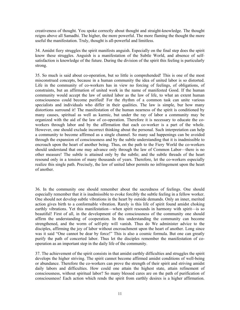creativeness of thought. You spoke correctly about thought and straight-knowledge. The thought reigns above all Samadhi. The higher, the more powerful. The more flaming the thought the more useful the manifestation. Truly, thought is all-powerful and limitless.

34. Amidst fiery struggles the spirit manifests anguish. Especially on the final step does the spirit know these struggles. Anguish is a manifestation of the Subtle World, and absence of selfsatisfaction is knowledge of the future. During the division of the spirit this feeling is particularly strong.

35. So much is said about co-operation, but so little is comprehended! This is one of the most misconstrued concepts, because in a human community the idea of united labor is so distorted. Life in the community of co-workers has in view no forcing of feelings, of obligations, of constraints, but an affirmation of united work in the name of manifested Good. If the human community would accept the law of united labor as the law of life, to what an extent human consciousness could become purified! For the rhythm of a common task can unite various specialists and individuals who differ in their qualities. The law is simple, bur how many distortions surround it! The manifestation of the human nearness of the spirit is conditioned by many causes, spiritual as well as karmic, but under the ray of labor a community may be organized with the aid of the law of co-operation. Therefore it is necessary to educate the coworkers through labor and by the affirmation that each co-worker is a part of the whole. However, one should exclude incorrect thinking about the personal. Such interpretation can help a community to become affirmed as a single channel. So many sad happenings can be avoided through the expansion of consciousness and by the subtle understanding that it is inadmissible to encroach upon the heart of another being. Thus, on the path to the Fiery World the co-workers should understand that one may advance only through the law of Common Labor—there is no other measure! The subtle is attained only by the subtle; and the subtle threads of the heart resound only in a tension of many thousands of years. Therefore, let the co-workers especially realize this single path. Precisely, the law of united labor permits no infringement upon the heart of another.

36. In the community one should remember about the sacredness of feelings. One should especially remember that it is inadmissible to evoke forcibly the subtle feeling in a fellow worker. One should not develop subtle vibrations in the heart by outside demands. Only an inner, merited action gives birth to a conformable vibration. Rarely is this life of spirit found amidst choking earthly vibrations. Yet this manifestation—when spirit resounds in harmony with spirit—is so beautiful! First of all, in the development of the consciousness of the community one should affirm the understanding of cooperation. In this understanding the community can become strengthened, and the worm of self-pity will vanish. Thus do We administer advice to the disciples, affirming the joy of labor without encroachment upon the heart of another. Long since was it said "One cannot be dear by force!" This is also a cosmic formula. But one can greatly purify the path of concerted labor. Thus let the disciples remember the manifestation of cooperation as an important step in the daily life of the community.

37. The achievement of the spirit consists in that amidst earthly difficulties and struggles the spirit develops the higher striving. The spirit cannot become affirmed amidst conditions of well-being or abundance. Therefore the co-workers can prove the strength of their spirit and striving amidst daily labors and difficulties. How could one attain the highest state, attain refinement of consciousness, without spiritual labor? So many blessed cares are on the path of purification of consciousness! Each action which rends the spirit from earthly desires is a higher affirmation.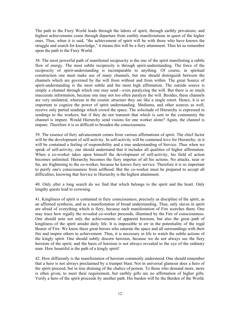The path to the Fiery World leads through the labors of spirit, through earthly privations; and highest achievements come through departure from earthly manifestations in quest of the higher ones. Thus, when it is said, "the achievement of spirit will be with those who have known the struggle and search for knowledge," it means this will be a fiery attainment. Thus let us remember upon the path to the Fiery World.

38. The most powerful path of manifested reciprocity is the one of the spirit manifesting a subtle flow of energy. The most subtle reciprocity is through spirit-understanding. The force of the reciprocity of spirit-understanding is incomparable to anything. Of course, in spiritual construction one must make use of many channels, but one should distinguish between the channels which are governed by the will from without and from within. The great Source of spirit-understanding is the most subtle and the most high affirmation. The outside source is simply a channel through which one may send—even paralyzing the will. But there is so much inaccurate information, because one may not too often paralyze the will. Besides, these channels are very unilateral, whereas in the cosmic structure they are like a single retort. Hence, it is so important to cognize the power of spirit understanding. Mediums, and other sources as well, receive only partial sendings which crowd the space. The solicitude of Hierarchy is expressed in sendings to the workers, but if they do not transmit that which is sent to the community the channel is impure. Would Hierarchy send visions for one worker alone? Again, the channel is impure. Therefore it is so difficult to broaden the consciousness.

39. The essence of fiery advancement comes from various affirmations of spirit. The chief factor will be the development of self-activity. In self-activity will be contained love for Hierarchy; in it will be contained a feeling of responsibility and a true understanding of Service. Thus when we speak of self-activity, one should understand that it includes all qualities of higher affirmation. When a co-worker takes upon himself the development of self-activity, his field of action becomes unlimited. Hierarchy becomes the fiery impetus of all his actions. No attacks, near or far, are frightening to the co-worker, because he knows fiery service. Therefore it is so important to purify one's consciousness from selfhood. But the co-worker must be prepared to accept all difficulties, knowing that Service to Hierarchy is the highest attainment.

40. Only after a long search do we find that which belongs to the spirit and the heart. Only lengthy quests lead to crowning.

41. Kingliness of spirit is contained in fiery consciousness, precisely as discipline of the spirit, as an affirmed synthesis, and as a manifestation of broad understanding. Thus, only slaves in spirit are afraid of everything which is fiery, because each manifestation of Fire scorches them. One may trace how regally the revealed co-worker proceeds, illumined by the Fire of consciousness. One should note not only the achievements of apparent heroism, but also the great path of kingliness of the spirit amidst daily life. It is impossible to err in the potentiality of the regal Bearer of Fire. We know these great heroes who saturate the space and all surroundings with their fire and inspire others to achievement. Thus, it is necessary in life to watch the subtle actions of the kingly spirit. One should subtly discern heroism, because we do not always see the fiery heroism of the spirit; and the basis of heroism is not always revealed to the eye of the ordinary man. How beautiful is the path of a kingly spirit!

42. How differently is the manifestation of heroism commonly understood. One should remember that a hero is not always proclaimed by a trumpet blast. Not in universal glamour does a hero of the spirit proceed, but in true draining of the chalice of poison. To those who demand more, more is often given, to meet their requirement, but earthly gifts are no affirmation of higher gifts. Verily a hero of the spirit proceeds by another path. His burden will be the Burden of the World.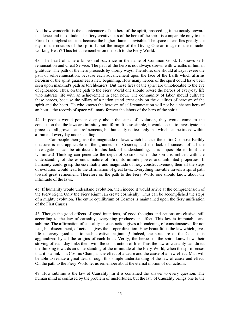And how wonderful is the countenance of the hero of the spirit, proceeding impetuously onward in silence and in solitude! The fiery creativeness of the hero of the spirit is comparable only to the Fire of the highest tension, because the higher flame is invisible. The space intensifies greatly the rays of the creators of the spirit. Is not the image of the Giving One an image of the miracleworking Heart? Thus let us remember on the path to the Fiery World.

43. The heart of a hero knows self-sacrifice in the name of Common Good. It knows selfrenunciation and Great Service. The path of the hero is not always strewn with wreaths of human gratitude. The path of the hero proceeds by thorny ways. Therefore, one should always revere the path of self-renunciation, because each advancement upon the face of the Earth which affirms heroism of the spirit guarantees a new beginning. How many heroes of the spirit could have been seen upon mankind's path as torchbearers! But these fires of the spirit are unnoticeable to the eye of ignorance. Thus, on the path to the Fiery World one should revere the heroes of everyday life who saturate life with an achievement in each hour. The community of labor should cultivate these heroes, because the pillars of a nation stand erect only on the qualities of heroism of the spirit and the heart. He who knows the heroism of self-renunciation will not be a chance hero of an hour—the records of space will mark forever the labors of the hero of the spirit.

44. If people would ponder deeply about the steps of evolution, they would come to the conclusion that the laws are infinitely multiform. It is so simple, it would seem, to investigate the process of all growths and refinements, but humanity notices only that which can be traced within a frame of everyday understanding.

 Can people then grasp the magnitude of laws which balance the entire Cosmos? Earthly measure is not applicable to the grandeur of Cosmos; and the lack of success of all the investigations can be attributed to this lack of understanding. It is impossible to limit the Unlimited! Thinking can penetrate the depth of Cosmos when the spirit is imbued with the understanding of the essential nature of Fire, its infinite power and unlimited properties. If humanity could grasp the essentiality and magnitude of fiery constructiveness, then all the steps of evolution would lead to the affirmation of great laws. Everything movable travels a spiral path toward great refinement. Therefore on the path to the Fiery World one should know about the infinitude of the laws.

45. If humanity would understand evolution, then indeed it would arrive at the comprehension of the Fiery Right. Only the Fiery Right can create cosmically. Thus can be accomplished the steps of a mighty evolution. The entire equilibrium of Cosmos is maintained upon the fiery unification of the First Causes.

46. Though the good effects of good intentions, of good thoughts and actions are elusive, still according to the law of causality, everything produces an effect. This law is immutable and sublime. The affirmation of causality in each action gives a broadening of consciousness; for not fear, but discernment, of actions gives the proper direction. How beautiful is the law which gives life to every good and to each creative beginning! Indeed, the structure of the Cosmos is aggrandized by all the origins of each hour. Verily, the heroes of the spirit know how their striving of each day links them with the construction of life. Thus the law of causality can direct the thinking towards an understanding of the infinitude of the Fiery World; when the spirit senses that it is a link in a Cosmic Chain, as the effect of a cause and the cause of a new effect. Man will be able to realize a great deal through this simple understanding of the law of cause and effect. On the path to the Fiery World let us remember about the eternal motion of our actions.

47. How sublime is the law of Causality! In it is contained the answer to every question. The human mind is confused by the problem of misfortunes, but the law of Causality brings one to the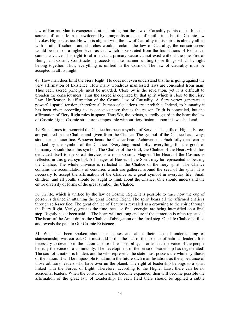law of Karma. Man is exasperated at calamities, but the law of Causality points out to him the sources of same. Man is bewildered by strange disturbances of equilibrium, but the Cosmic law invokes Higher Justice. He who is aligned with the law of Causality in his spirit, is already allied with Truth. If schools and churches would proclaim the law of Causality, the consciousness would be then on a higher level, as that which is separated from the foundations of Existence, cannot advance. It is right to affirm that a primary cause cannot exist without the one Fire of Being; and Cosmic Construction proceeds in like manner, uniting those things which by right belong together. Thus, everything is unified in the Cosmos. The law of Causality must be accepted in all its might.

48. How man does limit the Fiery Right! He does not even understand that he is going against the very affirmation of Existence. How many wondrous manifested laws are concealed from man! Thus each sacred principle must be guarded. Close by is the revelation, yet it is difficult to broaden the consciousness. Thus the sacred is cognized by that spirit which is close to the Fiery Law. Unification is affirmation of the Cosmic law of Causality. A fiery vortex generates a powerful spatial tension; therefore all human calculations are unreliable. Indeed, to humanity it has been given according to its consciousness; that is the reason Truth is concealed, but the affirmation of Fiery Right rules in space. Thus We, the Arhats, sacredly guard in the heart the law of Cosmic Right. Cosmic structure is impossible without fiery fusion—upon this we shall end.

49. Since times immemorial the Chalice has been a symbol of Service. The gifts of Higher Forces are gathered in the Chalice and given from the Chalice. The symbol of the Chalice has always stood for self-sacrifice. Whoever bears the Chalice bears Achievement. Each lofty deed can be marked by the symbol of the Chalice. Everything most lofty, everything for the good of humanity, should bear this symbol. The Chalice of the Grail, the Chalice of the Heart which has dedicated itself to the Great Service, is a most Cosmic Magnet. The Heart of the Cosmos is reflected in this great symbol. All images of Heroes of the Spirit may be represented as bearing the Chalice. The whole universe is reflected in the Chalice of the fiery spirit. The Chalice contains the accumulations of centuries which are gathered around the seed of the spirit. It is necessary to accept the affirmation of the Chalice as a great symbol in everyday life. Small children, and all youth, should be taught to think about the Chalice. One should understand the entire diversity of forms of the great symbol, the Chalice.

50. In life, which is unified by the law of Cosmic Right, it is possible to trace how the cup of poison is drained in attaining the great Cosmic Right. The spirit bears all the affirmed chalices through self-sacrifice. The great chalice of Beauty is revealed as a crowning to the spirit through the Fiery Right. Verily, great is the time, because final energies are being intensified on a final step. Rightly has it been said—"The heart will not long endure if the attraction is often repeated." The heart of the Arhat drains the Chalice of abnegation on the final step. Our life Chalice is filled and reveals the path to Our Cosmic Existence.

51. What has been spoken about the masses and about their lack of understanding of statesmanship was correct. One must add to this the fact of the absence of national leaders. It is necessary to develop in the nation a sense of responsibility, in order that the voice of the people be truly the voice of a community. The development of the sense of leadership has degenerated! The soul of a nation is hidden, and he who represents the state must possess the whole synthesis of the nation. It will be impossible to admit in the future such manifestations as the appearance of those arbitrary leaders who have overrun the planet. The right of leadership belongs to a spirit linked with the Forces of Light. Therefore, according to the Higher Law, there can be no accidental leaders. When the consciousness has become expanded, then will become possible the affirmation of the great law of Leadership. In each field there should be applied a subtle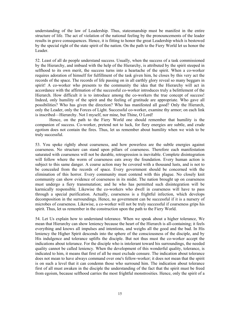understanding of the law of Leadership. Thus, statesmanship must be manifest in the entire structure of life. The act of violation of the national feeling by the pronouncements of the leader results in grave consequences. Hence, it is fitting to honor the great Leadership which is bestowed by the special right of the state spirit of the nation. On the path to the Fiery World let us honor the Leader.

52. Least of all do people understand success. Usually, when the success of a task commissioned by the Hierarchy, and imbued with the help of the Hierarchy, is attributed by the spirit steeped in selfhood to its own merit, the success turns into a heartache of the spirit. When a co-worker requires adoration of himself for fulfillment of the task given him, he closes by this very act the records of the space. The records of life passing on in all earthly glory reveal so many beggars in spirit! A co-worker who presents to the community the idea that the Hierarchy will act in accordance with the affirmation of the successful co-worker introduces truly a belittlement of the Hierarch. How difficult it is to introduce among the co-workers the true concept of success! Indeed, only humility of the spirit and the feeling of gratitude are appropriate. Who gave all possibilities? Who has given the direction? Who has manifested all good? Only the Hierarch, only the Leader, only the Forces of Light. Successful co-worker, examine thy armor; on each link is inscribed—Hierarchy. Not I myself, nor mine, but Thine, O Lord!

 Hence, on the path to the Fiery World one should remember that humility is the companion of success. Co-worker, pretend not to luck, for fiery energies are subtle, and crude egotism does not contain the fires. Thus, let us remember about humility when we wish to be truly successful.

53. You spoke rightly about coarseness, and how powerless are the subtle energies against coarseness. No structure can stand upon pillars of coarseness. Therefore each manifestation saturated with coarseness will not be durable, retrogression is inevitable. Complete disintegration will follow where the worm of coarseness eats away the foundation. Every human action is subject to this same danger. A coarse action may be covered with a thousand lusts, and is not to be concealed from the records of space. Every government should be concerned with the elimination of this horror. Every community must contend with this plague. No closely knit community can show evidence of coarseness in its midst. The nation brought up on coarseness must undergo a fiery transmutation; and he who has permitted such disintegration will be karmically responsible. Likewise the co-workers who dwell in coarseness will have to pass through a special purification. Actually, coarseness is a frightful infection, which develops decomposition in the surroundings. Hence, no government can be successful if it is a nursery of microbes of coarseness. Likewise, a co-worker will not be truly successful if coarseness grips his spirit. Thus, let us remember in the construction upon the path to the Fiery World.

54. Let Us explain how to understand tolerance. When we speak about a higher tolerance, We mean that Hierarchy can show leniency because the heart of the Hierarch is all-containing; it feels everything and knows all impulses and intentions, and weighs all the good and the bad. In His leniency the Higher Spirit descends into the sphere of the consciousness of the disciple, and by His indulgence and tolerance uplifts the disciple. But not thus must the co-worker accept the indications about tolerance. For the disciple who is intolerant toward his surroundings, the needed quality cannot be called leniency. When the development of this wonderful quality, tolerance, is indicated to him, it means that first of all he must exclude censure. The indication about tolerance does not mean to have always command over one's fellow-worker; it does not mean that the spirit is on such a level that it can condemn those who surround him. The indication about tolerance first of all must awaken in the disciple the understanding of the fact that the spirit must be freed from egoism, because selfhood carries the most frightful monstrosities. Hence, only the spirit of a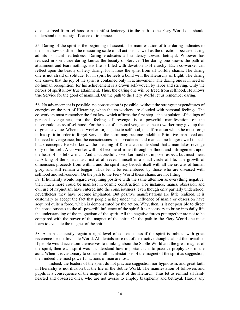disciple freed from selfhood can manifest leniency. On the path to the Fiery World one should understand the true significance of tolerance.

55. Daring of the spirit is the beginning of ascent. The manifestation of true daring indicates to the spirit how to affirm the measuring scale of all actions, as well as the direction, because daring admits no faint-heartedness. Daring eradicates all tendency toward betrayal. Whoever has realized in spirit true daring knows the beauty of Service. The daring one knows the path of attainment and fears nothing. His life is filled with devotion to Hierarchy. Each co-worker can reflect upon the beauty of fiery daring, for it frees the spirit from all worldly chains. The daring one is not afraid of solitude, for in spirit he feels a bond with the Hierarchy of Light. The daring one knows that the joy of the spirit is contained only in achievement. The daring one is in need of no human recognition, for his achievement is a crown self-woven by labor and striving. Only the heroes of spirit know true attainment. Thus, the daring one will be freed from selfhood. He knows true Service for the good of mankind. On the path to the Fiery World let us remember daring.

56. No advancement is possible, no construction is possible, without the strongest expenditures of energies on the part of Hierarchy, when the co-workers are clouded with personal feelings. The co-workers must remember the first law, which affirms the first step—the expulsion of feelings of personal vengeance, for the feeling of revenge is a powerful manifestation of the unscrupulousness of selfhood. For the sake of personal vengeance the co-worker may give up that of greatest value. When a co-worker forgets, due to selfhood, the affirmation which he must forge in his spirit in order to forget Service, the harm may become indelible. Primitive man lived and believed in vengeance, but the consciousness has broadened and man can no longer dwell in such black concepts. He who knows the meaning of Karma can understand that a man takes revenge only on himself. A co-worker will not become affirmed through selfhood and infringement upon the heart of his fellow-man. And a successful co-worker must not impose respect, but must merit it. A king of the spirit must first of all reveal himself in a small circle of life. The growth of dimensions proceeds from within, and the spirit may bedeck itself with all the crowns of human glory and still remain a beggar. Thus let it be remembered by those who are diseased with selfhood and self-conceit. On the path to the Fiery World these chains are not fitting.

57. If humanity would regard everything positive with the same attention as everything negative, then much more could be manifest in cosmic construction. For instance, mania, obsession and evil use of hypnotism have entered into the consciousness; even though only partially understood, nevertheless they have become implanted. But positive manifestations are little realized, It is customary to accept the fact that people acting under the influence of mania or obsession have acquired quite a force, which is demonstrated by the action. Why, then, is it not possible to direct the consciousness to the all-powerful influence of the spirit! It is necessary to bring into daily life the understanding of the magnetism of the spirit. All the negative forces put together are not to be compared with the power of the magnet of the spirit. On the path to the Fiery World one must learn to evaluate the magnet of the spirit.

58. A man can easily regain a right level of consciousness if the spirit is imbued with great reverence for the Invisible World. All denials arise out of destructive thoughts about the Invisible. If people would accustom themselves to thinking about the Subtle World and the great magnet of the spirit, then each spirit would understand how important it is to practice prophylaxis of the aura. When it is customary to consider all manifestations of the magnet of the spirit as suggestion, then indeed the most powerful actions of man are lost.

 Indeed, the leaders of the spirit do not practice suggestion nor hypnotism, and great faith in Hierarchy is not illusion but the life of the Subtle World. The manifestation of followers and pupils is a consequence of the magnet of the spirit of the Hierarch. Thus let us remind all fainthearted and obsessed ones, who are not averse to employ blasphemy and betrayal. Hardly any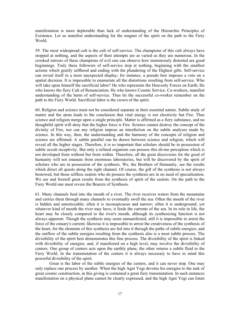manifestation is more deplorable than lack of understanding of the Hierarchic Principles of Existence. Let us manifest understanding for the magnet of the spirit on the path to the Fiery World.

59. The most widespread cult is the cult of self-service. The champions of this cult always have stopped at nothing, and the aspects of their attempts are as varied as they are numerous. In the crooked mirrors of these champions of evil one can observe how monstrously distorted are good beginnings. Truly these followers of self-service stop at nothing, beginning with the smallest actions which gratify selfhood and ending with the plundering of the Highest gifts. Self-service can reveal itself in a most unexpected display; for instance, a pseudo heir imposes a veto on a spatial decision. It is impossible to enumerate all the distortions resulting from self-service. Who will take upon himself the sacrificial labor? He who represents the Heavenly Forces on Earth; He who knows the fiery Cult of Renunciation; He who knows Cosmic Service. Co-workers, manifest understanding of the harm of self-service. Thus let the successful co-worker remember on the path to the Fiery World. Sacrificial labor is the crown of the spirit.

60. Religion and science must not be considered separate in their essential nature. Subtle study of matter and the atom leads to the conclusion that vital energy is not electricity but Fire. Thus science and religion merge upon a single principle. Matter is affirmed as a fiery substance, and no thoughtful spirit will deny that the higher force is Fire. Science cannot destroy the concept of the divinity of Fire, nor can any religion impose an interdiction on the subtle analyses made by science. In this way, then, the understanding and the harmony of the concepts of religion and science are affirmed. A subtle parallel can be drawn between science and religion, which will reveal all the higher stages. Therefore, it is so important that scholars should be in possession of subtle occult receptivity. But only a refined organism can possess this divine perception which is not developed from without but from within. Therefore, all the great discoveries for the good of humanity will not emanate from enormous laboratories, but will be discovered by the spirit of scholars who are in possession of the synthesis. We, the Brothers of Humanity, see the results which direct all quests along the right channel. Of course, the gift of the synthesis is not always bestowed, but those selfless zealots who do possess the synthesis are in no need of specialization. We see and foretell great results from the synthesis of spirit of the zealots. On the path to the Fiery World one must revere the Bearers of Synthesis.

61. Many channels feed into the mouth of a river. The river receives waters from the mountains and carries them through many channels to eventually swell the sea. Often the mouth of the river is hidden and unnoticeable; often it is inconspicuous and narrow; often it is underground; yet whatever kind of mouth the river may have, it feeds the currents of the sea. In its role in life, the heart may be closely compared to the river's mouth, although its synthesizing function is not always apparent. Though the synthesis may seem unmanifested, still it is impossible to arrest the force of the estuary's current; likewise it is impossible to arrest the creativeness of the synthesis of the heart, for the elements of this synthesis are fed into it through the paths of subtle energies; and the outflow of the subtle energies resulting from the synthesis also is a most subtle process. The divisibility of the spirit best demonstrates this fine process. The divisibility of the spirit is linked with divisibility of energies, and, if manifested on a high level, may involve the divisibility of centers. One group of centers acts upon the earthly plane, the other returns a subtle fluid to the Fiery World. In the transmutation of the centers it is always necessary to have in mind this powerful divisibility of the spirit.

 Great is the labor of the subtle energies of the centers, and it can never stop. One may only replace one process by another. When the high Agni Yogi devotes his energies to the task of great cosmic construction, in this giving is contained a great fiery transmutation. In such instances manifestation on a physical plane cannot be clearly expressed, and the high Agni Yogi can listen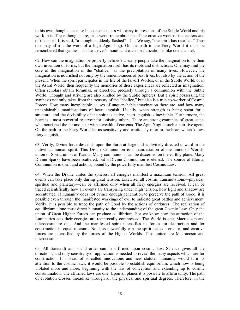to his own thoughts because his consciousness will carry impressions of the Subtle World and his work in it. These thoughts are, as it were, remembrances of the creative work of the centers and of the spirit. It is said, "a thought suddenly flashed"—but We say, "the spirit has recalled." Thus one may affirm the work of a high Agni Yogi. On the path to the Fiery World it must be remembered that synthesis is like a river's mouth and each specialization is like one channel.

62. How can the imagination be properly defined? Usually people take the imagination to be their own invention of forms, but the imagination itself has its roots and distinctions. One may find the core of the imagination in the "chalice," as the precipitation of many lives. However, the imagination is nourished not only by the remembrances of past lives, but also by the action of the present. When the spirit participates in the life of the far-off Worlds, or in the Subtle World, or in the Astral World, then frequently the memories of these experiences are reflected as imagination. Often scholars obtain formulas, or direction, precisely through a communion with the Subtle World. Thought and striving are also kindled by the Subtle Spheres. But a spirit possessing the synthesis not only takes from the treasury of the "chalice," but also is a true co-worker of Cosmic Forces. How many inexplicable causes of unquenchable imagination there are, and how many unexplainable manifestations of heart anguish! Usually, when strength is being spent for a structure, and the divisibility of the spirit is active, heart anguish is inevitable. Furthermore, the heart is a most powerful reservoir for assisting others. There are strong examples of great saints who nourished the far and near with a wealth of currents. The Agni Yogi is such a nutritive agent. On the path to the Fiery World let us sensitively and cautiously refer to the heart which knows fiery anguish.

63. Verily, Divine force descends upon the Earth at large and is divinely directed upward in the individual human spirit. This Divine Communion is a manifestation of the union of Worlds, union of Spirit, union of Karma. Many communions can be discerned on the earthly plane. Many Divine Sparks have been scattered, but a Divine Communion is eternal. The source of Eternal Communion is spirit and actions, bound by the powerfully manifest Cosmic Law.

64. When the Divine unites the spheres, all energies manifest a maximum tension. All great events can take place only during great tension. Likewise, all cosmic transmutations—physical, spiritual and planetary—can be affirmed only when all fiery energies are received. It can be traced scientifically how all events are transpiring under high tension, how light and shadow are accentuated. If humanity does not evince enough penetration to perceive the path of Good, it is possible even through the manifested workings of evil to indicate great battles and achievement. Verily, it is possible to trace the path of Good by the actions of darkness! The realization of equilibrium alone must direct humanity to the understanding of the great Cosmic Law. Only the union of Great Higher Forces can produce equilibrium. For we know how the attraction of the Luminaries acts their energies are reciprocally compressed. The World is one; Macrocosm and microcosm are one. And the manifested spirit intensifies its forces for destruction and for construction in equal measure. Not less powerfully can the spirit act as a creator; and creative forces are intensified by the forces of the Higher Worlds. Thus united are Macrocosm and microcosm.

65. All statecraft and social order can be affirmed upon cosmic law. Science gives all the directions, and only sensitivity of application is needed to reveal the many aspects which are for construction. If instead of so-called innovations and new statutes humanity would turn its attention to the cosmic laws, it would be possible to establish equilibrium, which now is being violated more and more, beginning with the law of conception and extending up to cosmic consummation. The affirmed laws are one. Upon all planes it is possible to affirm unity. The path of evolution crosses threadlike through all the physical and spiritual degrees. Therefore, in the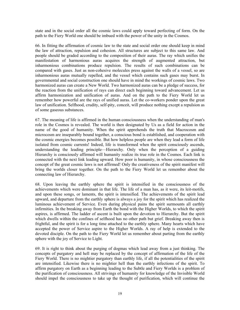state and in the social order all the cosmic laws could apply toward perfecting of form. On the path to the Fiery World one should be imbued with the power of the unity in the Cosmos.

66. In fitting the affirmation of cosmic law to the state and social order one should keep in mind the law of attraction, repulsion and cohesion. All structures are subject to this same law. And people should be graded according to the composition of their auras. The ray which unifies the manifestation of harmonious auras acquires the strength of augmented attraction, but inharmonious combinations produce repulsion. The results of such combinations can be compared with gases. Just as non-cohesive molecules press against the walls of a vessel, so are inharmonious auras mutually repelled, and the vessel which contains such gases may burst. In governmental and social construction one should have in mind the workings of cosmic laws. Two harmonized auras can create a New World. Two harmonized auras can be a pledge of success, for the reaction from the unification of rays can direct each beginning toward advancement. Let us affirm harmonization and unification of auras. And on the path to the Fiery World let us remember how powerful are the rays of unified auras. Let the co-workers ponder upon the great law of unification. Selfhood, crudity, self-pity, conceit, will produce nothing except a repulsion as of some gaseous substances.

67. The meaning of life is affirmed in the human consciousness when the understanding of man's role in the Cosmos is revealed. The world is then designated by Us as a field for action in the name of the good of humanity. When the spirit apprehends the truth that Macrocosm and microcosm are inseparably bound together, a conscious bond is established, and cooperation with the cosmic energies becomes possible. But how helpless people are when they lead a form of life isolated from cosmic currents! Indeed, life is transformed when the spirit consciously ascends, understanding the leading principle—Hierarchy. Only when the perception of a guiding Hierarchy is consciously affirmed will humanity realize its true role in the Cosmos. Each link is connected with the next link leading upward. How poor is humanity, in whose consciousness the concept of the great cosmic laws is not affirmed! Only the creativeness of the spirit manifest will bring the worlds closer together. On the path to the Fiery World let us remember about the connecting law of Hierarchy.

68. Upon leaving the earthly sphere the spirit is intensified in the consciousness of the achievements which were dominant in that life. The life of a man has, as it were, its leit-motifs, and upon these songs, or laments, the spirit is intensified. The achievements of the spirit lead upward, and departure from the earthly sphere is always a joy for the spirit which has realized the luminous achievement of Service. Even during physical pains the spirit surmounts all earthly infirmities. In the breaking away from Earth the bond with the Higher Worlds, to which the spirit aspires, is affirmed. The ladder of ascent is built upon the devotion to Hierarchy. But the spirit which dwells within the confines of selfhood has no other path but grief. Breaking away then is frightful, and the spirit is for a long time attached to the earthly sphere. Many hearts which have accepted the power of Service aspire to the Higher Worlds. A ray of help is extended to the devoted disciple. On the path to the Fiery World let us remember about parting from the earthly sphere with the joy of Service to Light.

69. It is right to think about the purging of dogmas which lead away from a just thinking. The concepts of purgatory and hell may be replaced by the concept of affirmation of the life of the Fiery World. There is no mightier purgatory than earthly life, if all the potentialities of the spirit are intensified. Likewise there is no mightier hell than the earthly infections of the spirit. To affirm purgatory on Earth as a beginning leading to the Subtle and Fiery Worlds is a problem of the purification of consciousness. All strivings of humanity for knowledge of the Invisible World should impel the consciousness to take up the thought of purification, which will continue the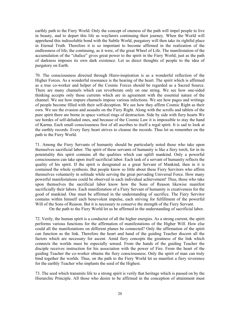earthly path to the Fiery World. Only the concept of oneness of the path will impel people to live in beauty, and to depart this life as wayfarers continuing their journey. When the World will apprehend this indissoluble bond with the Subtle World, purgatory will then take its rightful place in Eternal Truth. Therefore it is so important to become affirmed in the realization of the endlessness of life; the continuing, as it were, of the great Wheel of Life. The manifestation of the accumulation of the "chalice" gives great power to the spirit in the Fiery World; just as the path of darkness imposes its own dark existence. Let us direct thoughts of people to the idea of purgatory on Earth.

70. The consciousness directed through Hiero-inspiration is as a wonderful reflection of the Higher Forces. As a wonderful resonance is the hearing of the heart. The spirit which is affirmed as a true co-worker and helper of the Cosmic Forces should be regarded as a Sacred Source. There are many channels which can reverberate only on one string. We see how one-sided thinking accepts only those currents which are in agreement with the essential nature of the channel. We see how impure channels impose various infections. We see how pages and writings of people become filled with their self-deception. We see how they affirm Cosmic Right as their own. We see the evasion and assaults on the Fiery Right. Along with the scrolls and tablets of the pure spirit there are borne in space vortical rings of destruction. Side by side with fiery hearts We see hordes of self-deluded ones, and because of the Cosmic Law it is impossible to stay the hand of Karma. Each small consciousness first of all ascribes to itself a regal spirit. It is sad to look at the earthly records. Every fiery heart strives to cleanse the records. Thus let us remember on the path to the Fiery World.

71. Among the Fiery Servants of humanity should be particularly noted those who take upon themselves sacrificial labor. The spirit of these servants of humanity is like a fiery torch, for in its potentiality this spirit contains all the qualities which can uplift mankind. Only a powerful consciousness can take upon itself sacrificial labor. Each task of a servant of humanity reflects the quality of his spirit. If the spirit is designated as a great Servant of Mankind, then in it is contained the whole synthesis. But people know so little about these Fiery Servitors who affirm themselves voluntarily in solitude while serving the great pervading Universal Force. How many powerful manifestations could be observed in each individual achievement! Thus, those who take upon themselves the sacrificial labor know how the Sons of Reason likewise manifest sacrificially their labors. Each manifestation of a Fiery Servant of humanity is creativeness for the good of mankind. One must be affirmed in the understanding of sacrifice. The Fiery Servitor contains within himself each benevolent impulse, each striving for fulfillment of the powerful Will of the Sons of Reason. But it is necessary to conserve the strength of the Fiery Servant.

On the path to the Fiery World let us be affirmed in the understanding of sacrificial labor.

72. Verily, the human spirit is a conductor of all the higher energies. As a strong current, the spirit performs various functions for the affirmation of manifestations of the Higher Will. How else could all the manifestations on different planes be connected? Only the affirmation of the spirit can function as the link. Therefore the heart and hand of the guiding Teacher discern all the factors which are necessary for ascent. Amid fiery concepts the greatness of the link which connects the worlds must be especially sensed. From the hands of the guiding Teacher the disciple receives instruction for his association with the power of Fire. From the heart of the guiding Teacher the co-worker obtains the fiery consciousness. Only the spirit of man can truly bind together the worlds. Thus, on the path to the Fiery World let us manifest a fiery reverence for the earthly Teacher who implants the seed of the Highest.

73. The seed which transmits life to a strong spirit is verily that heritage which is passed on by the Hierarchic Principle. All those who desire to be affirmed in the conception of attainment must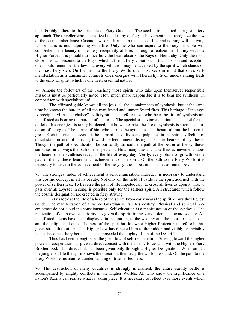undeferrably adhere to the principle of Fiery Guidance. The seed is transmitted as a great fiery approach. The traveller who has realized the destiny of fiery achievement must recognize the law of the cosmic inheritance. Cosmic laws are affirmed in the basis of life, and nothing will be living whose basis is not palpitating with fire. Only he who can aspire to the fiery principle will comprehend the beauty of the fiery receptivity of Fire. Through a realization of unity with the Higher Forces it is possible to trace how the heart absorbs the Rays of Hierarchy. Only the most close ones can resound to the Rays, which affirm a fiery vibration. In transmission and reception one should remember the law that every vibration may be accepted by the spirit which stands on the most fiery step. On the path to the Fiery World one must keep in mind that one's selfmanifestation as a transmitter connects one's energies with Hierarchy. Such understanding leads to the unity of spirit, which is one in its essential nature.

74. Among the followers of the Teaching those spirits who take upon themselves responsible missions must be particularly noted. How much more responsible it is to bear the synthesis, in comparison with specialization!

 The affirmed guide knows all the joys, all the containments of synthesis, but at the same time he knows the burden of all the manifested and unmanifested fires. This heritage of the ages is precipitated in the "chalice" as fiery strata; therefore those who bear the fire of synthesis are manifested as bearing the burden of centuries. The specialist, having a continuous channel for the outlet of his energies, is rarely burdened, but he who carries the fire of synthesis is a tempestuous ocean of energies. The karma of him who carries the synthesis is so beautiful, but the burden is great. Each inheritance, even if it be unmanifested, lives and palpitates in the spirit. A feeling of dissatisfaction and of striving toward perfectionment distinguishes the bearers of synthesis. Though the path of specialization be outwardly difficult, the path of the bearer of the synthesis surpasses in all ways the path of the specialist. How many quests and selfless achievements does the bearer of the synthesis reveal in the life of every day! Verily, every phase of growth on the path of the synthesis-bearer is an achievement of the spirit. On the path to the Fiery World it is necessary to discern the achievement of the fiery synthesis-bearer. Thus let us remember.

75. The strongest index of achievement is self-renunciation. Indeed, it is necessary to understand this cosmic concept in all its beauty. Not only on the field of battle is the spirit adorned with the power of selflessness. To traverse the path of life impetuously, to cross all lives as upon a wire, to pass over all abysses in song, is possible only for the selfless spirit. All structures which follow the cosmic designation are erected in fiery striving.

 Let us look at the life of a hero of the spirit. From early years the spirit knows the Highest Guide. The manifestation of a sacred Guardian is its life's destiny. Physical and spiritual preeminence do not cloud the consciousness. Self-education is a manifestation of the synthesis. The realization of one's own superiority has given the spirit firmness and tolerance toward society. All manifested talents have been displayed in inspiration, to the wealthy and the poor, to the seekers and the enlightened ones. The hero of the spirit has known a Higher Protector, therefore he has given strength to others. The Higher Law has directed him to the rudder, and visibly or invisibly he has become a fiery hero. Thus has proceeded the mighty "Lion of the Desert."

 Thus has been strengthened the great law of self-renunciation. Striving toward the higher powerful cooperation has given a direct contact with the cosmic forces and with the Highest Fiery Brotherhood. This direct link has been given only through a Higher Designation. When amidst the jungles of life the spirit knows the direction, then truly the worlds resound. On the path to the Fiery World let us manifest understanding of true selflessness.

76. The destruction of many countries is strongly intensified; the entire earthly battle is accompanied by mighty conflicts in the Higher Worlds. All who know the significance of a nation's Karma can realize what is taking place. It is necessary to reflect over those events which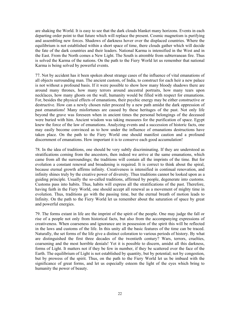are shaking the World. It is easy to see that the dark clouds blanket many horizons. Events in each departing order point to that future which will replace the present. Cosmic magnetism is purifying and assembling new forces. Shadows of darkness hover over the displaced countries. Where the equilibrium is not established within a short space of time, there clouds gather which will decide the fate of the dark countries and their leaders. National Karma is intensified in the West and in the East. From the North comes a New Light. The South is atremble from subterranean fire. Thus is solved the Karma of the nations. On the path to the Fiery World let us remember that national Karma is being solved by powerful events.

77. Not by accident has it been spoken about strange cases of the influence of vital emanations of all objects surrounding man. The ancient custom, of India, to construct for each heir a new palace is not without a profound basis. If it were possible to show how many bloody shadows there are around many thrones, how many terrors around ancestral portraits, how many tears upon necklaces, how many ghosts on the wall, humanity would be filled with respect for emanations. For, besides the physical effects of emanations, their psychic energy may be either constructive or destructive. How can a newly chosen ruler proceed by a new path amidst the dark oppression of past emanations! Many misfortunes are caused by these heritages of the past. Not only life beyond the grave was foreseen when in ancient times the personal belongings of the deceased were buried with him. Ancient wisdom was taking measures for the purification of space. Egypt knew the force of the law of emanations. Analyzing events and a succession of historic facts, one may easily become convinced as to how under the influence of emanations destructions have taken place. On the path to the Fiery World one should manifest caution and a profound discernment of emanations. How important it is to conserve each good accumulation!

78. In the idea of traditions, one should be very subtly discriminating. If they are understood as stratifications coming from the ancestors, then indeed we arrive at the same emanations, which came from all the surroundings; the traditions will contain all the imprints of the time. But for evolution a constant renewal and broadening is required. It is correct to think about the spiral, because eternal growth affirms infinity. Creativeness is intensified in continual renovation, and infinity shines truly by the creative power of diversity. Thus traditions cannot be looked upon as a guiding principle. Usually the so-called traditions, affirmed by people, degenerate into customs. Customs pass into habits. Thus, habits will express all the stratifications of the past. Therefore, having faith in the Fiery World, one should accept all renewal as a movement of mighty time in evolution. Thus, traditions go with the passing time, but the eternal breath of motion leads to Infinity. On the path to the Fiery World let us remember about the saturation of space by great and powerful energies.

79. The forms extant in life are the imprint of the spirit of the people. One may judge the fall or rise of a people not only from historical facts, but also from the accompanying expressions of creativeness. When coarseness and ignorance are in possession of the spirit this will be reflected in the laws and customs of the life. In this unity all the basic features of the time can be traced. Naturally, the set forms of the life give a distinct coloration to various periods of history. By what are distinguished the first three decades of the twentieth century? Wars, terrors, cruelties, coarsening and the most horrible denials! Yet it is possible to discern, amidst all this darkness, forms of Light. It matters not if they be few in number, if they be scattered over the face of the Earth. The equilibrium of Light is not established by quantity, but by potential; not by congestion, but by prowess of the spirit. Thus, on the path to the Fiery World let us be imbued with the significance of great forms, and let us especially esteem the light of the eyes which bring to humanity the power of beauty.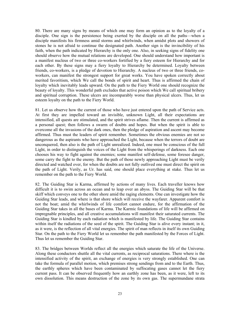80. There are many signs by means of which one may form an opinion as to the loyalty of a disciple. One sign is the persistence being exerted by the disciple on all the paths—when a disciple manifests his firmness amid storms and whirlwinds, when amidst plots and showers of stones he is not afraid to continue the designated path. Another sign is the invincibility of his faith, when the path indicated by Hierarchy is the only one. Also, in seeking signs of fidelity one should observe how the mutual relations are developed. One should understand how important is a manifest nucleus of two or three co-workers fortified by a fiery esteem for Hierarchy and for each other. By these signs may a fiery loyalty to Hierarchy be determined. Loyalty between friends, co-workers, is a pledge of devotion to Hierarchy. A nucleus of two or three friends, coworkers, can manifest the strongest support for great works. You have spoken correctly about merited favoritism, which We call the bonds of spirit and heart. Thus is affirmed the chain of loyalty which inevitably leads upward. On the path to the Fiery World one should recognize the beauty of loyalty. This wonderful path excludes that active poison which We call spiritual bribery and spiritual corruption. These ulcers are incomparably worse than physical ulcers. Thus, let us esteem loyalty on the path to the Fiery World.

81. Let us observe how the current of those who have just entered upon the path of Service acts. At first they are impelled toward an invisible, unknown Light, all their expectations are intensified, all quests are stimulated, and the spirit strives aflame. Then the current is affirmed as a personal quest; then follows a swarm of doubts and hopes. But when the spirit is able to overcome all the invasions of the dark ones, then the pledge of aspiration and ascent may become affirmed. Thus must the leaders of spirit remember. Sometimes the obvious enemies are not so dangerous as the aspirants who have approached the Light, because when the terrors of doubt are unconquered, then also is the path of Light unrealized. Indeed, one must be conscious of the full Light, in order to distinguish the voices of the Light from the whisperings of darkness. Each one chooses his way to fight against the enemies; some manifest self-defense, some foresee danger, some carry the fight to the enemy. But the path of those newly approaching Light must be verily directed and watched over, for when the doubts are not fully outlived one must direct the spirit on the path of Light. Verily, as Ur. has said, one should place everything at stake. Thus let us remember on the path to the Fiery World.

82. The Guiding Star is Karma, affirmed by actions of many lives. Each traveller knows how difficult it is to swim across an ocean and to leap over an abyss. The Guiding Star will be that skiff which conveys one to the other shore amid the raging elements. One can investigate how the Guiding Star leads, and where is that shore which will receive the wayfarer. Apparent comfort is not the boat; amid the whirlwinds of life comfort cannot endure, for the affirmation of the Guiding Star takes in all the bases of Karma. The Karmic foundations of life will be affirmed on impregnable principles, and all creative accumulations will manifest their saturated currents. The Guiding Star is kindled by each radiation which is manifested by life. The Guiding Star contains within itself the radiations of the seed of the spirit. The Guiding Star is alive every instant; in it, as it were, is the reflection of all vital energies. The spirit of man reflects in itself its own Guiding Star. On the path to the Fiery World let us remember the path manifested by the Forces of Light. Thus let us remember the Guiding Star.

83. The bridges between Worlds reflect all the energies which saturate the life of the Universe. Along these conductors shuttle all the vital currents, as reciprocal saturations. There where is the intensified activity of the spirit, an exchange of energies is very strongly established. One can take the formula of parallel motion, which premises strong sendings from and to the Earth. Thus, the earthly spheres which have been contaminated by suffocating gases cannot let the fiery current pass. It can be observed frequently how an earthly zone has been, as it were, left to its own dissolution. This means destruction of the zone by its own gas. The supermundane strata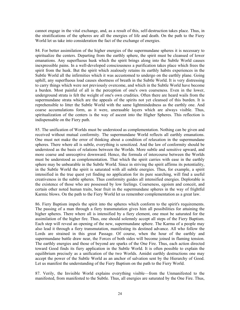cannot engage in the vital exchange, and, as a result of this, self-destruction takes place. Thus, in the stratifications of the spheres are all the energies of life and death. On the path to the Fiery World let us take into consideration the fact of the exchange of energies.

84. For better assimilation of the higher energies of the supermundane spheres it is necessary to spiritualize the centers. Departing from the earthly sphere, the spirit must be cleansed of lower emanations. Any superfluous husk which the spirit brings along into the Subtle World causes inexpressible pains. In a well-developed consciousness a purification takes place which frees the spirit from the husk. But the spirit which zealously retains its earthly habits experiences in the Subtle World all the infirmities which it was accustomed to undergo on the earthly plane. Going uphill, any superfluous load causes shortness of breath in the Subtle World. It is very distressing to carry things which were not previously overcome, and which in the Subtle World have become a burden. Most painful of all is the perception of one's own coarseness. Even in the lower, underground strata is felt the weight of one's own crudities. Often there are heard wails from the supermundane strata which are the appeals of the spirits not yet cleansed of this burden. It is reprehensible to litter the Subtle World with the same lightmindedness as the earthly one. And coarse accumulations form, as it were, unerasable layers which are always visible. Thus, spiritualization of the centers is the way of ascent into the Higher Spheres. This reflection is indispensable on the Fiery path.

85. The unification of Worlds must be understood as complementation. Nothing can be given and received without mutual conformity. The supermundane World reflects all earthly emanations. One must not make the error of thinking about a condition of relaxation in the supermundane spheres. There where all is subtle, everything is sensitized. And the law of conformity should be understood as the basis of relations between the Worlds. More subtle and sensitive upward, and more coarse and unreceptive downward. Hence, the formula of intercourse between the Worlds must be understood as complementation. That which the spirit carries with ease in the earthly sphere may be unbearable in the Subtle World. Since in striving the spirit affirms its potentiality, in the Subtle World the spirit is saturated with all subtle energies. Thus, for example, a spirit intensified in the true quest yet finding no application for its pure searching, will find a useful creativeness in the subtle spheres. Thus conformity guides all intensified energies. Deplorable is the existence of those who are possessed by low feelings. Coarseness, egoism and conceit, and certain other noted human traits, bear fruit in the supermundane spheres in the way of frightful Karmic blows. On the path to the Fiery World let us remember complementation as a great law.

86. Fiery Baptism impels the spirit into the spheres which conform to the spirit's requirements. The passing of a man through a fiery transmutation gives him all possibilities for attaining the higher spheres. There where all is intensified by a fiery element, one must be saturated for the assimilation of the higher fire. Thus, one should solemnly accept all steps of the Fiery Baptism. Each step will reveal an opening of the new, supermundane sphere. The Karma of a people may also lead it through a fiery transmutation, manifesting its destined advance. All who follow the Lords are strained in this great Passage. Of course, when the hour of the earthly and supermundane battle draw near, the Forces of both sides will become joined in flaming tension. The earthly energies and those of beyond are sparks of the One Fire. Thus, each action directed toward Good finds its fiery application in the Subtle World. It is often possible to explain the equilibrium precisely as a unification of the two Worlds. Amidst earthly destructions one may accept the power of the Subtle World as an anchor of salvation sent by the Hierarchy of Good. Let us manifest the understanding of the Fiery Baptism on the path to the Fiery World.

87. Verily, the Invisible World explains everything visible—from the Unmanifested to the manifested, from manifested to the Subtle. Thus, all energies are saturated by the One Fire. Thus,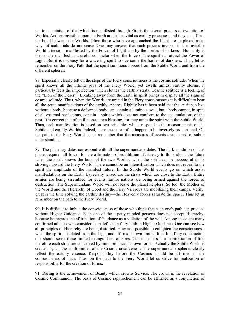the transmutation of that which is manifested through Fire is the eternal process of evolution of Worlds. Actions invisible upon the Earth are just as vital as earthly processes, and they can affirm the bond between the Worlds. Often those who have approached the Light are perplexed as to why difficult trials do not cease. One may answer that each process invokes in the Invisible World a tension, manifested by the Forces of Light and by the hordes of darkness. Humanity is then made manifest as a useful conductor when the force of the spirit can attract the Power of Light. But it is not easy for a wavering spirit to overcome the hordes of darkness. Thus, let us remember on the Fiery Path that the spirit summons Forces from the Subtle World and from the different spheres.

88. Especially clearly felt on the steps of the Fiery consciousness is the cosmic solitude. When the spirit knows all the infinite joys of the Fiery World, yet dwells amidst earthly storms, it particularly feels the imperfection which clothes the earthly strata. Cosmic solitude is a feeling of the "Lion of the Desert." Breaking away from the Earth in spirit brings in display all the signs of cosmic solitude. Thus, when the Worlds are united in the Fiery consciousness it is difficult to bear all the acute manifestations of the earthly spheres. Rightly has it been said that the spirit can live without a body, because a deformed body can contain a luminous soul, but a body cannot, in spite of all external perfections, contain a spirit which does not conform to the accumulations of the past. It is correct that often illnesses are a blessing, for they unite the spirit with the Subtle World. Thus, each manifestation is based on two principles which respond to the measurements of the Subtle and earthly Worlds. Indeed, these measures often happen to be inversely proportional. On the path to the Fiery World let us remember that the measures of events are in need of subtle understanding.

89. The planetary dates correspond with all the supermundane dates. The dark condition of this planet requires all forces for the affirmation of equilibrium. It is easy to think about the future when the spirit knows the bond of the two Worlds, when the spirit can be successful in its strivings toward the Fiery World. There cannot be an intensification which does not reveal to the spirit the amplitude of the manifest future. In the Subtle World events go on which assist manifestations on the Earth. Especially tensed are the strata which are close to the Earth. Entire armies are being assembled for events. Entire nations are being armed against the forces of destruction. The Supermundane World will not leave the planet helpless. So too, the Mother of the World and the Hierarchy of Good and the Fiery Viceroys are mobilizing their camps. Verily, great is the time solving the earthly destiny—the Heavenly forces saturate the space. Thus let us remember on the path to the Fiery World.

90. It is difficult to imbue the consciousness of those who think that each one's path can proceed without Higher Guidance. Each one of these petty-minded persons does not accept Hierarchy, because he regards the affirmation of Guidance as a violation of the will. Among these are many confirmed atheists who consider as maleficent a fiery faith in Higher Guidance. One can see how all principles of Hierarchy are being distorted. How is it possible to enlighten the consciousness, when the spirit is isolated from the Light and affirms its own limited life? In a fiery construction one should sense these limited extinguishers of Fires. Consciousness is a manifestation of life, therefore each structure conceived by mind produces its own forms. Actually the Subtle World is created by all the conformities of the Cosmic creativeness. The supermundane spheres clearly reflect the earthly essence. Responsibility before the Cosmos should be affirmed in the consciousness of man. Thus, on the path to the Fiery World let us strive for realization of responsibility for the creation of forms.

91. Daring is the achievement of Beauty which crowns Service. The crown is the revelation of Cosmic Communion. The basis of Cosmic rapprochement can be affirmed as a conjunction of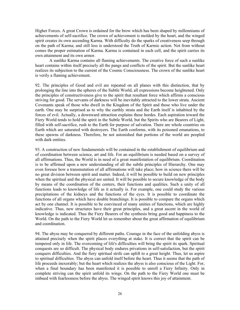Higher Forces. A great Crown is ordained for the brow which has been shaped by millenniums of achievements of self-sacrifice. The crown of achievement is molded by the heart, and the winged spirit creates its own ascending Karma. With difficulty do the sparks of creativeness seep through on the path of Karma; and still less is understood the Truth of Karmic action. Not from without comes the proper estimation of Karma. Karma is contained in each cell, and the spirit carries its own attainment and its own armor.

 A sunlike Karma contains all flaming achievements. The creative force of such a sunlike heart contains within itself precisely all the pangs and conflicts of the spirit. But the sunlike heart realizes its subjection to the current of the Cosmic Consciousness. The crown of the sunlike heart is verily a flaming achievement.

92. The principles of Good and evil are repeated on all planes with this distinction, that by prolonging the line into the spheres of the Subtle World, all expressions become heightened. Only the principles of constructiveness give to the spirit that resultant force which affirms a conscious striving for good. The servants of darkness will be inevitably attracted to the lower strata. Ancient Covenants speak of those who dwell in the Kingdom of the Spirit and those who live under the earth. One may be surprised as to why the earthly strata and the Earth itself is inhabited by the forces of evil. Actually, a downward attraction explains these hordes. Each aspiration toward the Fiery World tends to hold the spirit in the Subtle World, but the Spirits who are Bearers of Light, filled with self-sacrifice, rush to the Earth for purpose of salvation. There are whole countries on Earth which are saturated with destroyers. The Earth conforms, with its poisoned emanations, to these spawns of darkness. Therefore, be not astonished that portions of the world are peopled with dark entities.

93. A construction of new fundamentals will be contained in the establishment of equilibrium and of coordination between science, art and life. For an equilibrium is needed based on a survey of all affirmations. Thus, the World is in need of a great manifestation of equilibrium. Coordination is to be affirmed upon a new understanding of all the subtle principles of Hierarchy. One may even foresee how a transmutation of all affirmations will take place; how in science there will be no great division between spirit and matter. Indeed, it will be possible to build on new principles when the spiritual and the physical are united. It will be possible to secure knowledge of the body by means of the coordination of the centers, their functions and qualities. Such a unity of all functions leads to knowledge of life as it actually is. For example, one could study the various precipitations of the kidneys and the functions of the eyes. It is possible to coordinate the functions of all organs which have double branchings. It is possible to compare the organs which act by one channel. It is possible to be convinced of many unities of functions, which are highly indicative. Thus, new structures have their great principles, and a great ascent in the world of knowledge is indicated. Thus the Fiery Bearers of the synthesis bring good and happiness to the World. On the path to the Fiery World let us remember about the great affirmation of equilibrium and coordination.

94. The abyss may be conquered by different paths. Courage in the face of the unfolding abyss is attained precisely when the spirit places everything at stake. It is correct that the spirit can be tempered only in life. The overcoming of life's difficulties will bring the spirit its spark. Spiritual conquests are so difficult. The physical body endures privations in self-satisfaction, but the spirit conquers difficulties. And the fiery spiritual strife can uplift to a great height. Thus, let us aspire to spiritual difficulties. The abyss can unfold itself before the heart. Thus it seems that the path of life proceeds inexorably; but the heart which realizes the abyss is also conscious of the Light. For, when a final boundary has been manifested it is possible to unroll a Fiery Infinity. Only in complete striving can the spirit unfold its wings. On the path to the Fiery World one must be imbued with fearlessness before the abyss. The winged spirit knows this joy of attainment.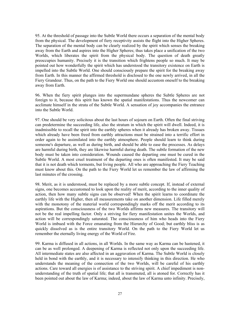95. At the threshold of passage into the Subtle World there occurs a separation of the mental body from the physical. The development of fiery receptivity assists the flight into the Higher Spheres. The separation of the mental body can be clearly realized by the spirit which senses the breaking away from the Earth and aspires into the Higher Spheres; thus takes place a unification of the two Worlds, which liberates the spirit from the physical body. The question of death greatly preoccupies humanity. Precisely it is the transition which frightens people so much. It may be pointed out how wonderfully the spirit which has understood the transitory existence on Earth is impelled into the Subtle World. One should consciously prepare the spirit for the breaking away from Earth. In this manner the affirmed threshold is disclosed to the one newly arrived, in all the Fiery Grandeur. Thus, on the path to the Fiery World one should accustom oneself to the breaking away from Earth.

96. When the fiery spirit plunges into the supermundane spheres the Subtle Spheres are not foreign to it, because this spirit has known the spatial manifestations. Thus the newcomer can acclimate himself in the strata of the Subtle World. A sensation of joy accompanies the entrance into the Subtle World.

97. One should be very solicitous about the last hours of sojourn on Earth. Often the final striving can predetermine the succeeding life, also the stratum in which the spirit will dwell. Indeed, it is inadmissible to recall the spirit into the earthly spheres when it already has broken away. Tissues which already have been freed from earthly attractions must be strained into a terrific effort in order again to be assimilated into the earthly atmosphere. People should learn to think during someone's departure, as well as during birth, and should be able to ease the processes. As delays are harmful during birth, they are likewise harmful during death. The subtle formation of the new body must be taken into consideration. Wounds caused the departing one must be cured in the Subtle World. A most cruel treatment of the departing ones is often manifested. It may be said that it is not death which torments, but living people. All who are approaching the Fiery Teaching must know about this. On the path to the Fiery World let us remember the law of affirming the last minutes of the crossing.

98. Merit, as it is understood, must be replaced by a more subtle concept. If, instead of external signs, one becomes accustomed to look upon the reality of merit, according to the inner quality of action, then how many subtle signs can be observed! When the spirit learns to coordinate the earthly life with the Higher, then all measurements take on another dimension. Life filled merely with the monotony of the material world correspondingly marks off the merit according to its aspirations. But the consciousness of the two Worlds affirms new measures. The transitory will not be the real impelling factor. Only a striving for fiery manifestation unites the Worlds, and action will be correspondingly saturated. The consciousness of him who heads into the Fiery World is imbued with the Force emanating from the Hierarchy of Good; but earthly bliss is as quickly dissolved as is the entire transitory World. On the path to the Fiery World let us remember the eternally living energy of the World of Fire.

99. Karma is diffused in all actions, in all Worlds. In the same way as Karma can be hastened, it can be as well prolonged. A deepening of Karma is reflected not only upon the succeeding life. All intermediate states are also affected in an aggravation of Karma. The Subtle World is closely held in bond with the earthly, and it is necessary to intensify thinking in this direction. He who understands the meaning of the connection of the two Worlds, will be careful of his earthly actions. Care toward all energies is of assistance to the striving spirit. A chief impediment is nonunderstanding of the truth of spatial life; that all is transmuted, all is atoned for. Correctly has it been pointed out about the law of Karma; indeed, about the law of Karma unto infinity. Precisely,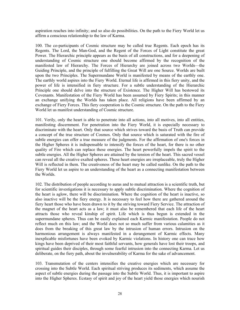aspiration reaches into infinity; and so also do possibilities. On the path to the Fiery World let us affirm a conscious relationship to the law of Karma.

100. The co-participants of Cosmic structure may be called true Regents. Each epoch has its Regents. The Lord, the Man-God, and the Regent of the Forces of Light constitute the great Power. The Hierarchic principle appears as the basis of all constructions, and for a deepening of understanding of Cosmic structure one should become affirmed by the recognition of the manifested law of Hierarchy. The Forces of Hierarchy are joined across two Worlds—the Guiding Principle, and the principle of fulfilling the Great Will are one Source. Worlds are built upon the two Principles. The Supermundane World is manifested by means of the earthly one. The earthly world aspires into the Fiery World. Eternal life is affirmed in this fiery unity, and the power of life is intensified in fiery structure. For a subtle understanding of the Hierarchic Principle one should delve into the structure of Existence. The Higher Will has bestowed its Covenants. Manifestation of the Fiery World has been assumed by Fiery Spirits; in this manner an exchange unifying the Worlds has taken place. All religions have been affirmed by an exchange of Fiery Forces. This fiery cooperation is the Cosmic structure. On the path to the Fiery World let us manifest understanding of Cosmic structure.

101. Verily, only the heart is able to penetrate into all actions, into all motives, into all entities, manifesting discernment. For penetration into the Fiery World, it is especially necessary to discriminate with the heart. Only that source which strives toward the basis of Truth can provide a concept of the true structure of Cosmos. Only that source which is saturated with the fire of subtle energies can offer a true measure of the judgments. For the affirmation of one's forces in the Higher Spheres it is indispensable to intensify the forces of the heart, for there is no other quality of Fire which can replace these energies. The heart powerfully impels the spirit to the subtle energies. All the Higher Spheres are attained by the tension of the heart. This sacred vessel can reveal all the creative exalted spheres. These heart energies are irreplaceable, truly the Higher Will is reflected in them. The creativeness of the heart may be called sunlike. On the path to the Fiery World let us aspire to an understanding of the heart as a connecting manifestation between the Worlds.

102. The distribution of people according to auras and to mutual attraction is a scientific truth, but for scientific investigations it is necessary to apply subtle discrimination. Where the cognition of the heart is aglow, there will be discrimination. Where the cognition of the heart is inactive, so also inactive will be the fiery energy. It is necessary to feel how there are gathered around the fiery heart those who have been drawn to it by the striving toward Fiery Service. The attraction of the magnet of the heart acts as a law; it must also be remembered that each life of the heart attracts those who reveal kinship of spirit. Life which is thus begun is extended in the supermundane spheres. Thus can be easily explained each Karmic manifestation. People do not reflect much on this law; and the World does not so much suffer from various calamities as it does from the breaking of this great law by the intrusion of human errors. Intrusion on the harmonious arrangement is always manifested in a derangement of Karmic effects. Many inexplicable misfortunes have been evoked by Karmic violations. In history one can trace how kings have been deprived of their most faithful servants, how generals have lost their troops, and spiritual guides their disciples, through some fearful intrusion into the connecting Karma. Let us deliberate, on the fiery path, about the invulnerability of Karma for the sake of advancement.

103. Transmutation of the centers intensifies the creative energies which are necessary for crossing into the Subtle World. Each spiritual striving produces its sediments, which assume the aspect of subtle energies during the passage into the Subtle World. Thus, it is important to aspire into the Higher Spheres. Ecstasy of spirit and joy of the heart yield those energies which nourish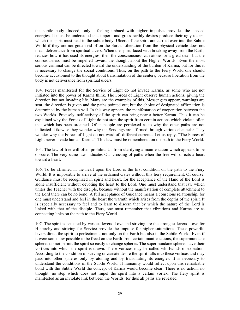the subtle body. Indeed, only a feeling imbued with higher impulses provides the needed energies. It must be understood that imperil and gross earthly desires produce their ugly ulcers, which the spirit must heal in the subtle body. Ulcers of the spirit are carried over into the Subtle World if they are not gotten rid of on the Earth. Liberation from the physical vehicle does not mean deliverance from spiritual ulcers. When the spirit, faced with breaking away from the Earth, realizes how it has used its energies, then the consciousness can atone for a great deal; but the consciousness must be impelled toward the thought about the Higher Worlds. Even the most serious criminal can be directed toward the understanding of the burden of Karma, but for this it is necessary to change the social conditions. Thus, on the path to the Fiery World one should become accustomed to the thought about transmutation of the centers, because liberation from the body is not deliverance from spiritual ulcers.

104. Forces manifested for the Service of Light do not invade Karma, as some who are not initiated into the power of Karma think. The Forces of Light observe human actions, giving the direction but not invading life. Many are the examples of this. Messengers appear, warnings are sent, the direction is given and the paths pointed out; but the choice of designated affirmation is determined by the human will. In this way appears the manifestation of cooperation between the two Worlds. Precisely, self-activity of the spirit can bring near a better Karma. Thus it can be explained why the Forces of Light do not stop the spirit from certain actions which violate often that which has been ordained. Often people are perplexed as to why the other paths are not indicated. Likewise they wonder why the Sendings are affirmed through various channels? They wonder why the Forces of Light do not ward off different currents. Let us reply. "The Forces of Light never invade human Karma." This law must be remembered on the path to the Fiery World.

105. The law of free will often prohibits Us from clarifying a manifestation which appears to be obscure. The very same law indicates Our crossing of paths when the free will directs a heart toward a heart.

106. To be affirmed in the heart upon the Lord is the first condition on the path to the Fiery World. It is impossible to arrive at the ordained Gates without this fiery requirement. Of course, Guidance must be recognized in spirit and heart, for the acceptance of the Hand of the Lord is alone insufficient without devoting the heart to the Lord. One must understand that law which unites the Teacher with the disciple, because without the manifestation of complete attachment to the Lord there can be no bond. A full acceptance of Guidance means a conscious relationship, for one must understand and feel in the heart the warmth which arises from the depths of the spirit. It is especially necessary to feel and to learn to discern that by which the nature of the Lord is linked with that of the disciple. Thus, one must remember that vibrations and Karma are as connecting links on the path to the Fiery World.

107. The spirit is actuated by various levers. Love and striving are the strongest levers. Love for Hierarchy and striving for Service provide the impulse for higher saturations. These powerful levers direct the spirit to perfectment, not only on the Earth but also in the Subtle World. Even if it were somehow possible to be freed on the Earth from certain manifestations, the supermundane spheres do not permit the spirit so easily to change spheres. The supermundane spheres have their vortices into which the spirit is drawn. These vortices may be called whirlwinds of expiation. According to the condition of striving or carnate desire the spirit falls into these vortices and may pass into other spheres only by atoning and by transmuting its energies. It is necessary to understand the conditions of the Subtle World. If humanity would reflect upon this remarkable bond with the Subtle World the concept of Karma would become clear. There is no action, no thought, no step which does not impel the spirit into a certain vortex. The fiery spirit is manifested as an inviolate link between the Worlds, for thus all paths are revealed.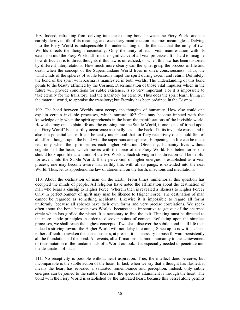108. Indeed, refraining from delving into the existing bond between the Fiery World and the earthly deprives life of its meaning, and each fiery manifestation becomes meaningless. Delving into the Fiery World is indispensable for understanding in life the fact that the unity of two Worlds directs the thought cosmically. Only the unity of each vital manifestation with its extension into the Fiery World affirms the significance of all vital processes. It is hard to imagine how difficult it is to direct thoughts if this law is unrealized, or when this law has been distorted by different interpretations. How much more clearly can the spirit grasp the process of life and death when the concept of the Supermundane World lives in one's consciousness! Thus, the whirlwinds of the spheres of subtle tensions impel the spirit during ascent and return. Definitely, the bond of the spirit with Karma is manifested in both worlds. The understanding of this bond points to the beauty affirmed by the Cosmos. Discrimination of those vital impulses which in the future will provide conditions for subtle existence, is so very important! For it is impossible to take eternity for the transitory, and the transitory for eternity. Thus does the spirit learn, living in the material world, to appraise the transitory; but Eternity has been ordained in the Cosmos!

109. The bond between Worlds must occupy the thoughts of humanity. How else could one explain certain invisible processes, which nurture life? One may become imbued with that knowledge only when the spirit apprehends in the heart the manifestations of the Invisible world. How else may one explain life and the crossing into the Subtle World, if one is not affirmed upon the Fiery World? Each earthly occurrence assuredly has in the back of it its invisible cause, and it also is a potential cause. It can be easily understood that for fiery receptivity one should first of all affirm thought upon the bond with the supermundane spheres. Happenings in life can be made real only when the spirit senses each higher vibration. Obviously, humanity lives without cognition of the heart, which moves with the force of the Fiery World. For better forms one should look upon life as a union of the two Worlds. Each striving in this direction will be helpful for ascent into the Subtle World. If the perception of higher energies is established as a vital process, one may become aware that earthly life, with all its pangs, is extended into the next World. Thus, let us apprehend the law of atonement on the Earth, in actions and meditations.

110. About the destination of man on the Earth. From times immemorial this question has occupied the minds of people. All religions have noted the affirmation about the destination of man who bears a kinship to Higher Force. Wherein then is revealed a likeness to Higher Force? Only in perfectionment of spirit may man be likened to Higher Force. The destination of man cannot be regarded as something accidental. Likewise it is impossible to regard all forms uniformly, because all spheres have their own forms and very precise correlations. We speak often about the bond between two Worlds, because it is imperative to get out of the charmed circle which has girdled the planet. It is necessary to find the exit. Thinking must be directed to the more subtle principles in order to discover points of contact. Reflecting upon the simplest processes, we shall reach the highest concepts. If we shall discover the subtle bond in all life then indeed a striving toward the Higher World will not delay in coming. Since up to now it has been rather difficult to awaken the consciousness, at present it is necessary to push forward persistently all the foundations of the bond. All events, all affirmations, summon humanity to the achievement of transmutation of the fundamentals of a World outlook. It is especially needed to penetrate into the destination of man.

111. No receptivity is possible without heart aspiration. True, the intellect does perceive, but incomparable is the subtle action of the heart. In fact, when we say that a thought has flashed, it means the heart has revealed a saturated remembrance and perception. Indeed, only subtle energies can be joined to the subtle; therefore, the speediest attainment is through the heart. The bond with the Fiery World is established by the saturated heart, because this vessel alone permits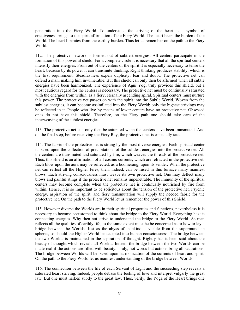penetration into the Fiery World. To understand the striving of the heart as a symbol of creativeness brings to the spirit affirmation of the Fiery World. The heart bears the burden of the World. The heart liberates from the earthly burden. Thus let us remember on the path to the Fiery World.

112. The protective network is formed out of subtlest energies. All centers participate in the formation of this powerful shield. For a complete circle it is necessary that all the spiritual centers intensify their energies. From out of the centers of the spirit it is especially necessary to tense the heart, because by its power it can transmute thinking. Right thinking produces stability, which is the first requirement. Steadfastness expels duplicity, fear and doubt. The protective net can defend a man, making him invulnerable. But this shield can only then be affirmed when all subtle energies have been harmonized. The experience of Agni Yogi truly provides this shield, but a most cautious regard for the centers is necessary. The protective net must be continually saturated with the energies from within, as a fiery, eternally ascending spiral. Spiritual centers must nurture this power. The protective net passes on with the spirit into the Subtle World. Woven from the subtlest energies, it can become assimilated into the Fiery World; only the highest strivings may be reflected in it. People who live by means of lower centers have no protective net. Obsessed ones do not have this shield. Therefore, on the Fiery path one should take care of the interweaving of the subtlest energies.

113. The protective net can only then be saturated when the centers have been transmuted. And on the final step, before receiving the Fiery Ray, the protective net is especially taut.

114. The fabric of the protective net is strung by the most diverse energies. Each spiritual center is based upon the collection of precipitations of the subtlest energies into the protective net. All the centers are transmuted and saturated by fire, which weaves the threads of the protective net. Thus, this shield is an affirmation of all cosmic currents, which are refracted in the protective net. Each blow upon the aura may be reflected, as a boomerang, upon its sender. When the protective net can reflect all the Higher Fires, then, indeed, can be fused in this furnace many manifest blows. Each striving consciousness must weave its own protective net. One may deflect many blows and painful stings if the protective net remains impenetrable. The immunity of the spiritual centers may become complete when the protective net is continually nourished by fire from within. Hence, it is so important to be solicitous about the tension of the protective net. Psychic energy, aspiration of the spirit, and fiery transmutation will supply the needed fabric for the protective net. On the path to the Fiery World let us remember the power of this Shield.

115. However diverse the Worlds are in their spiritual properties and functions, nevertheless it is necessary to become accustomed to think about the bridge to the Fiery World. Everything has its connecting energies. Why then not strive to understand the bridge to the Fiery World. As man reflects all the qualities of earthly life, to the same extent must he be concerned as to how to lay a bridge between the Worlds. Just as the abyss of mankind is visible from the supermundane spheres, so should the Higher World be accepted into human consciousness. The bridge between the two Worlds is maintained in the aspiration of thought. Rightly has it been said about the beauty of thought which reveals all Worlds. Indeed, the bridge between the two Worlds can be made real if the actions are filled with beauty. Truly, not words but actions bring all saturations. The bridge between Worlds will be based upon harmonization of the currents of heart and spirit. On the path to the Fiery World let us manifest understanding of the bridge between Worlds.

116. The connection between the life of each Servant of Light and the succeeding step reveals a saturated heart striving. Indeed, people debase the feeling of love and interpret vulgarly the great law. But one must harken subtly to the great law. Thus, verily, the Yoga of the Heart brings one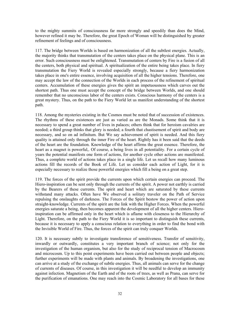to the mighty summits of consciousness far more strongly and speedily than does the Mind, however refined it may be. Therefore, the great Epoch of Woman will be distinguished by greater refinement of feelings and of consciousness.

117. The bridge between Worlds is based on harmonization of all the subtlest energies. Actually, the majority thinks that transmutation of the centers takes place on the physical plane. This is an error. Such consciousness must be enlightened. Transmutation of centers by Fire is a fusion of all the centers, both physical and spiritual. A spiritualization of the entire being takes place. In fiery transmutation the Fiery World is revealed especially strongly, because a fiery harmonization takes place in one's entire essence, involving acquisition of all the higher tensions. Therefore, one may accept the law of the connection of the Worlds in each process of the refinement of spiritual centers. Accumulation of these energies gives the spirit an impetuousness which carves out the shortest path. Thus one must accept the concept of the bridge between Worlds, and one should remember that no unconscious labor of the centers exists. Conscious harmony of the centers is a great mystery. Thus, on the path to the Fiery World let us manifest understanding of the shortest path.

118. Among the mysteries existing in the Cosmos must be noted that of succession of existences. The rhythms of these existences are just as varied as are the Monads. Some think that it is necessary to spend a great number of lives in palaces; others think that for heroism cavalries are needed; a third group thinks that glory is needed; a fourth that chastisement of spirit and body are necessary, and so on ad infinitum. But We say achievement of spirit is needed. And this fiery quality is attained only through the inner Fire of the heart. Rightly has it been said that the deeds of the heart are the foundation. Knowledge of the heart affirms the great essence. Therefore, the heart as a magnet is powerful,. Of course, a being lives in all potentiality. For a certain cycle of years the potential manifests one form of actions, for another cycle other actions are manifested. Thus, a complete world of actions takes place in a single life. Let us recall how many luminous actions fill the records of the Book of Life. Let us consider each action of Light, for it is especially necessary to realize those powerful energies which fill a being on a great step.

119. The forces of the spirit provide the currents upon which certain energies can proceed. The Hiero-inspiration can be sent only through the currents of the spirit. A power not earthly is carried by the Bearers of these currents. The spirit and heart which are saturated by these currents withstand many attacks. Often have We observed a solitary traveler on the Path of Service repulsing the onslaughts of darkness. The Forces of the Spirit bestow the power of action upon straight-knowledge. Currents of the spirit are the link with the Higher Forces. When the powerful energies saturate a being, then becomes apparent the development of all the higher centers. Hieroinspiration can be affirmed only in the heart which is aflame with closeness to the Hierarchy of Light. Therefore, on the path to the Fiery World it is so important to distinguish these currents, because it is necessary to apply a conscious relation to everything in order to find the bond with the Invisible World of Fire. Thus, the forces of the spirit can truly conquer Worlds.

120. It is necessary subtly to investigate transference of sensitiveness. Transfer of sensitivity, inwardly or outwardly, constitutes a very important branch of science; not only for the investigation of the human organism, but also for the study of reciprocal tension of Macrocosm and microcosm. Up to this point experiments have been carried out between people and objects; further experiments will be made with plants and animals. By broadening the investigations, one can arrive at a study of the exchange of subtle energies. Thus, all animals can serve for the change of currents of diseases. Of course, in this investigation it will be needful to develop an immunity against infection. Magnetism of the Earth and of the roots of trees, as well as Prana, can serve for the purification of emanations. One may reach into the Cosmic Laboratory for all bases for these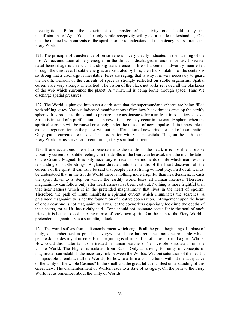investigations. Before the experiment of transfer of sensitivity one should study the manifestations of Agni Yoga, for only subtle receptivity will yield a subtle understanding. One must be imbued with currents of the spirit in order to understand all the potency that saturates the Fiery World.

121. The principle of transference of sensitiveness is very clearly indicated in the swelling of the lips. An accumulation of fiery energies in the throat is discharged in another center. Likewise, nasal hemorrhage is a result of a strong transference of fire of a center, outwardly manifested through the third eye. If subtle energies are saturated by Fire, then transmutation of the centers is so strong that a discharge is inevitable. Fires are raging; that is why it is very necessary to guard the health. Tension of the currents of space is strongly reflected on subtle organisms. Spatial currents are very strongly intensified. The vision of the black networks revealed all the blackness of the web which surrounds the planet. A whirlwind is being borne through space. Thus We discharge spatial pressures.

122. The World is plunged into such a dark state that the supermundane spheres are being filled with stifling gases. Various indicated manifestations affirm how black threads envelop the earthly spheres. It is proper to think and to prepare the consciousness for manifestations of fiery shocks. Space is in need of a purification, and a new discharge may occur in the earthly sphere when the spiritual currents will be roused creatively under the tension of new impulses. It is impossible to expect a regeneration on the planet without the affirmation of new principles and of coordination. Only spatial currents are needed for coordination with vital potentials. Thus, on the path to the Fiery World let us strive for ascent through fiery spiritual currents.

123. If one accustoms oneself to penetrate into the depths of the heart, it is possible to evoke vibratory currents of subtle feelings. In the depths of the heart can be awakened the manifestation of the Cosmic Magnet. It is only necessary to recall those moments of life which manifest the resounding of subtle strings. A glance directed into the depths of the heart discovers all the currents of the spirit. It can truly be said that people persist living without pity. First of all it must be understood that in the Subtle World there is nothing more frightful than heartlessness. It casts the spirit down to a step on which the earthly world loses all human likeness. Therefore, magnanimity can follow only after heartlessness has been cast out. Nothing is more frightful than that heartlessness which is in the pretended magnanimity that lives in the heart of egoism. Therefore, the path of Truth manifests a spiritual current which illuminates the searches. A pretended magnanimity is not the foundation of creative cooperation. Infringement upon the heart of one's dear one is not magnanimity. Thus, let the co-workers especially look into the depths of their hearts, for as Ur. has rightly said—"one should not insinuate oneself into the soul of one's friend, it is better to look into the mirror of one's own spirit." On the path to the Fiery World a pretended magnanimity is a stumbling block.

124. The world suffers from a dismemberment which engulfs all the great beginnings. In place of unity, dismemberment is preached everywhere. There has remained not one principle which people do not destroy at its core. Each beginning is affirmed first of all as a part of a great Whole. How could this matter fail to be treated in human searches? The invisible is isolated from the visible World. The Higher is isolated from Earth. Only a striving for unity of concepts of magnitudes can establish the necessary link between the Worlds. Without saturation of the heart it is impossible to embrace all the Worlds, for how to affirm a cosmic bond without the acceptance of the Unity of the whole Cosmos? In the small and the great let us manifest understanding of this Great Law. The dismemberment of Worlds leads to a state of savagery. On the path to the Fiery World let us remember about the unity of Worlds.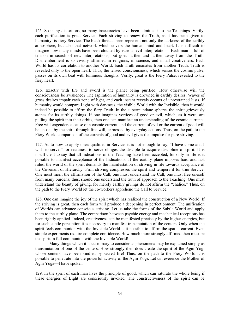125. So many distortions, so many inaccuracies have been admitted into the Teachings. Verily, each purification is great Service. Each striving to renew the Truth, as it has been given to humanity, is fiery Service. The black threads seen represent not only the darkness of the earthly atmosphere, but also that network which covers the human mind and heart. It is difficult to imagine how many minds have been clouded by various evil interpretations. Each man is full of tension in search of new interpretations, but goes farther and farther away from the Truth. Dismemberment is so vividly affirmed in religions, in science, and in all creativeness. Each World has its correlation to another World. Each Truth emanates from another Truth. Truth is revealed only to the open heart. Thus, the tensed consciousness, which senses the cosmic pulse, passes on its own beat with luminous thoughts. Verily, great is the Fiery Pulse, revealed to the fiery heart.

126. Exactly with fire and sword is the planet being purified. How otherwise will the consciousness be awakened? The aspiration of humanity is drowned in earthly desires. Waves of gross desires impair each zone of light, and each instant reveals oceans of unrestrained lusts. If humanity would compare Light with darkness, the visible World with the Invisible, then it would indeed be possible to affirm the fiery Truth. In the supermundane spheres the spirit grievously atones for its earthly doings. If one imagines vortices of good or evil, which, as it were, are pulling the spirit into their orbits, then one can manifest an understanding of the cosmic currents. Free will engenders a cause of a cosmic current, and the current of evil or the current of good will be chosen by the spirit through free will, expressed by everyday actions. Thus, on the path to the Fiery World comparison of the currents of good and evil gives the impulse for pure striving.

127. As to how to apply one's qualities in Service, it is not enough to say, "I have come and I wish to serve," for readiness to serve obliges the disciple to acquire discipline of spirit. It is insufficient to say that all indications of the Teaching have been accepted, for only in life is it possible to manifest acceptance of the Indications. If the earthly plane imposes hard and fast rules, the world of the spirit demands the manifestation of striving in life towards acceptance of the Covenant of Hierarchy. Firm striving compresses the spirit and tempers it for true Service. One must merit the affirmation of the Call, one must understand the Call, one must free oneself from many burdens; thus, should one understand the truth of approach to the Teaching. One must understand the beauty of giving, for merely earthly givings do not affirm the "chalice." Thus, on the path to the Fiery World let the co-workers apprehend the Call to Service.

128. One can imagine the joy of the spirit which has realized the construction of a New World. If the striving is great, then each form will produce a deepening in perfectionment. The unification of Worlds can advance conscious striving. Let us take the forms of the Subtle World and apply them to the earthly plane. The comparison between psychic energy and mechanical receptions has been rightly applied. Indeed, creativeness can be manifested precisely by the higher energies, but for such subtle perception it is necessary to manifest transmutation of the centers. Only when the spirit feels communion with the Invisible World is it possible to affirm the spatial current. Even simple experiments require complete confidence. How much more strongly affirmed then must be the spirit in full communion with the Invisible World!

 Many things which it is customary to consider as phenomena may be explained simply as transmutation of one of the centers. How strongly then does create the spirit of the Agni Yogi whose centers have been kindled by sacred fire! Thus, on the path to the Fiery World it is possible to penetrate into the powerful activity of the Agni Yogi. Let us reverence the Mother of Agni Yoga—I have spoken.

129. In the spirit of each man lives the principle of good, which can saturate the whole being if these energies of Light are consciously invoked. The constructiveness of the spirit can be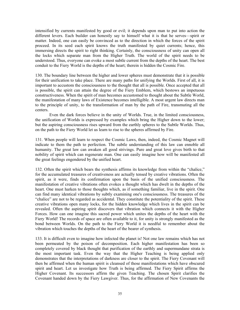intensified by currents manifested by good or evil; it depends upon man to put into action the different levers. Each builder can honestly say to himself what it is that he serves—spirit or matter. Indeed, one can easily be convinced as to the direction in which the forces of the spirit proceed. In its seed each spirit knows the truth manifested by quiet currents; hence, this immersing directs the spirit to right thinking. Certainly, the consciousness of unity can open all the locks which separate man from the Higher Truth. The world of the spirit needs to be understood. Thus, everyone can evoke a most subtle current from the depths of the heart. The best conduit to the Fiery World is the depths of the heart; therein is hidden the Cosmic Fire.

130. The boundary line between the higher and lower spheres must demonstrate that it is possible for their unification to take place. There are many paths for unifying the Worlds. First of all, it is important to accustom the consciousness to the thought that all is possible. Once accepted that all is possible, the spirit can attain the degree of the Fiery Emblem, which bestows an impetuous constructiveness. When the spirit of man becomes accustomed to thought about the Subtle World, the manifestation of many laws of Existence becomes intelligible. A most urgent law directs man to the principle of unity, to the transformation of man by the path of Fire, transmuting all the centers.

 Even the dark forces believe in the unity of Worlds. True, in the limited consciousness, the unification of Worlds is expressed by examples which bring the Higher down to the lower; but the aspiring consciousness rises upward from the earthly spheres to the Subtle Worlds. Thus, on the path to the Fiery World let us learn to rise to the spheres affirmed by Fire.

131. When people will learn to respect the Cosmic Laws, then, indeed, the Cosmic Magnet will indicate to them the path to perfection. The subtle understanding of this law can ennoble all humanity. The great law can awaken all good strivings. Pure and great love gives birth to that nobility of spirit which can regenerate man. One can easily imagine how will be manifested all the great feelings engendered by the unified heart.

132. Often the spirit which bears the synthesis affirms its knowledge from within the "chalice," for the accumulated treasures of creativeness are actually tensed by creative vibrations. Often the spirit, as it were, finds its confirmation upon the basis of the unified consciousness. The manifestation of creative vibrations often evokes a thought which has dwelt in the depths of the heart. One must harken to those thoughts which, as if something familiar, live in the spirit. One can find many identical vibrations by subtly examining one's consciousness. The treasures of the "chalice" are not to be regarded as accidental. They constitute the potentiality of the spirit. These creative vibrations open many locks, for the hidden knowledge which lives in the spirit can be revealed. Often the aspiring spirit discovers that vibration which connects it with the Higher Forces. How can one imagine this sacred power which unites the depths of the heart with the Fiery World! The records of space are often available to it, for unity is strongly manifested as the bond between Worlds. On the path to the Fiery World it is needful to remember about the vibration which touches the depths of the heart of the bearer of synthesis.

133. It is difficult even to imagine how infected the planet is! Not one law remains which has not been permeated by the poison of decomposition. Each higher manifestation has been so completely covered by black thought that purification of the earthly and supermundane strata is the most important task. Even the way that the Higher Teaching is being applied only demonstrates that the interpretations of darkness are closer to the spirit. The Fiery Covenant will then be affirmed when the human spirit is cleansed of those manifestations which have obscured spirit and heart. Let us investigate how Truth is being affirmed. The Fiery Spirit affirms the Higher Covenant. Its successors affirm the given Teaching. The chosen Spirit clarifies the Covenant handed down by the Fiery Lawgiver. Thus, for the affirmation of New Covenants the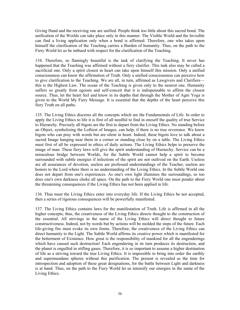Giving Hand and the receiving one are unified. People think too little about this sacred bond. The unification of the Worlds can take place only in this manner. The Visible World and the Invisible can find a living application only when a bond is affirmed. Therefore, one who takes upon himself the clarification of the Teaching carries a Burden of humanity. Thus, on the path to the Fiery World let us be imbued with respect for the clarification of the Teaching.

134. Therefore, so flamingly beautiful is the task of clarifying the Teaching. It never has happened that the Teaching was affirmed without a fiery clarifier. This task also may be called a sacrificial one. Only a spirit closest in heart can take upon himself this mission. Only a unified consciousness can know the affirmation of Truth. Only a unified consciousness can perceive how to give clarification to the Teaching. We are all, in turn, affirmed as Lawgivers and Clarifiers this is the Highest Law. The ocean of the Teaching is given only to the nearest one. Humanity suffers so greatly from egoism and self-conceit that it is indispensable to affirm the closest source. Thus, let the heart feel and know in its depths that through the Mother of Agni Yoga is given to the World My Fiery Message. It is essential that the depths of the heart perceive this fiery Truth on all paths.

135. The Living Ethics discerns all the concepts which are the Fundamentals of Life. In order to apply the Living Ethics to life it is first of all needful to find in oneself the quality of true Service to Hierarchy. Precisely all bigots are the first to depart from the Living Ethics. No standing before an Object, symbolizing the Loftiest of Images, can help, if there is no true reverence. We know bigots who can pray with words but are silent in heart. Indeed, these bigots love to talk about a sacred Image hanging near them in a corner or standing close by on a table. The Living Ethics must first of all be expressed in ethics of daily actions. The Living Ethics helps to preserve the image of man. These fiery laws will give the spirit understanding of Hierarchy. Service can be a miraculous bridge between Worlds, for the Subtle World cannot help a spirit to become surrounded with subtle energies if infections of the spirit are not outlived on the Earth. Useless are all assurances of devotion, useless are professed understandings of the Teacher, useless are honors to the Lord where there is no understanding of the Living Ethics. In the Subtle World one does not depart from one's experiences. As one's own light illumines the surroundings, so too does one's own darkness choke all space. On the path to the Fiery World one must ponder about the threatening consequences if the Living Ethics has not been applied in life.

136. Thus must the Living Ethics enter into everyday life. If the Living Ethics be not accepted, then a series of rigorous consequences will be powerfully manifested.

137. The Living Ethics contains laws for the manifestation of Truth. Life is affirmed in all the higher concepts; thus, the creativeness of the Living Ethics directs thought to the construction of the essential. All strivings in the name of the Living Ethics will direct thought to future constructiveness. Indeed, not by words but by actions will be molded the steps of the future. Each life-giving fire must evoke its own forms. Therefore, the creativeness of the Living Ethics can direct humanity to the Light. The Subtle World affirms its creative power which is manifested for the betterment of Existence. How great is the responsibility of mankind for all the engenderings which have caused such destruction! Each engendering in its turn produces its destruction, and the planet is engulfed in stifling gases. Therefore, it is so important to assume a higher destination of life as a striving toward the true Living Ethics. It is impossible to bring into order the earthly and supermundane spheres without this purification. The present is revealed as the time for introspection and adoption of these great designations, for the battle between Light and darkness is at hand. Thus, on the path to the Fiery World let us intensify our energies in the name of the Living Ethics.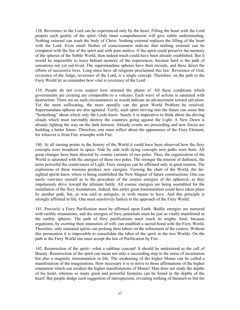138. Reverence to the Lord can be experienced only by the heart. Filling the heart with the Lord propels each quality of the spirit. Only inner comprehension will give subtle understanding. Nothing external can wash the body of Christ. Nothing external replaces the filling of the heart with the Lord. Even small flashes of consciousness indicate that nothing external can be compared with the fire of the spirit and with pure motive. If the spirit could preserve the memory of the spheres of the Subtle World, then indeed much could have been already established. But it would be impossible to leave behind memory of the experiences, because hard is the path of sensations not yet out-lived. The supermundane spheres have their records, and these direct the efforts of successive lives. Long since have all religions proclaimed this law. Reverence of God, reverence of the Judge, reverence of the Lord, is a single concept. Therefore, on the path to the Fiery World let us remember how vital is reverence of the Lord.

139. People do not even suspect how strained the planet is! All these conditions which governments are creating are comparable to a volcano. Each wave of actions is saturated with destruction. There are no such circumstances as would indicate an advancement toward salvation. Yet the more suffocating, the more speedily can the great World Problem be resolved. Supermundane spheres are also agitated. Verily, each spirit striving into the future can sense that "Something" about which only the Lords know. Surely it is imperative to think about the driving clouds which must inevitably destroy the countries going against the Light. A New Dawn is already lighting the way on the dark horizon. Already events are proceeding and new forces are building a better future. Therefore, one must reflect about the appearance of the Fiery Element, for whoever is from Fire, triumphs with Fire.

140. At all turning points in the history of the World it could have been observed how the fiery concepts were broadcast in space. Side by side with dying concepts new paths were born. All great changes have been directed by cosmic currents of two poles. Thus, the organization of the World is saturated with the energies of these two poles. The stronger the tension of darkness, the more powerful the creativeness of Light. Fiery energies can be affirmed only in great tension. The explosions of these tensions produce new energies. Viewing the chart of the World, the farsighted spirits know where is being established the New Magnet of future constructions. One can easily convince oneself as to the procedure of the cosmic energies of the upheaval, as they impetuously drive toward the ultimate battle. All cosmic energies are being assembled for the installation of the fiery foundations. Indeed, this entire great transmutation could have taken place by another path, but, as was said in antiquity, to wish means to have. And this principle is strongly affirmed in life. One must sensitively harken to the approach of the Fiery World.

141. Precisely a Fiery Purification must be affirmed upon Earth. Bodily energies are nurtured with earthly emanations, and the energies of fiery potentials must be just as vitally manifested in the earthly spheres. The path of fiery purifications must reach its mighty limit, because organisms, by exerting their intensities of will, can establish a sacred bond with the Fiery World. Therefore, only saturated spirits can prolong their labors on the refinement of the centers. Without this permeation it is impossible to consolidate the labor of the spirit in the two Worlds. On the path to the Fiery World one must accept the law of Purification by Fire.

142. Resurrection of the spirit—what a sublime concept! It should be understood as the call of Beauty. Resurrection of the spirit can mean not only a succeeding step in the sense of incarnation but also a magnetic transmutation in life. The awakening of the higher Manas can be called a manifestation of the imaginations. How necessary it is to strive to those affirmations of the higher emanation which can awaken the higher manifestations of Manas! Man does not study the depths of his heart, whereas so many great and powerful formulas can be found in the depths of the heart! But people dodge each suggestion of introspection, revealing nothing of themselves but the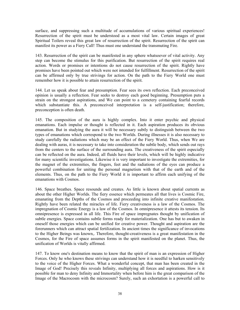surface, and suppressing such a multitude of accumulations of various spiritual experiences! Resurrection of the spirit must be understood as a most vital law. Certain images of great Spiritual Toilers reveal this great law of resurrection of the spirit. Resurrection of the spirit can manifest its power as a Fiery Call! Thus must one understand the transmuting Fire.

143. Resurrection of the spirit can be manifested in any sphere whatsoever of vital activity. Any step can become the stimulus for this purification. But resurrection of the spirit requires real action. Words or promises or intentions do not cause resurrection of the spirit. Rightly have promises have been pointed out which were not intended for fulfillment. Resurrection of the spirit can be affirmed only by true strivings for action. On the path to the Fiery World one must remember how it is possible to attain resurrection of the spirit.

144. Let us speak about fear and presumption. Fear sees its own reflection. Each preconceived opinion is usually a reflection. Fear seeks to destroy each good beginning. Presumption puts a strain on the strongest aspirations, and We can point to a cemetery containing fearful records which substantiate this. A preconceived interpretation is a self-justification; therefore, preconception is often death.

145. The composition of the aura is highly complex. Into it enter psychic and physical emanations. Each impulse or thought is reflected in it. Each aspiration produces its obvious emanation. But in studying the aura it will be necessary subtly to distinguish between the two types of emanations which correspond to the two Worlds. During illnesses it is also necessary to study carefully the radiations which may be an effect of the Fiery World. Thus, when We are dealing with auras, it is necessary to take into consideration the subtle body, which sends out rays from the centers to the surface of the surrounding aura. The creativeness of the spirit especially can be reflected on the aura. Indeed, all fluids have their levels, which will be highly indicative for many scientific investigations. Likewise it is very important to investigate the extremities, for the magnet of the extremities, the fingers, feet and the radiations of the eyes can produce a powerful combination for uniting the personal magnetism with that of the earth and of the elements. Thus, on the path to the Fiery World it is important to affirm each unifying of the emanations with Cosmos.

146. Space breathes. Space resounds and creates. As little is known about spatial currents as about the other Higher Worlds. The fiery essence which permeates all that lives is Cosmic Fire, emanating from the Depths of the Cosmos and proceeding into infinite creative manifestation. Rightly have been related the miracles of life. Fiery creativeness is a law of the Cosmos. The impregnation of Cosmic Energy is a law of the Cosmos. In omnipresence it attests its tension. Its omnipresence is expressed in all life. This Fire of space impregnates thought by unification of subtle energies. Space contains subtle forms ready for materialization. One has but to awaken in oneself those energies which can be unified for creative power. Thought and aspiration are the forerunners which can attract spatial fertilization. In ancient times the significance of invocations to the Higher Beings was known,. Therefore, thought-creativeness is a great manifestation in the Cosmos, for the Fire of space assumes forms in the spirit manifested on the planet. Thus, the unification of Worlds is vitally affirmed.

147. To know one's destination means to know that the spirit of man is an expression of Higher Forces. Only he who knows these strivings can understand how it is needful to harken sensitively to the voice of the Higher Forces. What a wonderful concept, that man has been created in the Image of God! Precisely this reveals Infinity, multiplying all forces and aspirations. How is it possible for man to deny Infinity and Immortality when before him is the great comparison of the Image of the Macrocosm with the microcosm? Surely, such an exhortation is a powerful call to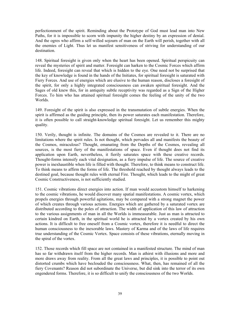perfectionment of the spirit. Reminding about the Prototype of God must lead man into New Paths, for it is impossible to scorn with impunity the higher destiny by an expression of denial. And the ogres who affirm a self-willed sojourn of man on the Earth will perish, together with all the enemies of Light. Thus let us manifest sensitiveness of striving for understanding of our destination.

148. Spiritual foresight is given only when the heart has been opened. Spiritual perspicuity can reveal the mysteries of spirit and matter. Foresight can harken to the Cosmic Forces which affirm life. Indeed, foresight can reveal that which is hidden to the eye. One need not be surprised that the key of knowledge is found in the hands of the Initiates, for spiritual foresight is saturated with Fiery Forces. And use of energies which are elusive to the human reason, discloses a foresight of the spirit, for only a highly integrated consciousness can awaken spiritual foresight. And the Sages of old knew this, for in antiquity subtle receptivity was regarded as a Sign of the Higher Forces. To him who has attained spiritual foresight comes the feeling of the unity of the two Worlds.

149. Foresight of the spirit is also expressed in the transmutation of subtle energies. When the spirit is affirmed as the guiding principle, then its power saturates each manifestation. Therefore, it is often possible to call straight-knowledge spiritual foresight. Let us remember this mighty quality.

150. Verily, thought is infinite. The domains of the Cosmos are revealed to it. There are no limitations where the spirit rules. Is not thought, which pervades all and manifests the beauty of the Cosmos, miraculous? Thought, emanating from the Depths of the Cosmos, revealing all sources, is the most fiery of the manifestations of space. Even if thought does not find its application upon Earth, nevertheless, it fierily saturates space with these creative records. Thought-forms intensify each vital designation, as a fiery impulse of life. The source of creative power is inexhaustible when life is filled with thought. Therefore, to think means to construct life. To think means to affirm the forms of life. The threshold reached by thought always leads to the destined goal, because thought rules with eternal Fire. Thought, which leads to the might of great Cosmic Constructiveness, is not sufficiently studied.

151. Cosmic vibrations direct energies into action. If man would accustom himself to harkening to the cosmic vibrations, he would discover many spatial manifestations. A cosmic vortex, which propels energies through powerful agitations, may be compared with a strong magnet the power of which creates through various actions. Energies which are gathered by a saturated vortex are distributed according to the poles of attraction. The width of application of this law of attraction to the various assignments of man in all the Worlds is immeasurable. Just as man is attracted to certain kindred on Earth, in the spiritual world he is attracted by a vortex created by his own actions. It is difficult to free oneself from a Cosmic vortex, therefore it is needful to direct the human consciousness to the inexorable laws. Mastery of Karma and of the laws of life requires true understanding of the Cosmic Vortex. Space consists of these vibrations, eternally moving in the spiral of the vortex.

152. Those records which fill space are not contained in a manifested structure. The mind of man has so far withdrawn itself from the higher records. Man is athirst with illusions and more and more draws away from reality. From all the great laws and principles, it is possible to point out distorted crumbs which have beclouded the consciousness. What, then, has remained of all the fiery Covenants? Reason did not subordinate the Universe, but did sink into the terror of its own engendered forms. Therefore, it is so difficult to unify the consciousness of the two Worlds.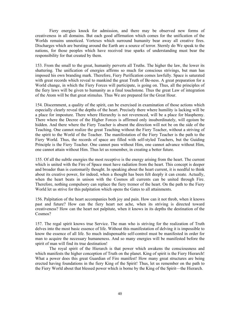Fiery energies knock for admission, and there may be observed new forms of creativeness in all domains. But each good affirmation which comes for the unification of the Worlds remains unnoticed. Vortexes which surround humanity bear away all creative fires. Discharges which are bursting around the Earth are a source of terror. Sternly do We speak to the nations, for those peoples which have received true sparks of understanding must bear the responsibility for that created by them.

153. From the small to the great, humanity perverts all Truths. The higher the law, the lower its shattering. The unification of energies affirms so much for conscious strivings, but man has imposed his own branding mark. Therefore, Fiery Purification comes lawfully. Space is saturated with great records which reveal to mankind the great Truth of Be-ness. A great preparation for a World change, in which the Fiery Forces will participate, is going on. Thus, all the principles of the fiery laws will be given to humanity as a final touchstone. Thus the great Law of integration of the Atom will be that great stimulus. Thus We are prepared for the Great Hour.

154. Discernment, a quality of the spirit, can be exercised in examination of those actions which especially clearly reveal the depths of the heart. Precisely there where humility is lacking will be a place for imposture. There where Hierarchy is not reverenced, will be a place for blasphemy. There where the Decree of the Higher Forces is affirmed only insubordinately, will egoism be hidden. And there where the Fiery Teacher is absent the direction will not be on the side of the Teaching. One cannot realize the great Teaching without the Fiery Teacher, without a striving of the spirit to the World of the Teacher. The manifestation of the Fiery Teacher is the path to the Fiery World. Thus, the records of space are filled with self-styled Teachers, but the Guiding Principle is the Fiery Teacher. One cannot pass without Him, one cannot advance without Him, one cannot attain without Him. Thus let us remember, in creating a better future.

155. Of all the subtle energies the most receptive is the energy arising from the heart. The current which is united with the Fire of Space must have radiation from the heart. This concept is deeper and broader than is customarily thought. In speaking about the heart current, it is needful to think about its creative power, for indeed, when a thought has been felt deeply it can create. Actually, when the heart beats in unison with the Cosmos all currents can be united through Fire. Therefore, nothing compulsory can replace the fiery tremor of the heart. On the path to the Fiery World let us strive for this palpitation which opens the Gates to all attainments.

156. Palpitation of the heart accompanies both joy and pain. How can it not throb, when it knows past and future? How can the fiery heart not ache, when its striving is directed toward creativeness? How can the heart not palpitate, when it knows in its depths the destination of the Cosmos?

157. The regal spirit knows true Service. The man who is striving for the realization of Truth delves into the most basic essence of life. Without this manifestation of delving it is impossible to know the essence of all life. So much indispensable self-control must be manifested in order for man to acquire the necessary humaneness. And so many energies will be manifested before the spirit of man will find its true destination!

 The royal spirit of the Hierarch is that power which awakens the consciousness and which manifests the higher conception of Truth on the planet. King of spirit is the Fiery Hierarch! What a power does this great Guardian of Fire manifest! How many great structures are being erected having foundations in the fiery King of the Spirit! Thus, let us remember on the path to the Fiery World about that blessed power which is borne by the King of the Spirit—the Hierarch.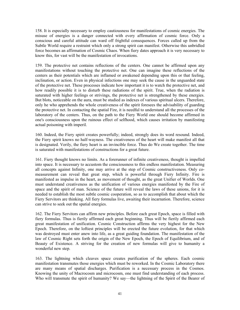158. It is especially necessary to employ cautiousness for manifestations of cosmic energies. The misuse of energies is a danger connected with every affirmation of cosmic force. Only a conscious and careful attitude can ward off frightful consequences. Forces called up from the Subtle World require a restraint which only a strong spirit can manifest. Otherwise this unbridled force becomes an affirmation of Cosmic Chaos. When fiery dates approach it is very necessary to know this, for vast will be the manifestation of invocations.

159. The protective net contains reflections of the centers. One cannot be affirmed upon any manifestations without touching the protective net. One can imagine these reflections of the centers as their potentials which are inflamed or awakened depending upon this or that feeling, inclination, or action. Even in physical infections one may seek the cause in the unguarded state of the protective net. These processes indicate how important it is to watch the protective net, and how readily possible it is to disturb these radiations of the spirit. True, when the radiation is saturated with higher feelings or strivings, the protective net is strengthened by these energies. But blots, noticeable on the aura, must be studied as indexes of various spiritual ulcers. Therefore, only he who apprehends the whole creativeness of the spirit foresees the advisability of guarding the protective net. In contacting the spatial Fire, it is needful to understand all the processes of the laboratory of the centers. Thus, on the path to the Fiery World one should become affirmed in one's consciousness upon the ruinous effect of selfhood, which causes irritation by manifesting actual poisoning with imperil.

160. Indeed, the Fiery spirit creates powerfully; indeed, strongly does its word resound. Indeed, the Fiery spirit knows no half-wayness. The creativeness of the heart will make manifest all that is designated. Verily, the fiery heart is an invincible force. Thus do We create together. The time is saturated with manifestations of constructions for a great future.

161. Fiery thought knows no limits. As a forerunner of infinite creativeness, thought is impelled into space. It is necessary to accustom the consciousness to this endless manifestation. Measuring all concepts against Infinity, one may arrive at the step of Cosmic constructiveness. Only comeasurement can reveal that great step, which is powerful through Fiery Infinity. Fire is manifested as impulse in the heart, as movement of thought, as the great Unifier of Worlds. One must understand creativeness as the unification of various energies manifested by the Fire of space and the spirit of man. Science of the future will reveal the laws of these unions, for it is needed to establish the most subtle cosmic cooperation, so as to accomplish that about which the Fiery Servitors are thinking. All fiery formulas live, awaiting their incarnation. Therefore, science can strive to seek out the spatial energies.

162. The Fiery Servitors can affirm new principles. Before each great Epoch, space is filled with fiery formulas. Thus is fierily affirmed each great beginning. Thus will be fierily affirmed each great manifestation of unification. Cosmic Construction affirms the very highest for the New Epoch. Therefore, on the loftiest principles will be erected the future evolution, for that which was destroyed must enter anew into life, as a great guiding foundation. The manifestation of the law of Cosmic Right sets forth the origin of the New Epoch, the Epoch of Equilibrium, and of Beauty of Existence. A striving for the creation of new formulas will give to humanity a wonderful new step.

163. The lightning which cleaves space creates purification of the spheres. Each cosmic manifestation transmutes those energies which must be reworked. In the Cosmic Laboratory there are many means of spatial discharges. Purification is a necessary process in the Cosmos. Knowing the unity of Macrocosm and microcosm, one must find understanding of each process. Who will transmute the spirit of humanity? We say—the lightning of the Spirit of the Bearer of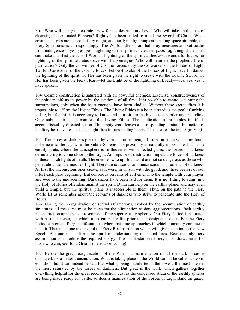Fire. Who will let fly the cosmic arrow for the destruction of evil? Who will take up the task of cleansing the entrusted Banners? Rightly has been called to mind the Sword of Christ. When cosmic energies are tensed in fiery might, and purifying lightnings are making space atremble, the Fiery Spirit creates correspondingly. The World suffers from half-way measures and suffocates from indulgences—yes, yes, yes! Lightning of the spirit can cleanse space. Lightning of the spirit can make manifest the far-off Worlds. Lightning of the spirit can bestow a wonderful future, for lightning of the spirit saturates space with fiery energies. Who will manifest the prophetic fire of purification? Only the Co-worker of Cosmic forces, only the Co-worker of the Forces of Light. To Her, Co-worker of the Cosmic forces, Fellow-traveler of the Forces of Light, have I ordained the lightning of the spirit. To Her has been given the right to create with the Cosmic Sword. To Her has been given the Fiery Heart—let the Light be of the lightning of Beauty—yes, yes, yes! I have spoken.

164. Cosmic construction is saturated with all powerful energies. Likewise, constructiveness of the spirit manifests its power by the synthesis of all fires. It is possible to create, saturating the surroundings, only when the heart energies have been kindled. Without these sacred fires it is impossible to affirm the Higher Ethics. The Living Ethics can be instituted as the goal of striving in life, but for this it is necessary to know and to aspire to the higher and subtler understanding. Only subtle spirits can manifest the Living Ethics. The application of principles in life is accomplished by directed action. The empty word leaves a corresponding stratum, but action of the fiery heart evokes and sets alight fires in surrounding hearts. Thus creates the true Agni Yogi.

165. The forces of darkness press on by various means, being affirmed in strata which are found to be near to the Light. In the Subtle Spheres this proximity is naturally impossible, but in the earthly strata, where the atmosphere is so thickened with infected gases, the forces of darkness definitely try to come close to the Light. An impulse of destruction impels the forces of darkness to these Torch lights of Truth. The enemies who uplift a sword are not so dangerous as those who penetrate under the mask of Light. There are conscious and unconscious instruments of darkness. At first the unconscious ones create, as it were, in unison with the good, and these bearers of evil infect each pure beginning. But conscious servants of evil enter into the temple with your prayer, and woe to the undiscerning! Dark snares have been laid for them. It is not fitting to admit into the Holy of Holies offenders against the spirit. Djinn can help on the earthly plane, and may even build a temple, but the spiritual plane is inaccessible to them. Thus, on the path to the Fiery World let us remember about the servants of darkness who strive to penetrate into the Holy of Holies.

166. During the reorganization of spatial affirmations, evoked by the accumulation of earthly structures, all measures must be taken for the elimination of dark agglomerations. Each earthly reconstruction appears as a resonance of the super-earthly spheres. Our Fiery Period is saturated with particular energies which must enter into life prior to the designated dates. For the Fiery Period can create fiery manifestations, when that time approaches in which humanity can rise to meet it. Thus must one understand the Fiery Reconstruction which will give inception to the New Epoch. But one must affirm the spirit in understanding of spatial fires. Because only fiery assimilation can produce the required energy. The manifestation of fiery dates draws near. Let those who can, see, for a Great Time is approaching!

167. Before the great reorganization of the World, a manifestation of all the dark forces is displayed, for a better transmutation. What is taking place in the World cannot be called a step of evolution, but it can indeed be said that what is being manifested is the lowest, the most intense, the most saturated by the forces of darkness. But great is the work which gathers together everything helpful for the great reconstruction. Just as the condensed strata of the earthly spheres are being made ready for battle, so does a manifestation of the Forces of Light stand on guard.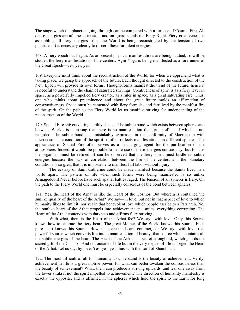The stage which the planet is going through can be compared with a furnace of Cosmic Fire. All dense energies are aflame in tension, and on guard stands the Fiery Right. Fiery creativeness is assembling all fiery energies—thus the World is being reconstructed by the tension of two polarities. It is necessary clearly to discern these turbulent energies.

168. A fiery epoch has begun. As at present physical manifestations are being studied, so will be studied the fiery manifestations of the centers. Agni Yoga is being manifested as a forerunner of the Great Epoch—yes, yes, yes!

169. Everyone must think about the reconstruction of the World, for when we apprehend what is taking place, we grasp the approach of the future. Each thought directed to the construction of the New Epoch will provide its own forms. Thought-forms manifest the trend of the future; hence it is needful to understand the chain of saturated strivings. Creativeness of spirit is as a fiery lever in space, as a powerfully impelled fiery creator, as a ruler in space, as a great saturating Fire. Thus, one who thinks about preeminence and about the great future molds an affirmation of constructiveness. Space must be cemented with fiery formulas and fertilized by the manifest fire of the spirit. On the path to the Fiery World let us manifest striving for understanding of the reconstruction of the World.

170. Spatial Fire shivers during earthly shocks. The subtle bond which exists between spheres and between Worlds is so strong that there is no manifestation the further effect of which is not recorded. The subtle bond is unmistakably expressed in the conformity of Macrocosm with microcosm. The condition of the spirit so often reflects manifestations on different spheres. The appearance of Spatial Fire often serves as a discharging agent for the purification of the atmosphere. Indeed, it would be possible to make use of these energies consciously, but for this the organism must be refined. It can be observed that the fiery spirit must bridle its subtle energies because the lack of correlation between the fire of the centers and the planetary conditions is so great that it is impossible to manifest full labor without injury.

 The ecstasy of Saint Catherine could be made manifest because the Saints lived in a world apart. The pattern of life when such forms were being manifested is so unlike Armageddon! Never before have such spatial battles raged. The tension of all spheres is fiery. On the path to the Fiery World one must be especially conscious of the bond between spheres.

171. Yes, the heart of the Arhat is like the Heart of the Cosmos. But wherein is contained the sunlike quality of the heart of the Arhat? We say—in love, but not in that aspect of love to which humanity likes to limit it; nor yet in that benevolent love which people ascribe to a Patriarch. No, the sunlike heart of the Arhat propels into achievement and smites everything corrupting. The Heart of the Arhat contends with darkness and affirms fiery striving.

 With what, then, is the Heart of the Arhat fed? We say—with love. Only this Source knows how to saturate the fiery heart. The great Mother of the World knows this Source. Each pure heart knows this Source. How, then, are the hearts commerged? We say—with love, that powerful source which converts life into a manifestation of beauty, that source which contains all the subtle energies of the heart. The Heart of the Arhat is a secret stronghold, which guards the sacred gift of the Cosmos. And not outside of life but in the very depths of life is forged the Heart of the Arhat. Let us say, by love. Yes, yes, yes, thus saith the Lord of Shambhala.

172. The most difficult of all for humanity to understand is the beauty of achievement. Verily, achievement in life is a great motive power, for what can better awaken the consciousness than the beauty of achievement? What, then, can produce a striving upwards, and tear one away from the lower strata if not the spirit impelled to achievement? The direction of humanity manifestly is exactly the opposite, and is affirmed in the spheres which hold the spirit to the Earth for long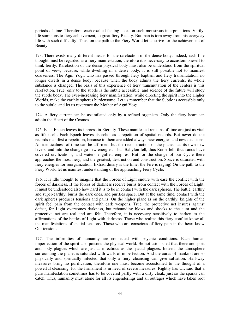periods of time. Therefore, each exalted feeling takes on such monstrous interpretations. Verily, life summons to fiery achievement, to great fiery Beauty. But man is torn away from his everyday life with such difficulty! Thus, on the path to the Fiery World let us strive for the achievement of Beauty.

173. There exists many different means for the rarefaction of the dense body. Indeed, each fine thought must be regarded as a fiery manifestation, therefore it is necessary to accustom oneself to think fierily. Rarefaction of the dense physical body must also be understood from the spiritual point of view, because, while dwelling in a dense body, it is still possible not to manifest coarseness. The Agni Yogi, who has passed through fiery baptism and fiery transmutation, no longer dwells in a dense body, because when the body admits the fiery currents, its whole substance is changed. The basis of this experience of fiery transmutation of the centers is this rarefaction. True, only to the subtle is the subtle accessible, and science of the future will study the subtle body. The ever-increasing fiery manifestation, while directing the spirit into the Higher Worlds, make the earthly spheres burdensome. Let us remember that the Subtle is accessible only to the subtle, and let us reverence the Mother of Agni Yoga.

174. A fiery current can be assimilated only by a refined organism. Only the fiery heart can adjoin the Heart of the Cosmos.

175. Each Epoch leaves its impress in Eternity. These manifested remains of time are just as vital as life itself. Each Epoch leaves its echo, as a repetition of spatial records. But never do the records manifest a repetition, because to them are added always new energies and new decisions. An identicalness of time can be affirmed, but the reconstruction of the planet has its own new levers, and into the change go new energies. Thus Babylon fell, thus Rome fell, thus sands have covered civilizations, and waters engulfed empires. But for the change of our Cycle there approaches the most fiery, and the greatest, destruction and construction. Space is saturated with fiery energies for reorganization. Extraordinary is the time; the Fire is raging! On the path to the Fiery World let us manifest understanding of the approaching Fiery Cycle.

176. It is idle thought to imagine that the Forces of Light endure with ease the conflict with the forces of darkness. If the forces of darkness receive burns from contact with the Forces of Light, it must be understood also how hard it is to be in contact with the dark spheres. The battle, earthly and super-earthly, burns the dark ones, and purifies space. But at the same time, contact with the dark spheres produces tensions and pains. On the higher plane as on the earthly, knights of the spirit feel pain from the contact with dark weapons. True, the protective net insures against defeat, for Light overcomes darkness, but rebounding blows and shocks to the aura and the protective net are real and are felt. Therefore, it is necessary sensitively to harken to the affirmations of the battles of Light with darkness. Those who realize this fiery conflict know all the manifestations of spatial tensions. Those who are conscious of fiery pain in the heart know Our tensions.

177. The infirmities of humanity are connected with psychic conditions. Each human imperfection of the spirit also poisons the physical world. Be not astonished that there are spirit and body plagues which are just as infectious as the spatial plagues. Indeed, the atmosphere surrounding the planet is saturated with wails of imperfection. And the auras of mankind are so physically and spiritually infected that only a fiery cleansing can give salvation. Half-way measures bring no purification, therefore one must become accustomed to the thought of a powerful cleansing, for the firmament is in need of severe measures. Rightly has Ur. said that a pure manifestation sometimes has to be covered partly with a dirty cloak, just so the sparks can catch. Thus, humanity must atone for all its engenderings and all outrages which have taken root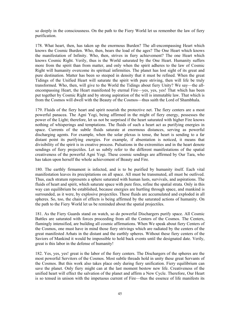so deeply in the consciousness. On the path to the Fiery World let us remember the law of fiery purification.

178. What heart, then, has taken up the enormous Burden? The all-encompassing Heart which knows the Cosmic Burden. Who, then, bears the load of the ages? The One Heart which knows the manifestation of Infinity. Who, then, strives in fiery achievement? The one Heart which knows Cosmic Right. Verily, thus is the World saturated by the One Heart. Humanity suffers more from the spirit than from matter, and only when the spirit adheres to the law of Cosmic Right will humanity overcome its spiritual infirmities. The planet has lost sight of its great and pure destination. Matter has been so steeped in density that it must be refined. When the great Tidings of the Unified Heart will saturate the spirit with pure striving, then will life be truly transformed. Who, then, will give to the World the Tidings about fiery Unity? We say—the allencompassing Heart, the Heart manifested by eternal Fire—yes, yes, yes! That which has been put together by Cosmic Right and by strong aspiration of the will is immutable law. That which is from the Cosmos will dwell with the Beauty of the Cosmos—thus saith the Lord of Shambhala.

179. Fluids of the fiery heart and spirit nourish the protective net. The fiery centers are a most powerful panacea. The Agni Yogi, being affirmed in the might of fiery energy, possesses the power of the Light; therefore, let us not be surprised if the heart saturated with higher Fire knows nothing of whisperings and temptations. The fluids of such a heart act as purifying energies in space. Currents of the subtle fluids saturate at enormous distances, serving as powerful discharging agents. For example, when the solar plexus is tense, the heart is sending to a far distant point its purifying energies. For example, if absentation is noticed, it means that divisibility of the spirit is in creative process. Pulsations in the extremities and in the heart denote sendings of fiery projectiles. Let us subtly refer to the different manifestations of the spatial creativeness of the powerful Agni Yogi. These cosmic sendings are affirmed by Our Tara, who has taken upon herself the whole achievement of Beauty and Fire.

180. The earthly firmament is infected, and is to be purified by humanity itself. Each vital manifestation leaves its precipitations on all space. All must be transmuted, all must be outlived. Thus, each stratum represents a sphere saturated with human lusts, survivals, and aspirations. The fluids of heart and spirit, which saturate space with pure fires, refine the spatial strata. Only in this way can equilibrium be established, because energies are hurtling through space, and mankind is surrounded, as it were, by explosive projectiles. These fluids are accumulated and exploded in all spheres. So, too, the chain of effects is being affirmed by the saturated actions of humanity. On the path to the Fiery World let us be reminded about the spatial projectiles.

181. As the Fiery Guards stand on watch, so do powerful Dischargers purify space. All Cosmic Battles are saturated with forces proceeding from all the Centers of the Cosmos. The Centers, flamingly intensified, are building all cosmic affirmations. When We speak about fiery Centers of the Cosmos, one must have in mind those fiery strivings which are radiated by the centers of the great manifested Arhats in the distant and the earthly spheres. Without these fiery centers of the Saviors of Mankind it would be impossible to hold back events until the designated date. Verily, great is this labor in the defense of humanity!

182. Yes, yes, yes! great is the labor of the fiery centers. The Dischargers of the spheres are the most powerful Servitors of the Cosmos. Most subtle threads hold in unity these great Servants of the Cosmos. But this work also takes place only during fiery unification. Fiery equilibrium can save the planet. Only fiery might can at the last moment bestow new life. Creativeness of the unified heart will effect the salvation of the planet and affirm a New Cycle. Therefore, Our Heart is so tensed in unison with the impetuous current of Fire—thus the essence of life manifests its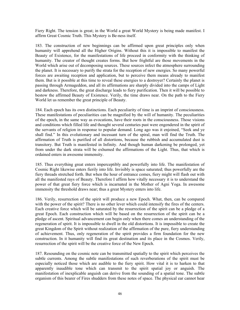Fiery Right. The tension is great; in the World a great World Mystery is being made manifest. I affirm Great Cosmic Truth. This Mystery is Be-ness itself.

183. The construction of new beginnings can be affirmed upon great principles only when humanity will apprehend all the Higher Origins. Without this it is impossible to manifest the Beauty of Existence, for the manifestations of life proceed in conformity with the thinking of humanity. The creator of thought creates forms. But how frightful are those movements in the World which arise out of decomposing sources. These sources infect the atmosphere surrounding the planet. It is necessary to purify the strata for the reception of new energies. So many powerful forces are awaiting reception and application, but to perceive them means already to manifest them. But is it possible at this time to reveal these energies to a destroyer? Certainly the planet is passing through Armageddon, and all its affirmations are sharply divided into the camps of Light and darkness. Therefore, the great discharge leads to fiery purification. Then it will be possible to bestow the affirmed Beauty of Existence. Verily, the time draws near. On the path to the Fiery World let us remember the great principle of Beauty.

184. Each epoch has its own distinctions. Each peculiarity of time is an imprint of consciousness. These manifestations of peculiarities can be magnified by the will of humanity. The peculiarities of the epoch, in the same way as evocations, have their roots in the consciousness. Those visions and conditions which filled life and thought several centuries past were engendered in the spirit of the servants of religion in response to popular demand. Long ago was it enjoined, "Seek and ye shall find." In this evolutionary and incessant turn of the spiral, man will find the Truth. The affirmation of Truth is purified of all distortions, because the rubbish and accumulated dust is transitory. But Truth is manifested in Infinity. And though human darkening be prolonged, yet from under the dark strata will be exhumed the affirmations of the Light. Thus, that which is ordained enters in awesome immensity.

185. Thus everything great enters imperceptibly and powerfully into life. The manifestation of Cosmic Right likewise enters fierily into life. Invisibly is space saturated; thus powerfully are the fiery threads stretched forth. But when the hour of entrance comes, fiery might will flash out with all the manifested rays of Beauty. Therefore I affirm how vitally necessary it is to understand the power of that great fiery force which is incarnated in the Mother of Agni Yoga. In awesome immensity the threshold draws near; thus a great Mystery enters into life.

186. Verily, resurrection of the spirit will produce a new Epoch. What, then, can be compared with the power of the spirit? There is no other lever which could intensify the fires of the centers. Each creative force which will be saturated by the resurrection of the spirit can be a pledge of a great Epoch. Each construction which will be based on the resurrection of the spirit can be a pledge of ascent. Spiritual advancement can begin only when there comes an understanding of the regeneration of spirit. It is impossible to dwell in the old distortions. It is impossible to create the great Kingdom of the Spirit without realization of the affirmation of the pure, fiery understanding of achievement. Thus, only regeneration of the spirit provides a firm foundation for the new construction. In it humanity will find its great destination and its place in the Cosmos. Verily, resurrection of the spirit will be the creative force of the New Epoch.

187. Resounding on the cosmic note can be transmitted spatially to the spirit which perceives the subtle currents. Among the subtle manifestations of such reverberations of the spirit must be especially noticed those which are audible to the fiery spirit. How vital it is to harken to that apparently inaudible tone which can transmit to the spirit spatial joy or anguish. The manifestation of inexplicable anguish can derive from the sounding of a spatial tone. The subtle organism of this bearer of Fires shudders from these notes of space. The physical ear cannot hear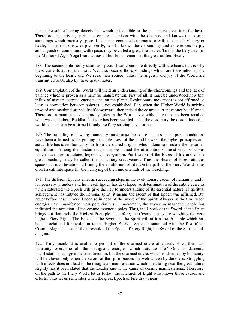it, but the subtle hearing detects that which is inaudible to the ear and receives it in the heart. Therefore, the striving spirit is a creator in unison with the Cosmos, and knows the cosmic soundings which intensify space. In them is contained summons or call; in them is victory or battle; in them is sorrow or joy. Verily, he who knows these soundings and experiences the joy and anguish of communion with space, may be called a great fire-bearer. To this the fiery heart of the Mother of Agni Yoga bears witness. Thus let us remember the great unified Heart.

188. The cosmic note fierily saturates space. It can commune directly with the heart; that is why these currents act on the heart. We, too, receive those soundings which are transmitted in the beginning to the heart, and We seek their source. Thus, the anguish and joy of the World are transmitted to Us also by these spatial notes.

189. Contemplation of the World will yield an understanding of the shortcomings and the lack of balance which is proven as a harmful manifestation. First of all, it must be understood how that influx of new unaccepted energies acts on the planet. Evolutionary movement is not affirmed so long as correlation between spheres is not established. For, when the Higher World is striving upward and mankind propels itself downward, then indeed the cosmic current cannot be affirmed. Therefore, a manifested disharmony rules in the World. Not without reason has been recalled what was said about Buddha. Not idly has been recalled—"let the dead bury the dead." Indeed, a world concept can be affirmed if only the fiery striving is victorious.

190. The trampling of laws by humanity must rouse the consciousness, since pure foundations have been affirmed as the guiding principle. Loss of the bond between the higher principles and actual life has taken humanity far from the sacred origins, which alone can restore the disturbed equilibrium. Among the fundamentals may be named the affirmation of most vital principles which have been mutilated beyond all recognition. Purification of the Bases of life and of the great Teachings may be called the most fiery creativeness. Thus the Bearer of Fires saturates space with manifestations affirming the equilibrium of life. On the path to the Fiery World let us direct a call into space for the purifying of the Fundamentals of the Teaching.

191. The different Epochs enter as succeeding steps in the evolutionary ascent of humanity, and it is necessary to understand how each Epoch has developed. A determination of the subtle currents which saturated the Epoch will give the key to understanding of its essential nature. If spiritual achievement has imbued the national spirit, it means the ascent of that Epoch was affirmed. But never before has the World been so in need of the sword of the Spirit! Always, at the time when energies have manifested their potentialities in movement, the wavering magnetic needle has indicated the agitation of the cosmic magnetic poles. Thus, the Epoch of the Sword of the Spirit brings out flamingly the Highest Principle. Therefore, the Cosmic scales are weighing the very highest Fiery Right. The Epoch of the Sword of the Spirit will affirm the Principle which has been proclaimed for evolution to the Higher Worlds. Space is saturated with the fire of the Cosmic Magnet. Thus, at the threshold of the Epoch of Fiery Right, the Sword of the Spirit stands on guard.

192. Truly, mankind is unable to get out of the charmed circle of effects. How, then, can humanity overcome all the malignant energies which saturate life? Only fundamental manifestations can give the true direction; but the charmed circle, which is affirmed by humanity, will be cloven only when the sword of the spirit pierces the web woven by darkness. Struggling with effects does not lead to the designated manifestation which must bring near the great future. Rightly has it been stated that the Leader knows the cause of cosmic manifestations. Therefore, on the path to the Fiery World let us follow the Hierarch of Light who knows those causes and effects. Thus let us remember when the great Epoch of Fire draws near.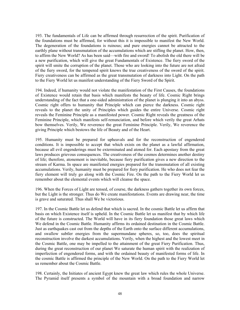193. The fundamentals of Life can be affirmed through resurrection of the spirit. Purification of the foundations must be affirmed, for without this it is impossible to manifest the New World. The degeneration of the foundations is ruinous; and pure energies cannot be attracted to the earthly plane without transmutation of the accumulations which are stifling the planet. How, then, to affirm the New World? As has been said—with fire and sword! To abolish the old there will be a new purification, which will give the great Fundamentals of Existence. The fiery sword of the spirit will smite the corruption of the planet. Those who are looking into the future are not afraid of the fiery sword, for the tempered spirit knows the true creativeness of the sword of the spirit. Fiery creativeness can be affirmed as the great transmutation of darkness into Light. On the path to the Fiery World let us manifest understanding of the Fiery Sword of the Spirit.

194. Indeed, if humanity would not violate the manifestation of the First Causes, the foundations of Existence would retain that basis which manifests the beauty of life. Cosmic Right brings understanding of the fact that a one-sided administration of the planet is plunging it into an abyss. Cosmic right offers to humanity that Principle which can pierce the darkness. Cosmic right reveals to the planet the unity of Principles which guides the entire Universe. Cosmic right reveals the Feminine Principle as a manifested power. Cosmic Right reveals the greatness of the Feminine Principle, which manifests self-renunciation, and before which verily the great Arhats bow themselves. Verily, We reverence the great Feminine Principle. Verily, We reverence the giving Principle which bestows the life of Beauty and of the Heart.

195. Humanity must be prepared for upheavals and for the reconstruction of engendered conditions. It is impossible to accept that which exists on the planet as a lawful affirmation, because all evil engenderings must be exterminated and atoned for. Each apostasy from the great laws produces grievous consequences. The creativeness of the cosmos determines another destiny of life; therefore, atonement is inevitable, because fiery purification gives a new direction to the stream of Karma. In space are manifested energies prepared for the transmutation of all existing accumulations. Verily, humanity must be prepared for fiery purification. He who does not fear the fiery element will truly go along with the Cosmic Fire. On the path to the Fiery World let us remember about the elemental events which will cleanse the space.

196. When the Forces of Light are tensed, of course, the darkness gathers together its own forces, but the Light is the stronger. Thus do We create manifestations. Events are drawing near, the time is grave and saturated. Thus shall We be victorious.

197. In the Cosmic Battle let us defend that which is sacred. In the cosmic Battle let us affirm that basis on which Existence itself is upheld. In the Cosmic Battle let us manifest that by which life of the future is constructed. The World will have in its fiery foundation those great laws which We defend in the Cosmic Battle. Humanity affirms its ordained destination in the Cosmic Battle. Just as earthquakes cast out from the depths of the Earth onto the surface different accumulations, and swallow subtler energies from the supermundane spheres, so, too, does the spiritual reconstruction involve the darkest accumulations. Verily, when the highest and the lowest meet in the Cosmic Battle, one may be impelled to the attainment of the great Fiery Purification. Thus, during the great reconstruction of our planet We saturate the human spirit with the realization of imperfection of engendered forms, and with the ordained beauty of manifested forms of life. In the cosmic Battle is affirmed the principle of the New World. On the path to the Fiery World let us remember about the Cosmic Battle.

198. Certainly, the Initiates of ancient Egypt knew the great law which rules the whole Universe. The Pyramid itself presents a symbol of the mountain with a broad foundation and narrow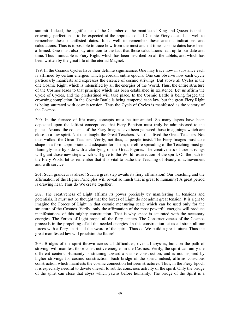summit. Indeed, the significance of the Chamber of the manifested King and Queen is that a crowning perfection is to be expected at the approach of all Cosmic Fiery dates. It is well to remember these manifested dates. It is well to remember these ancient indications and calculations. Thus is it possible to trace how from the most ancient times cosmic dates have been affirmed. One must also pay attention to the fact that those calculations lead up to our date and time. Thus immutable is Fiery Right, which has been inscribed on all the tablets, and which has been written by the great life of the eternal Magnet.

199. In the Cosmos Cycles have their definite significance. One may trace how in substance each is affirmed by certain energies which preordain entire epochs. One can observe how each Cycle particularly manifests and expresses the essence of cosmic strivings. But above all Cycles is the one Cosmic Right, which is intensified by all the energies of the World. Thus, the entire structure of the Cosmos leads to that principle which has been established in Existence. Let us affirm the Cycle of Cycles, and the predestined will take place. In the Cosmic Battle is being forged the crowning completion. In the Cosmic Battle is being tempered each law, but the great Fiery Right is being saturated with cosmic tension. Thus the Cycle of Cycles is manifested as the victory of the Cosmos.

200. In the furnace of life many concepts must be transmuted. So many layers have been deposited upon the loftiest conceptions, that Fiery Baptism must truly be administered to the planet. Around the concepts of the Fiery Images have been gathered those imaginings which are close to a low spirit. Not thus taught the Great Teachers. Not thus lived the Great Teachers. Not thus walked the Great Teachers. Verily, not thus, as people insist. The Fiery Images must take shape in a form appropriate and adequate for Them; therefore spreading of the Teaching must go flamingly side by side with a clarifying of the Great Figures. The creativeness of true strivings will grant those new steps which will give to the World resurrection of the spirit. On the path to the Fiery World let us remember that it is vital to bathe the Teaching of Beauty in achievement and with service.

201. Such grandeur is ahead! Such a great step awaits its fiery affirmation! Our Teaching and the affirmation of the Higher Principles will reveal so much that is great to humanity! A great period is drawing near. Thus do We create together.

202. The creativeness of Light affirms its power precisely by manifesting all tensions and potentials. It must not be thought that the forces of Light do not admit great tension. It is right to imagine the Forces of Light in that cosmic measuring scale which can be used only for the structure of the Cosmos. Verily, only the affirmation of the most powerful energies will produce manifestations of this mighty construction. That is why space is saturated with the necessary energies. The Forces of Light propel all the fiery centers. The Constructiveness of the Cosmos proceeds in the propelling of all the needed energies. In this construction let us all strain all our forces with a fiery heart and the sword of the spirit. Thus do We build a great future. Thus the great manifested law will proclaim the future!

203. Bridges of the spirit thrown across all difficulties, over all abysses, built on the path of striving, will manifest those constructive energies in the Cosmos. Verily, the spirit can unify the different centers. Humanity is straining toward a visible construction, and is not inspired by higher strivings for cosmic construction. Each bridge of the spirit, indeed, affirms conscious construction which manifests the cosmic connection between structures. Thus, in the Fiery Epoch it is especially needful to devote oneself to subtle, conscious activity of the spirit. Only the bridge of the spirit can close that abyss which yawns before humanity. The bridge of the Spirit is a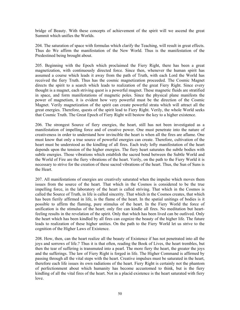bridge of Beauty. With these concepts of achievement of the spirit will we ascend the great Summit which unifies the Worlds.

204. The saturation of space with formulas which clarify the Teaching, will result in great effects. Thus do We affirm the manifestation of the New World. Thus is the manifestation of the Predestined being brought about.

205. Beginning with the Epoch which proclaimed the Fiery Right, there has been a great magnetization, with continuously directed force. Since then, whenever the human spirit has assumed a course which leads it away from the path of Truth, with each Lord the World has received the fiery Truth. Thus has the cosmic magnetization proceeded. The Cosmic Magnet directs the spirit to a search which leads to realization of the great Fiery Right. Since every thought is a magnet, each striving quest is a powerful magnet. These magnetic fluids are stratified in space, and form manifestations of magnetic poles. Since the physical plane manifests the power of magnetism, it is evident how very powerful must be the direction of the Cosmic Magnet. Verily magnetization of the spirit can create powerful strata which will attract all the great energies. Therefore, quests of the spirit lead to Fiery Right. Verily, the whole World seeks that Cosmic Truth. The Great Epoch of Fiery Right will bestow the key to a higher existence.

206. The strongest Source of fiery energies, the heart, still has not been investigated as a manifestation of impelling force and of creative power. One must penetrate into the nature of creativeness in order to understand how invincible the heart is when all the fires are aflame. One must know that only a true source of powerful energies can create. Therefore, cultivation of the heart must be understood as the kindling of all fires. Each truly lofty manifestation of the heart depends upon the tension of the higher energies. The fiery heart saturates the subtle bodies with subtle energies. Those vibrations which establish the sacred bond between the Subtle World and the World of Fire are the fiery vibrations of the heart. Verily, on the path to the Fiery World it is necessary to strive for the creation of these sacred vibrations of the heart. Thus, the Sun of Suns is the Heart.

207. All manifestations of energies are creatively saturated when the impulse which moves them issues from the source of the heart. That which in the Cosmos is considered to be the true impelling force, in the laboratory of the heart is called striving. That which in the Cosmos is called the Source of Truth, in life is called sincerity. That which in the Cosmos creates, that which has been fierily affirmed in life, is the flame of the heart. In the spatial unitings of bodies is it possible to affirm the flaming, pure stimulus of the heart. In the Fiery World the force of unification is the stimulus of the heart; only fire can kindle all fires. No meditation but heartfeeling results in the revelation of the spirit. Only that which has been lived can be outlived. Only the heart which has been kindled by all fires can cognize the beauty of the higher life. The future leads to realization of these higher unities. On the path to the Fiery World let us strive to the cognition of the Higher Laws of Existence.

208. How, then, can the heart realize all the beauty of Existence if has not penetrated into all the joys and sorrows of life.? Thus it is that often, reading the Book of Lives, the heart trembles, but then the tear of suffering is transmuted into a pearl. The more fiery the heart, the greater the joys and the sufferings. The law of Fiery Right is forged in life. The Higher Command is affirmed by passing through all the vital steps with the heart. Creative impulses must be saturated in the heart, therefore each life issues its own radiations of the heart. Fiery Right is certainly not the phantom of perfectionment about which humanity has become accustomed to think, but is the fiery kindling of all the vital fires of the heart. Not in a placid existence is the heart saturated with fiery love.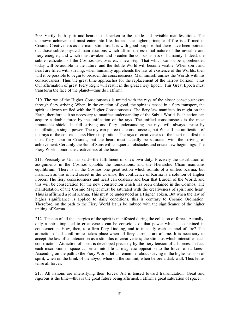209. Verily, both spirit and heart must hearken to the subtle and invisible manifestations. The unknown achievement must enter into life. Indeed, the higher principle of fire is affirmed in Cosmic Creativeness as the main stimulus. It is with good purpose that there have been pointed out those subtle physical manifestations which affirm the essential nature of the invisible and fiery energies, and which must awaken and broaden the consciousness of humanity. Indeed, the subtle realization of the Cosmos discloses each new step. That which cannot be apprehended today will be audible in the future, and the Subtle World will become visible. When spirit and heart are filled with striving, when humanity apprehends the law of existence of the Worlds, then will it be possible to begin to broaden the consciousness. Man himself unifies the Worlds with his consciousness. Thus the great time approaches for the replacement of the narrow horizon. Thus Our affirmation of great Fiery Right will result in the great Fiery Epoch. This Great Epoch must transform the face of the planet—thus do I affirm!

210. The ray of the Higher Consciousness is united with the rays of the closer consciousnesses through fiery striving. When, in the creation of good, the spirit is tensed in a fiery transport, the spirit is always unified with the Higher Consciousness. The fiery law manifests its might on the Earth, therefore is it so necessary to manifest understanding of the Subtle World. Each action can acquire a double force by the unification of the rays. The unified consciousness is the most immutable shield. In full striving and fiery understanding the rays will always create by manifesting a single power. The ray can pierce the consciousness, but We call the unification of the rays of the consciousness Hiero-inspiration. The rays of creativeness of the heart manifest the most fiery labor in Cosmos, but the heart must actually be saturated with the striving of achievement. Certainly the Sun of Suns will conquer all obstacles and create new beginnings. The Fiery World honors the creativeness of the heart.

211. Precisely as Ur. has said—the fulfillment of one's own duty. Precisely the distribution of assignments in the Cosmos upholds the foundations, and the Hierarchic Chain maintains equilibrium. There is in the Cosmos one great action which admits of a unified Karma, but inasmuch as this is held secret in the Cosmos, the confluence of Karma is a solution of Higher Forces. The fiery consciousness and heart can coalesce and bear that Burden of the World, and this will be consecration for the new construction which has been ordained in the Cosmos. The manifestation of the Cosmic Magnet must be saturated with the creativeness of spirit and heart. Thus is affirmed a joint Karma. This must be understood as a Higher Token. But when the law of higher significance is applied to daily conditions, this is contrary to Cosmic Ordination. Therefore, on the path to the Fiery World let us be imbued with the significance of the higher uniting of Karma.

212. Tension of all the energies of the spirit is manifested during the collision of forces. Actually, only a spirit impelled to creativeness can be conscious of that power which is contained in counteraction. How, then, to affirm fiery kindling, and to intensify each channel of fire? The attraction of all conformities takes place when all fiery currents are aflame. It is necessary to accept the law of counteraction as a stimulus of creativeness; the stimulus which intensifies each construction. Attraction of spirit is developed precisely by the fiery tension of all forces. In fact, each inscription in space can enter into life as magnetic opposition to the forces of darkness. Ascending on the path to the Fiery World, let us remember about striving in the higher tension of spirit, when on the brink of the abyss, when on the summit, when before a dark wall. Thus let us tense all forces.

213. All nations are intensifying their forces. All is tensed toward transmutation. Great and rigorous is the time—thus is the great future being affirmed. I affirm a great saturation of space.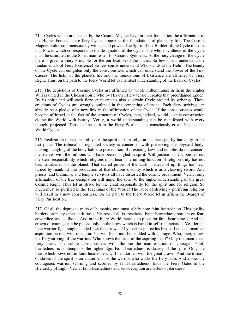214. Cycles which are shaped by the Cosmic Magnet have in their foundation the affirmation of the Higher Forces. These fiery Cycles appear as the foundations of planetary life. The Cosmic Magnet builds commensurately with spatial power. The Spirit of the Builder of the Cycle must be that Power which corresponds to the designation of the Cycle. The whole synthesis of the Cycle must be saturated in the Spirit manifested for Cosmic Synthesis. At the fiery change of the Cycle there is given a Fiery Principle for the purification of the planet. So few spirits understand the fundamentals of Fiery Existence! So few spirits understand Who stands at the Helm! The beauty of the Cycle can enlighten only the consciousness which can understand the Power of the First Causes. The helm of the planet's life and the foundations of Existence are affirmed by Fiery Right. Thus, on the path to the Fiery World let us manifest understanding of the Basis of Cycles.

215. The depictions of Cosmic Cycles are affirmed by whole millenniums; in them the Higher Will is united in the Chosen Spirit Who by His own fiery tension creates that preordained Epoch. By its spirit and will each fiery spirit creates also a certain Cycle around its strivings. These creations of Cycles are strongly outlined in the cementing of space. Each fiery striving can already be a pledge of a new link in the affirmation of the Cycle. If the consciousness would become affirmed in the fact of the structure of Cycles, then, indeed, would cosmic construction clothe the World with beauty. Verily, a world understanding can be manifested with every thought projected. Thus, on the path to the Fiery World let us consciously create links in the World Cycles.

216. Realization of responsibility for the spirit and for religion has been put by humanity in the last place. The tribunal of regulated society is concerned with preserving the physical body, making mangling of the body liable to prosecution. But existing laws and temples do not concern themselves with the millions who have been mangled in spirit. With justice has Ur. pointed out the stern responsibility which religions must bear. The uniting function of religion truly has not been awakened on the planet. That sacred power of the Earth, instead of uplifting, has been turned by mankind into production of that obvious disunity which is as a cleaving sword. And priests, and brahmins, and temple servitors all have distorted the cosmic ordainment. Verily, only affirmation of the true designation will impel the spirit to the higher understanding of the great Cosmic Right. Thus let us strive for the great responsibility for the spirit and for religion. So much must be purified in the Teachings of the World! The labor of strivingly purifying religions will result in a new consciousness. On the path to the Fiery World let us affirm the Bearers of Fiery Purification.

217. Of all the depraved traits of humanity one must subtly note faint-heartedness. This quality borders on many other dark traits. Nearest of all is treachery. Faint-heartedness borders on fear, cowardice, and selfhood. And in the Fiery World there is no place for faint-heartedness. And the crown of courage can be placed only on the brow which is bared in self-renunciation. Yes, let the lone warrior fight single handed. Let the arrows of hypocrites pierce his breast. Let each manifest aspiration be met with rejection. Yet will his armor be studded with courage. Who, then, knows the fiery striving of the warrior? Who knows the truth of the aspiring heart? Only the manifested fiery heart. The subtle consciousness will illumine the manifestation of courage. Faintheartedness is contempt for the higher Ego. Faint-heartedness is slavery of the spirit. Only the head which bows not in faint-heartedness will be adorned with the great crown. And the disdain of slaves of the spirit is an attainment for the warrior who walks the fiery path. And alone, the courageous warrior, scorning and scorned by faint-heartedness, finds the Fiery Gates to the Hierarchy of Light. Verily, faint-heartedness and self-deception are sisters of darkness!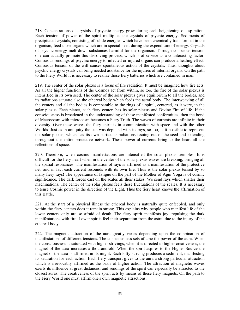218. Concentrations of crystals of psychic energy grow during each heightening of aspiration. Each tension of power of the spirit multiplies the crystals of psychic energy. Sediments of precipitated crystals, consisting of subtle energies which have been chemically transformed in the organism, feed those organs which are in special need during the expenditure of energy. Crystals of psychic energy melt down substances harmful for the organism. Through conscious tension one can actually promote this dissolving process, which is of service as a counteracting factor. Conscious sendings of psychic energy to infected or injured organs can produce a healing effect. Conscious tension of the will causes spontaneous action of the crystals. Thus, thoughts about psychic energy crystals can bring needed assistance for the injuries of internal organs. On the path to the Fiery World it is necessary to realize those fiery batteries which are contained in man.

219. The center of the solar plexus is a focus of fire radiation. It must be imagined how fire acts. As all the higher functions of the Cosmos act from within, so too, the fire of the solar plexus is intensified in its own seed. The center of the solar plexus gives equilibrium to all the bodies, and its radiations saturate also the ethereal body which feeds the astral body. The interweaving of all the centers and all the bodies is comparable to the rings of a spiral, centered, as it were, in the solar plexus. Each planet, each fiery center, has its solar plexus and Divine Fire of life. If the consciousness is broadened in the understanding of these manifested conformities, then the bond of Macrocosm with microcosm becomes a Fiery Truth. The waves of currents are infinite in their diversity. Over these waves the fiery spirit is in communication with space and with the other Worlds. Just as in antiquity the sun was depicted with its rays, so too, is it possible to represent the solar plexus, which has its own particular radiations issuing out of the seed and extending throughout the entire protective network. These powerful currents bring to the heart all the reflections of space.

220. Therefore, when cosmic manifestations are intensified the solar plexus trembles. It is difficult for the fiery heart when in the center of the solar plexus waves are breaking, bringing all the spatial resonances. The manifestation of rays is affirmed as a manifestation of the protective net, and in fact each current resounds with its own fire. Thus is the solar plexus tensed by so many fiery rays! The appearance of fatigue on the part of the Mother of Agni Yoga is of cosmic significance. The dark forces cast on the scales all their stakes. We send rays which shatter their machinations. The center of the solar plexus feels these fluctuations of the scales. It is necessary to tense Cosmic power in the direction of the Light. Thus the fiery heart knows the affirmation of this Battle.

221. At the start of a physical illness the ethereal body is naturally quite enfeebled, and only within the fiery centers does it remain strong. This explains why people who manifest life of the lower centers only are so afraid of death. The fiery spirit manifests joy, repulsing the dark manifestations with fire. Lower spirits feel their separation from the astral due to the injury of the ethereal body.

222. The magnetic attraction of the aura greatly varies depending upon the combination of manifestations of different tensions. The consciousness sets aflame the power of the aura. When the consciousness is saturated with higher strivings, when it is directed to higher creativeness, the magnet of the aura increases a thousandfold. When the spirit aspires to the Higher Source the magnet of the aura is affirmed in its might. Each lofty striving produces a sediment, manifesting its saturation for each action. Each fiery transport gives to the aura a strong particular attraction which is irrevocably affirmed as the basis of higher action. The attraction of magnetic waves exerts its influence at great distances, and sendings of the spirit can especially be attracted to the closest auras. The creativeness of the spirit acts by means of these fiery magnets. On the path to the Fiery World one must affirm one's own magnetic attractions.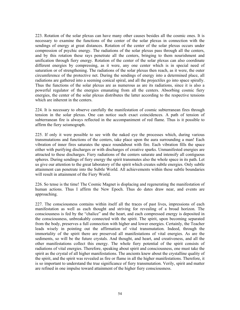223. Rotation of the solar plexus can have many other causes besides all the cosmic ones. It is necessary to examine the functions of the center of the solar plexus in connection with the sendings of energy at great distances. Rotation of the center of the solar plexus occurs under compression of psychic energy. The radiations of the solar plexus pass through all the centers, and by this rotation these rays penetrate all the centers, bringing to them nourishment and unification through fiery energy. Rotation of the center of the solar plexus can also coordinate different energies by compressing, as it were, any one center which is in special need of saturation or of strengthening. The radiations of the solar plexus then reach, as it were, the outer circumference of the protective net. During the sendings of energy into a determined place, all radiations are gathered into a seeming conical spiral, and all the projectiles go into space spirally. Thus the functions of the solar plexus are as numerous as are its radiations, since it is also a powerful regulator of the energies emanating from all the centers. Absorbing cosmic fiery energies, the center of the solar plexus distributes the latter according to the respective tensions which are inherent in the centers.

224. It is necessary to observe carefully the manifestation of cosmic subterranean fires through tension in the solar plexus. One can notice such exact coincidences. A path of tension of subterranean fire is always reflected in the accompaniment of red flame. Thus is it possible to affirm the fiery seismograph.

225. If only it were possible to see with the naked eye the processes which, during various transmutations and functions of the centers, take place upon the aura surrounding a man! Each vibration of inner fires saturates the space roundabout with fire. Each vibration fills the space either with purifying discharges or with discharges of creative sparks. Unmanifested energies are attracted to these discharges. Fiery radiations of the centers saturate and intensify all contiguous spheres. During sendings of fiery energy the spirit transmutes also the whole space in its path. Let us give our attention to the great laboratory of the spirit which creates subtle energies. Only subtle attainment can penetrate into the Subtle World. All achievements within these subtle boundaries will result in attainment of the Fiery World.

226. So tense is the time! The Cosmic Magnet is displacing and regenerating the manifestation of human actions. Thus I affirm the New Epoch. Thus do dates draw near, and events are approaching.

227. The consciousness contains within itself all the traces of past lives, impressions of each manifestation as well as each thought and striving for revealing of a broad horizon. The consciousness is fed by the "chalice" and the heart, and each compressed energy is deposited in the consciousness, unbreakably connected with the spirit. The spirit, upon becoming separated from the body, preserves a full connection with higher and lower energies. Certainly, the Teacher leads wisely in pointing out the affirmation of vital transmutation. Indeed, through the immortality of the spirit there are preserved all manifestations of vital energies. As are the sediments, so will be the future crystals. And thought, and heart, and creativeness, and all the other manifestations collect this energy. The whole fiery potential of the spirit consists of radiations of vital energies. Therefore, speaking about spirit and consciousness, one must take the spirit as the crystal of all higher manifestations. The ancients knew about the crystalline quality of the spirit, and the spirit was revealed as fire or flame in all the higher manifestations. Therefore, it is so important to understand the true significance of fiery transmutation. Verily, spirit and matter are refined in one impulse toward attainment of the higher fiery consciousness.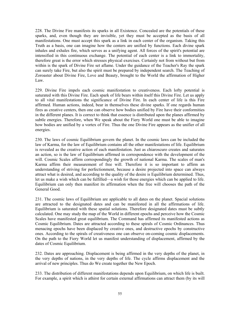228. The Divine Fire manifests its sparks in all Existence. Concealed are the potentials of these sparks, and, even though they are invisible, yet they must be accepted as the basis of all manifestations. One must accept this spark as a link in each center of the organism. Taking this Truth as a basis, one can imagine how the centers are unified by functions. Each divine spark inhales and exhales fire, which serves as a unifying agent. All forces of the spirit's potential are intensified in this continuous exchange. The potential of each center is a link to immortality, therefore great is the error which stresses physical exercises. Certainly not from without but from within is the spark of Divine Fire set aflame. Under the guidance of the Teacher's Ray the spark can surely take Fire, but also the spirit must be prepared by independent search. The Teaching of Zoroaster about Divine Fire, Love and Beauty, brought to the World the affirmation of Higher Law.

229. Divine Fire impels each cosmic manifestation to creativeness. Each lofty potential is saturated with this Divine Fire. Each spark of life bears within itself this Divine Fire. Let us apply to all vital manifestations the significance of Divine Fire. In each center of life is this Fire affirmed. Human actions, indeed, bear in themselves these divine sparks. If one regards human fires as creative centers, then one can observe how bodies unified by Fire have their conformities in the different planes. It is correct to think that essence is distributed upon the planes affirmed by subtle energies. Therefore, when We speak about the Fiery World one must be able to imagine how bodies are unified by a vortex of Fire. Thus the one Divine Fire appears as the unifier of all energies.

230. The laws of cosmic Equilibrium govern the planet. In the cosmic laws can be included the law of Karma, for the law of Equilibrium contains all the other manifestations of life. Equilibrium is revealed as the creative action of each manifestation. Just as chiaroscuro creates and saturates an action, so is the law of Equilibrium affirmed in correspondence with the development of the will. Cosmic Scales affirm correspondingly the growth of national Karma. The scales of man's Karma affirm their measurement of free will. Therefore it is so important to affirm an understanding of striving for perfectionment, because a desire projected into space can always attract what is desired, and according to the quality of the desire is Equilibrium determined. Thus, let us make a wish which can be fulfilled—a wish for those energies which can be applied to life. Equilibrium can only then manifest its affirmation when the free will chooses the path of the General Good.

231. The cosmic laws of Equilibrium are applicable to all dates on the planet. Spacial solutions are attracted to the designated dates and can be manifested in all the affirmations of life. Equilibrium is saturated with these spatial solutions. Therefore designated dates must be subtly calculated. One may study the map of the World in different epochs and perceive how the Cosmic Scales have manifested great equilibrium. The Command has affirmed its manifested actions as Cosmic Equilibrium. Dates are attracted according to these spirals of Cosmic Ordinances. Thus menacing epochs have been displaced by creative ones, and destructive epochs by constructive ones. According to the spirals of creativeness one can observe on-coming cosmic displacements. On the path to the Fiery World let us manifest understanding of displacement, affirmed by the dates of Cosmic Equilibrium.

232. Dates are approaching. Displacement is being affirmed in the very depths of the planet, in the very depths of nations, in the very depths of life. The cycle affirms displacement and the arrival of new principles. Thus do We create together the New Epoch.

233. The distribution of different manifestations depends upon Equilibrium, on which life is built. For example, a spirit which is athirst for certain external affirmations can attract them (by its will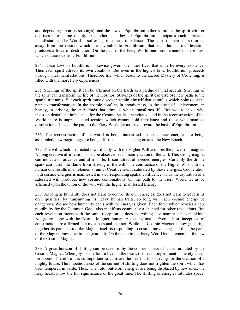and depending upon its strivings), and the law of Equilibrium either saturates the spirit with or deprives it of some quality or another. The law of Equilibrium anticipates each unrelated manifestation. The World is suffering from these imbalances. The spirit of man has so turned away from the desires which are favorable to Equilibrium that each human manifestation produces a force of destruction. On the path to the Fiery World one must remember these laws which saturate Cosmic Equilibrium.

234. These laws of Equilibrium likewise govern the inner lives that underlie every existence. Thus each spirit attracts its own creations. But even in the highest laws Equilibrium proceeds through vital manifestations. Therefore life, which leads to the sacred Mystery of Crowning, is filled with the most fiery experiences.

235. Strivings of the spirit can be affirmed on the Earth as a pledge of vital ascents. Strivings of the spirit can transform the life of the Cosmos. Strivings of the spirit can disclose new paths to the spatial treasures. But each spirit must discover within himself that stimulus which points out the path to transformation. In the cosmic conflict, in creativeness, in the quest of achievement, in beauty, in striving, the spirit finds that stimulus which transforms life. But woe to those who insist on denial and imbalance, for the Cosmic Scales are agitated, and in the reconstruction of the World there is unprecedented tension which cannot hold imbalance and those who manifest destruction. Thus, on the path to the Fiery World let us strive toward the basis of Equilibrium.

236. The reconstruction of the world is being intensified. In space new energies are being assembled; new beginnings are being affirmed. Thus is being created the New Epoch.

237. The will which is directed toward unity with the Higher Will acquires the power ofa magnet. Among creative affirmations must be observed each manifestation of the will. This strong magnet can indicate in advance and affirm life. It can attract all needed energies. Certainly the divine spark can burst into flame from striving of the will. The confluence of the Higher Will with the human one results in an elemental unity. Creativeness is saturated by these energies. Cooperation with cosmic energies is manifested in a corresponding spatial confluence. Thus the aspiration of a saturated will produces new cosmic combinations. On the path to the Fiery World let us be affirmed upon the union of the will with the higher manifested Energy.

238. As long as humanity does not learn to control its own energies, does not learn to govern its own qualities, by transmuting its heavy human traits, so long will each cosmic energy be dangerous. We see how humanity deals with the energies given! Each force which reveals a new possibility for the Common Good also manifests cosmically a channel for other revelations. But each revelation meets with the same reception as does everything else manifested to mankind. Not going along with the Cosmic Magnet, humanity goes against it. Even at best, inceptions of construction are affirmed in a most personal manner. While the Cosmic Magnet is now gathering together its parts, so too the Magnet itself is responding to cosmic movement; and thus the parts of the Magnet draw near to the great task. On the path to the Fiery World let us remember the law of the Cosmic Magnet.

239. A great horizon of shifting can be taken in by the consciousness which is saturated by the Cosmic Magnet. When joy for the future lives in the heart, then each impediment is merely a step for ascent. Therefore it is so important to cultivate the heart in this striving for the creation of a mighty future. The impetuousness of the current of shifting does not frighten the spirit which has been tempered in battle. Thus, when old, out-worn energies are being displaced by new ones, the fiery hearts know the full significance of the great time. The shifting of energies saturates space.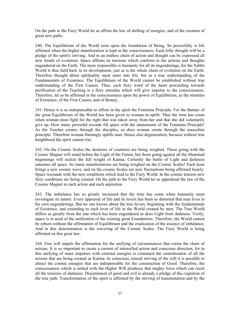On the path to the Fiery World let us affirm the law of shifting of energies, and of the creation of great new paths.

240. The Equilibrium of the World rests upon the foundation of Being. So powerfully is life affirmed when the higher manifestation is kept in the consciousness. Each lofty thought will be a pledge of the spirit's striving. And in an endless chain of action and thought can be expressed all new trends of evolution. Space affirms its tensions which conform to the actions and thoughts engendered on the Earth. The more responsible is humanity for all its engenderings, for the Subtle World is thus held back in its development, just as is the whole chain of evolution on the Earth. Therefore thought about spirituality must enter into life, but as a true understanding of the Fundamentals of Existence. The Equilibrium of the World cannot be established without true understanding of the First Causes. Thus, each fiery word of the heart proceeding towards purification of the Teaching is a fiery stimulus which will give impetus to the consciousness. Therefore, let us be affirmed in the consciousness upon the power of Equilibrium, as the stimulus of Existence, of the First Causes, and of Beauty.

241. Hence it is so indispensable to affirm in the spirit the Feminine Principle. For the Banner of the great Equilibrium of the World has been given to woman to uplift. Thus the time has come when woman must fight for the right that was taken away from her and that she did voluntarily give up. How many powerful records fill space with the attainments of the Feminine Principle! As the Teacher creates through the disciples, so does woman create through the masculine principle. Therefore woman flamingly uplifts man. Hence also degeneration, because without true knighthood the spirit cannot rise.

242. On the Cosmic Scales the destinies of countries are being weighed. Those going with the Cosmic Magnet will stand before the Light of the Future, but those going against all the illumined beginnings will realize the full weight of Karma. Certainly the battle of Light and darkness saturates all space. So many manifestations are being weighed on the Cosmic Scales! Each hour brings a new cosmic wave, and on the cosmic Scales are new fluctuations being affirmed hourly. Space resounds with the new conditions which lead to the Fiery World. In the cosmic tension new fiery conditions are being created. On the path to the Fiery World let us apprehend the law of the Cosmic Magnet in each action and each aspiration.

243. The imbalance has so greatly increased that the time has come when humanity must investigate its nature. Every appraisal of life and its levers has been so distorted that man lives in his own engenderings. But no one knows about the true levers, beginning with the fundamentals of Existence, and extending to each lever of life in the World created by men. The True World differs as greatly from the one which has been engendered as does Light from darkness. Verily, space is in need of the unification of the existing great Foundations. Therefore, the World cannot be reborn without the affirmation of Equilibrium and the eradication of the essence of imbalance. And in this determination is the wavering of the Cosmic Scales. The Fiery World is being affirmed on this great law.

244. Free will impels the affirmation for the unifying of circumstances that create the chain of actions. It is so important to create a current of intensified action and conscious direction, for in this unifying of inner impulses with external energies is contained the centralization of all the actions that are being created as Karma. In conscious, tensed striving of the will it is possible to attract the cosmic energies that are indispensable for the construction of Good. Therefore, the consciousness which is united with the Higher Will produces that mighty force which can resist all the tensions of darkness. Discernment of good and evil is already a pledge of the cognition of the true path. Transformation of the spirit is affirmed by the striving of transmutation and by the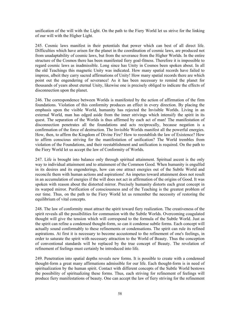unification of the will with the Light. On the path to the Fiery World let us strive for the linking of our will with the Higher Light.

245. Cosmic laws manifest in their potentials that power which can best of all direct life. Difficulties which have arisen for the planet in the coordination of cosmic laws, are produced not from unadaptability of cosmic laws, but from the severance from the Higher Worlds. In the entire structure of the Cosmos there has been manifested fiery goal-fitness. Therefore it is impossible to regard cosmic laws as inadmissible. Long since has Unity in Cosmos been spoken about. In all the old Teachings this magnetic Unity was indicated. How many spatial records have failed to impress, albeit they carry sacred affirmations of Unity! How many spatial records there are which point out the engendering of severance! As it has been necessary to remind the planet for thousands of years about eternal Unity, likewise one is precisely obliged to indicate the effects of disconnection upon the planet.

246. The correspondence between Worlds is manifested by the action of affirmation of the firm foundations. Violation of this conformity produces an effect in every direction. By placing the emphasis upon the visible World, humanity has rejected the Invisible Worlds. Living in an external World, man has edged aside from the inner strivings which intensify the spirit in its quest. The separation of the Worlds is thus affirmed by each act of man! The manifestation of disconnection penetrates all the foundations and acts reciprocally, because negation is a confirmation of the force of destruction. The Invisible Worlds manifest all the powerful energies. How, then, to affirm the Kingdom of Divine Fire? How to reestablish the law of Existence? How to affirm conscious striving for the manifestation of unification? The World trembles from violation of the Foundations, and their reestablishment and unification is required. On the path to the Fiery World let us accept the law of Conformity of Worlds.

247. Life is brought into balance only through spiritual attainment. Spiritual ascent is the only way to individual attainment and to attainment of the Common Good. When humanity is engulfed in its desires and its engenderings, how can one attract energies out of the Subtle World and reconcile them with human actions and aspirations! An impetus toward attainment does not result in an accumulation of energies if the will does not act in affirmation of the origins of Good. It was spoken with reason about the distorted mirror. Precisely humanity distorts each great concept in its warped mirror. Purification of consciousness and of the Teaching is the greatest problem of our time. Thus, on the path to the Fiery World let us remember the necessity of restoring the equilibrium of vital concepts.

248. The law of conformity must attract the spirit toward fiery realization. The creativeness of the spirit reveals all the possibilities for communion with the Subtle Worlds. Overcoming coagulated thought will give the tension which will correspond to the formula of the Subtle World. Just as the spirit can refine a condensed thought-form, so can it condense subtle forms. Each concept will actually sound conformably to these refinements or condensations. The spirit can rule its refined aspirations. At first it is necessary to become accustomed to the refinement of one's feelings, in order to saturate the spirit with necessary attraction to the World of Beauty. Thus the conception of conventional standards will be replaced by the true concept of Beauty. The revelation of refinement of feelings must certainly be introduced into life.

249. Penetration into spatial depths reveals new forms. It is possible to create with a condensed thought-form a great many affirmations admissible for our life. Each thought-form is in need of spiritualization by the human spirit. Contact with different concepts of the Subtle World bestows the possibility of spiritualizing these forms. Thus, each striving for refinement of feelings will produce fiery manifestations of beauty. One can accept the law of fiery striving for the refinement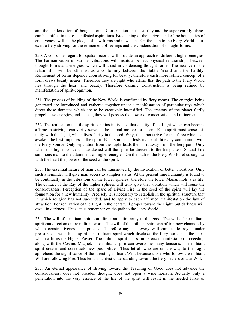and the condensation of thought-forms. Construction on the earthly and the super-earthly planes can be unified in these manifested aspirations. Broadening of the horizon and of the boundaries of creativeness will be the pledge of new forms and new steps. On the path to the Fiery World let us exert a fiery striving for the refinement of feelings and the condensation of thought-forms.

250. A conscious regard for spatial records will provide an approach to different higher energies. The harmonization of various vibrations will institute perfect physical relationships between thought-forms and energies, which will assist in condensing thought-forms. The essence of the relationship will be affirmed as a conformity between the Subtle World and the Earthly. Refinement of forms depends upon striving for beauty; therefore each more refined concept of a form draws beauty nearer. Therefore they are right who affirm that the path to the Fiery World lies through the heart and beauty. Therefore Cosmic Construction is being refined by manifestation of spirit-cognition.

251. The process of building of the New World is confirmed by fiery means. The energies being generated are introduced and gathered together under a manifestation of particular rays which direct those domains which are to be creatively intensified. The creators of the planet fierily propel these energies, and indeed, they will possess the power of condensation and refinement.

252. The realization that the spirit contains in its seed that quality of the Light which can become aflame in striving, can verily serve as the eternal motive for ascent. Each spirit must sense this unity with the Light, which lives fierily in the seed. Why, then, not strive for that force which can awaken the best impulses in the spirit! Each spirit manifests its possibilities by communion with the Fiery Source. Only separation from the Light leads the spirit away from the fiery path. Only when this higher concept is awakened will the spirit be directed to the fiery quest. Spatial Fire summons man to the attainment of higher energies. On the path to the Fiery World let us cognize with the heart the power of the seed of the spirit.

253. The essential nature of man can be transmuted by the invocation of better vibrations. Only such a reminder will give man access to a higher status. At the present time humanity is found to be continually in the vibrations of the lower spheres; therefore the lower Manas motivates life. The contact of the Ray of the higher spheres will truly give that vibration which will rouse the consciousness. Perception of the spark of Divine Fire in the seed of the spirit will lay the foundation for a new humanity. Precisely it is necessary to establish in the spiritual structure that in which religion has not succeeded, and to apply to each affirmed manifestation the law of attraction. For realization of the Light in the heart will propel toward the Light, but darkness will dwell in darkness. Thus let us remember on the path to the Fiery World.

254. The will of a militant spirit can direct an entire army to the good. The will of the militant spirit can direct an entire militant world. The will of the militant spirit can affirm new channels by which constructiveness can proceed. Therefore any and every wall can be destroyed under pressure of the militant spirit. The militant spirit which discloses the fiery horizon is the spirit which affirms the Higher Power. The militant spirit can saturate each manifestation proceeding along with the Cosmic Magnet. The militant spirit can overcome many tensions. The militant spirit creates and constructs new possibilities. Thus let all who are on the way to the Light apprehend the significance of the directing militant Will, because those who follow the militant Will are following Fire. Thus let us manifest understanding toward the fiery bearers of Our Will.

255. An eternal appearance of striving toward the Teaching of Good does not advance the consciousness, does not broaden thought, does not open a wide horizon. Actually only a penetration into the very essence of the life of the spirit will result in the needed force of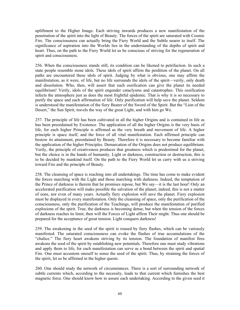upliftment to the Higher Image. Each striving inwards produces a new manifestation of the penetration of the spirit into the light of Beauty. The forces of the spirit are saturated with Cosmic Fire. The consciousness can actually bring the Fiery World and the Subtle nearer to itself. The significance of aspiration into the Worlds lies in the understanding of the depths of spirit and heart. Thus, on the path to the Fiery World let us be conscious of striving for the regeneration of spirit and consciousness.

256. When the consciousness stands still, its condition can be likened to petrifaction. In such a state people resemble stone idols. These idols of spirit affirm the perdition of the planet. On all paths are encountered these idols of spirit. Judging by what is obvious, one may affirm the manifestation, as it were, of life, but no life surrounds the idols of the spirit—verily, only death and dissolution. Who, then, will assert that such ossification can give the planet its needed equilibrium! Verily, idols of the spirit engender cataclysms and catastrophes. This ossification infects the atmosphere just as does the most frightful epidemic. That is why it is so necessary to purify the space and each affirmation of life. Only purification will help save the planet. Seldom is understood the manifestation of the fiery Bearer of the Sword of the Spirit. But the "Lion of the Desert," the Sun Spirit, travels the way of the great Light, and with him go We.

257. The principle of life has been cultivated in all the higher Origins and is contained in life as has been preordained by Existence. The application of all the higher Origins is the very basis of life, for each higher Principle is affirmed as the very breath and movement of life. A higher principle is space itself, and the force of all vital manifestation. Each affirmed principle can bestow its attainment, preordained by Beauty. Therefore it is necessary to become familiar with the application of the higher Principles. Demarcation of the Origins does not produce equilibrium. Verily, the principle of creativeness produces that greatness which is predestined for the planet, but the choice is in the hands of humanity. Light or darkness, construction or destruction, this is to be decided by mankind itself. On the path to the Fiery World let us carry with us a striving toward Fire and the principle of Beauty.

258. The cleansing of space is reaching into all undertakings. The time has come to make evident the forces marching with the Light and those marching with darkness. Indeed, the temptation of the Prince of darkness is therein that he promises repose, but We say—it is the last hour! Only an accelerated purification will make possible the salvation of the planet; indeed, this is not a matter of eons, nor even of many years. Actually fiery explosion will save the planet. Fiery explosion must be displayed in every manifestation. Only the cleansing of space, only the purification of the consciousness, only the purification of the Teachings, will produce the manifestation of purified explosions of the spirit. True, the darkness is becoming dense, but when the tension of the forces of darkness reaches its limit, then will the Forces of Light affirm Their might. Thus one should be prepared for the acceptance of great tension. Light conquers darkness!

259. The awakening in the seed of the spirit is roused by fiery flashes, which can be variously manifested. The saturated consciousness can evoke the flashes of true accumulations of the "chalice." The fiery heart awakens striving by its tension. The foundation of manifest fires awakens the seed of the spirit by establishing new potentials. Therefore one must study vibrations and apply them to life, for each manifestation can serve as a bond between the spirit and spatial Fire. One must accustom oneself to sense the seed of the spirit. Thus, by straining the forces of the spirit, let us be affirmed in the higher quests.

260. One should study the network of circumstances. There is a sort of surrounding network of subtle currents which, according to the necessity, leads to that current which furnishes the best magnetic force. One should know how to assure each undertaking. According to the given seed it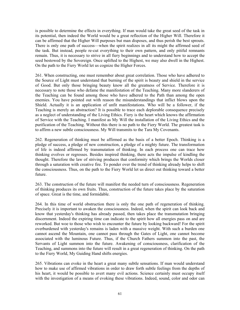is possible to determine the effects in everything. If man would take the great seed of the task in its potential, then indeed the World would be a great reflection of the Higher Will. Therefore it can be affirmed that the Higher Will purposes but man disposes, and thus perish the best sprouts. There is only one path of success—when the spirit realizes in all its might the affirmed seed of the task. But instead, people re-cut everything to their own pattern, and only pitiful remnants remain. Thus, it is necessary to strive in all fiery beginnings and to understand how to accept the seed bestowed by the Sovereign. Once uplifted to the Highest, we may also dwell in the Highest. On the path to the Fiery World let us cognize the Higher Forces.

261. When constructing, one must remember about great correlation. Those who have adhered to the Source of Light must understand that burning of the spirit is beauty and shield in the service of Good. But only those bringing beauty know all the greatness of Service. Therefore it is necessary to note those who defame the manifestation of the Teaching. Many more slanderers of the Teaching can be found among those who have adhered to the Path than among the open enemies. You have pointed out with reason the misunderstandings that inflict blows upon the Shield. Actually it is an application of unfit manifestations. Who will be a follower, if the Teaching is merely an abstraction? It is possible to trace each deplorable consequence precisely as a neglect of understanding of the Living Ethics. Fiery is the heart which knows the affirmation of Service with the Teaching. I manifest as My Will the installation of the Living Ethics and the purification of the Teaching. Without this there is no path to the Fiery World. The greatest task is to affirm a new subtle consciousness. My Will transmits to the Tara My Covenants.

262. Regeneration of thinking must be affirmed as the basis of a better Epoch. Thinking is a pledge of success, a pledge of new construction, a pledge of a mighty future. The transformation of life is indeed affirmed by transmutation of thinking. In each process one can trace how thinking evolves or regresses. Besides inspired thinking, there acts the impulse of kindling the thought. Therefore the law of striving produces that conformity which brings the Worlds closer through a saturation with creative fire. To ponder over the trend of thinking already helps to shift the consciousness. Thus, on the path to the Fiery World let us direct out thinking toward a better future.

263. The construction of the future will manifest the needed turn of consciousness. Regeneration of thinking produces its own fruits. Thus, construction of the future takes place by the saturation of space. Great is the time, and formidable.

264. In this time of world obstruction there is only the one path of regeneration of thinking. Precisely it is important to awaken the consciousness. Indeed, when the spirit can look back and know that yesterday's thinking has already passed, then takes place the transmutation bringing discernment. Indeed the expiring time can indicate to the spirit how all energies pass on and are reworked. But woe to those who wish to encounter the future by looking backward! For the spirit overburdened with yesterday's remains is laden with a massive weight. With such a burden one cannot ascend the Mountain, one cannot pass through the Gates of Light, one cannot become associated with the luminous Future. Thus, if the Church Fathers summon into the past, the Servants of Light summon into the future. Awakening of consciousness, clarification of the Teaching, and summons into the future will result in a great regeneration of thinking. On the path to the Fiery World, My Guiding Hand shifts energies.

265. Vibrations can evoke in the heart a great many subtle sensations. If man would understand how to make use of affirmed vibrations in order to draw forth subtle feelings from the depths of his heart, it would be possible to avert many evil actions. Science certainly must occupy itself with the investigation of a means of evoking these vibrations. Indeed, sound, color and odor can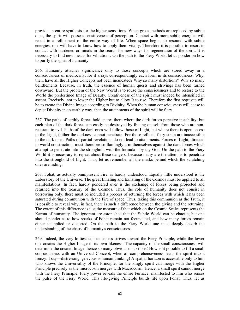provide an entire synthesis for the higher sensations. When gross methods are replaced by subtle ones, the spirit will possess sensitiveness of perception. Contact with more subtle energies will result in a refinement of the entire way of life. When space begins to resound with subtle energies, one will have to know how to apply them vitally. Therefore it is possible to resort to contact with hardened criminals in the search for new ways for regeneration of the spirit. It is necessary to find new means for vibrations. On the path to the Fiery World let us ponder on how to purify the spirit of humanity.

266. Humanity attaches significance only to those concepts which are stored away in a consciousness of mediocrity, for it arrays correspondingly each form in its consciousness. Why, then, have all the Higher Concepts not been inculcated? Why so many distortions? Why so many belittlements Because, in truth, the essence of human quests and strivings has been turned downward. But the problem of the New World is to rouse the consciousness and to restore to the World the predestined Image of Beauty. Creativeness of the spirit must indeed be intensified in ascent. Precisely, not to lower the Higher but to allow It to rise. Therefore the first requisite will be to create the Divine Image according to Divinity. When the human consciousness will cease to depict Divinity in an earthly way, then the attainments of the spirit will be fiery.

267. The paths of earthly forces hold snares there where the dark forces perceive instability; but each plan of the dark forces can easily be destroyed by freeing oneself from those who are nonresistant to evil. Paths of the dark ones will follow those of Light, but where there is open access to the Light, thither the darkness cannot penetrate. For those refined, fiery strata are inaccessible to the dark ones. Paths of partial revelations do not lead to attainments. Forces of Light, directed to world construction, must therefore so flamingly arm themselves against the dark forces which attempt to penetrate into the stronghold with the formula—by thy God. On the path to the Fiery World it is necessary to repeat about these dangers, because many are the attempts to penetrate into the stronghold of Light. Thus, let us remember all the masks behind which the scratching ones are hiding.

268. Fohat, as actually omnipresent Fire, is hardly understood. Equally little understood is the Laboratory of the Universe. The great Inhaling and Exhaling of the Cosmos must be applied to all manifestations. In fact, hardly pondered over is the exchange of forces being projected and returned into the treasury of the Cosmos. Thus, the role of humanity does not consist in borrowing only; there must be included a process of returning the forces with which it has been saturated during communion with the Fire of space. Thus, taking this communion as the Truth, it is possible to reveal why, in fact, there is such a difference between the giving and the returning. The extent of this difference is just the measure of that which on the Cosmic Scales represents the Karma of humanity. The ignorant are astonished that the Subtle World can be chaotic; but one should ponder as to how sparks of Fohat remain not fecundated, and how many forces remain either unapplied or distorted. On the path to the Fiery World one must deeply absorb the understanding of the chaos of humanity's consciousness.

269. Indeed, the very loftiest consciousness strives toward the Fiery Principle, while the lower one creates the Higher Image in its own likeness. The capacity of the small consciousness will determine the created Image, hence so many obvious distortions! How is it possible to fill a small consciousness with an Universal Concept, when all-comprehensiveness leads the spirit into a frenzy. I say—distressing, grievous is human thinking! A spatial horizon is accessible only to him who knows the Universality of the Principle, for the kingly spirit can merge with the Higher Principle precisely as the microcosm merges with Macrocosm. Hence, a small spirit cannot merge with the Fiery Principle. Fiery power reveals the entire Furnace, manifested to him who senses the pulse of the Fiery World. This life-giving Principle builds life upon Fohat. Thus, let us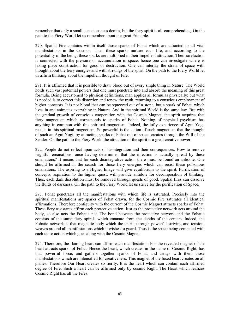remember that only a small consciousness denies, but the fiery spirit is all-comprehending. On the path to the Fiery World let us remember about the great Principle.

270. Spatial Fire contains within itself those sparks of Fohat which are attracted to all vital manifestations in the Cosmos. Thus, these sparks nurture each life, and according to the potentiality of the being, these sparks are multiplied in their impellent attraction. Their rarefaction is connected with the pressure or accumulation in space, hence one can investigate where is taking place construction for good or destruction. One can interlay the strata of space with thought about the fiery energies and with strivings of the spirit. On the path to the Fiery World let us affirm thinking about the impellent thought of Fire.

271. It is affirmed that it is possible to draw blood out of every single thing in Nature. The World holds such vast potential powers that one must penetrate into and absorb the meaning of this great formula. Being accustomed to physical definitions, man applies all formulas physically; but what is needed is to correct this distortion and renew the truth, returning to a conscious employment of higher concepts. It is not blood that can be squeezed out of a stone, but a spark of Fohat, which lives in and animates everything in Nature. And in the spiritual World is the same law. But with the gradual growth of conscious cooperation with the Cosmic Magnet, the spirit acquires that fiery magnetism which corresponds to sparks of Fohat. Nothing of physical psychism has anything in common with this spiritual magnetism. Indeed, the lofty experience of Agni Yoga results in this spiritual magnetism. So powerful is the action of such magnetism that the thought of such an Agni Yogi, by attracting sparks of Fohat out of space, creates through the Will of the Sender. On the path to the Fiery World the attraction of the spirit is a great creative power.

272. People do not reflect upon acts of disintegration and their consequences. How to remove frightful emanations, once having determined that the infection is actually spread by these emanations? It means that for each disintegrative action there must be found an antidote. One should be affirmed in the search for those fiery energies which can resist these poisonous emanations. The aspiring to a Higher Image will give equilibrium to the spirit. Purification of concepts, aspiration to the higher quest, will provide antidote for decomposition of thinking. Thus, each dark dissolution must be removed through quests of good. Spatial fires can dissolve the fluids of darkness. On the path to the Fiery World let us strive for the purification of Space.

273. Fohat penetrates all the manifestations with which life is saturated. Precisely into the spiritual manifestations are sparks of Fohat drawn, for the Cosmic Fire saturates all identical affirmations. Therefore contiguity with the current of the Cosmic Magnet attracts sparks of Fohat. These fiery assistants affirm each protective action. Just as the protective network acts around the body, so also acts the Fohatic net. The bond between the protective network and the Fohatic consists of the same fiery spirals which emanate from the depths of the centers. Indeed, the Fohatic network is that magnetic body which the spirit, through powerful striving and tension, weaves around all manifestations which it wishes to guard. Thus is the space being cemented with each tense action which goes along with the Cosmic Magnet.

274. Therefore, the flaming heart can affirm each manifestation. For the revealed magnet of the heart attracts sparks of Fohat. Hence the heart, which creates in the name of Cosmic Right, has that powerful force, and gathers together sparks of Fohat and arrays with them those manifestations which are intensified for creativeness. This magnet of the fused heart creates on all planes. Therefore Our Heart creates so fierily. It is the heart which can contain each affirmed degree of Fire. Such a heart can be affirmed only by cosmic Right. The Heart which realizes Cosmic Right has all the Fires.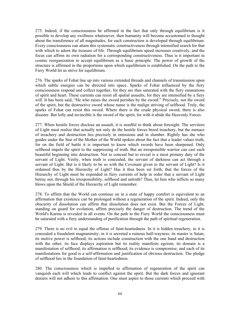275. Indeed, if the consciousness be affirmed in the fact that only through equilibrium is it possible to develop any swiftness whatsoever, then humanity will become accustomed to thought about the transference of all magnitudes, for each construction is developed through equilibrium. Every consciousness can attain this systematic constructiveness through intensified search for that with which to adorn the treasure of life. Through equilibrium speed increases creatively, and the focus can affirm its own radiation for a corresponding constructiveness. Thus is it important in cosmic reorganization to accept equilibrium as a basic principle. The power of growth of the structure is affirmed in the proportions upon which equilibrium is established. On the path to the Fiery World let us strive for equilibrium.

276. The sparks of Fohat line up into various extended threads and channels of transmission upon which subtle energies can be directed into space. Sparks of Fohat influenced by the fiery consciousness respond and collect together, for they are thus saturated with the fiery emanations of spirit and heart. These currents can resist all spatial assaults, for they are intensified by a fiery will. It has been said, "He who raises the sword perishes by the sword." Precisely, not the sword of the spirit, but the destructive sword whose name is the malign striving of selfhood. Truly, the sparks of Fohat can resist this sword. Where there is the crude physical sword, there is also disaster. But lofty and invincible is the sword of the spirit, for with it abide the Heavenly Forces.

277. When hostile forces disclose an assault, it is needful to think about foresight. The servitors of Light must realize that actually not only do the hostile forces breed treachery, but the menace of treachery and destruction lies precisely in omissions and in slumber. Rightly has she who guides under the Star of the Mother of the World spoken about the fact that a leader values truth, for on the field of battle it is important to know which swords have been sharpened. Only selfhood impels the spirit to the suppressing of truth. But an irresponsible warrior can cast each beautiful beginning into destruction. Not to conceal but to reveal is a most primary duty of the servant of Light. Verily, when truth is concealed, the servant of darkness can act through a servant of Light. But is it likely to be so with the Covenant given to the servant of Light? Is it ordained thus by the Hierarchy of Light? Has it thus been set forth, that the forces of the Hierarchy of Light must be expended in fiery currents of help in order that a servant of Light betray not, through his irresponsibility, selfhood and untruth? Thus, let him who inflicts so many blows upon the Shield of the Hierarchy of Light remember.

278. To affirm that the World can continue on in a state of happy comfort is equivalent to an affirmation that existence can be prolonged without a regeneration of the spirit. Indeed, only the obscurity of dissolution can affirm that dissolution does not exist. But the Forces of Light, standing on guard for evolution, affirm precisely the danger of destruction. The trend of the World's Karma is revealed in all events. On the path to the Fiery World the consciousness must be saturated with a fiery understanding of purification through the path of spiritual regeneration.

279. There is no evil to equal the offense of faint-heartedness. In it is hidden treachery, in it is concealed a fraudulent magnanimity; in it is secreted a ruinous half-wayness; its master is Satan; its motive power is selfhood; its actions include construction with the one hand and destruction with the other; its face displays aspiration but its reality manifests egoism; its domain is a manifestation of selfhood; its affirmation is selfhood; its evidence is compromise, and each of its manifestations for good is a self-affirmation and justification of obvious destruction. The pledge of selfhood lies in the foundation of faint-heartedness.

280. The consciousness which is impelled to affirmation of regeneration of the spirit can vanquish each will which leads to conflict against the spirit. But the dark forces and ignorant deniers will not adhere to this affirmation. One must aspire to those currents which proceed with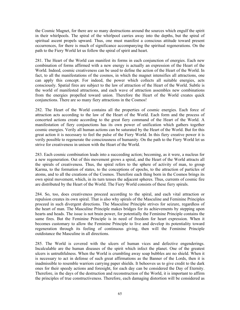the Cosmic Magnet, for there are so many destructions around the sources which engulf the spirit in their whirlpools. The spiral of the whirlpool carries away into the depths, but the spiral of spiritual ascent propels upward. Thus, one must manifest a conscious attitude toward present occurrences, for there is much of significance accompanying the spiritual regenerations. On the path to the Fiery World let us follow the spiral of spirit and heart.

281. The Heart of the World can manifest its forms in each conjunction of energies. Each new combination of forms affirmed with a new energy is actually an expression of the Heart of the World. Indeed, cosmic creativeness can be used to define the action of the Heart of the World. In fact, to all the manifestations of the cosmos, in which the magnet intensifies all attractions, one can apply this concept. For indeed, the power which collects all suitable energies, acts consciously. Spatial fires are subject to the law of attraction of the Heart of the World. Subtle is the world of manifested attractions, and each wave of attraction assembles new combinations from the energies propelled toward union. Therefore the Heart of the World creates quick conjunctions. There are so many fiery attractions in the Cosmos!

282. The Heart of the World contains all the properties of cosmic energies. Each force of attraction acts according to the law of the Heart of the World. Each form and the process of concerted actions create according to the great fiery command of the Heart of the World. A manifestation of fiery conjunctions has its own power of unification which gathers together cosmic energies. Verily all human actions can be saturated by the Heart of the World. But for this great action it is necessary to feel the pulse of the Fiery World. In this fiery creative power it is verily possible to regenerate the consciousness of humanity. On the path to the Fiery World let us strive for creativeness in unison with the Heart of the World.

283. Each cosmic combination leads into a succeeding action; becoming, as it were, a nucleus for a new regeneration. Out of this movement grows a spiral, and the Heart of the World attracts all the spirals of creativeness. Thus, the spiral refers to the sphere of activity of man, to group Karma, to the formation of states, to the conceptions of epochs, to the attraction of particles of atoms, and to all the creations of the Cosmos. Therefore each thing born in the Cosmos brings its own spiral movement, which, in its turn tenses the adjacent spheres. Thus, currents of cosmic fire are distributed by the Heart of the World. The Fiery World consists of these fiery spirals.

284. So, too, does creativeness proceed according to the spiral, and each vital attraction or repulsion creates its own spiral. That is also why spirals of the Masculine and Feminine Principles proceed in such divergent directions. The Masculine Principle strives for seizure, regardless of the heart of man. The Masculine Principle makes bridges for its achievements by stepping upon hearts and heads. The issue is not brain power, for potentially the Feminine Principle contains the same fires. But the Feminine Principle is in need of freedom for heart expression. When it becomes customary to allow the Feminine Principle to live and develop its potentiality toward regeneration through its feeling of continuous giving, then will the Feminine Principle outdistance the Masculine in all directions.

285. The World is covered with the ulcers of human vices and defective engenderings. Incalculable are the human diseases of the spirit which infect the planet. One of the greatest ulcers is untruthfulness. When the World is crumbling away soap bubbles are no shield. When it is necessary to act in defense of such great affirmations as the Banner of the Lords, then it is inadmissible to resemble warriors carrying paper shields. It behooves us to give credit to the dark ones for their speedy actions and foresight, for each day can be considered the Day of Eternity. Therefore, in the days of the destruction and reconstruction of the World, it is important to affirm the principles of true constructiveness. Therefore, each damaging distortion will be considered as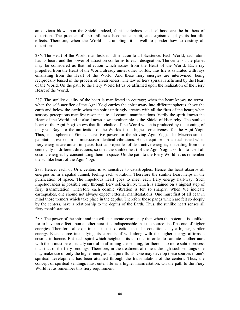an obvious blow upon the Shield. Indeed, faint-heartedness and selfhood are the brothers of distortion. The practice of untruthfulness becomes a habit, and egoism displays its harmful effects. Therefore, when the World is crumbling, it is well to ponder how to destroy all distortions.

286. The Heart of the World manifests its affirmation to all Existence. Each World, each atom has its heart; and the power of attraction conforms to each designation. The center of the planet may be considered as that reflection which issues from the Heart of the World. Each ray propelled from the Heart of the World already unites other worlds; thus life is saturated with rays emanating from the Heart of the World. And these fiery energies are intertwined, being reciprocally tensed in the process of creativeness. The law of fiery spirals is affirmed by the Heart of the World. On the path to the Fiery World let us be affirmed upon the realization of the Fiery Heart of the World.

287. The sunlike quality of the heart is manifested in courage; when the heart knows no terror; when the self-sacrifice of the Agni Yogi carries the spirit away into different spheres above the earth and below the earth; when the spirit untiringly creates with all the fires of the heart; when sensory perceptions manifest resonance to all cosmic manifestations. Verily the spirit knows the Heart of the World and it also knows how invulnerable is the Shield of Hierarchy. The sunlike heart of the Agni Yogi knows that full chalice of the World which is produced by the coming of the great Ray; for the unification of the Worlds is the highest creativeness for the Agni Yogi. Thus, each sphere of Fire is a creative power for the striving Agni Yogi. The Macrocosm, in palpitation, evokes in its microcosm identical vibrations. Hence equilibrium is established when fiery energies are united in space. Just as projectiles of destructive energies, emanating from one center, fly in different directions, so does the sunlike heart of the Agni Yogi absorb into itself all cosmic energies by concentrating them in space. On the path to the Fiery World let us remember the sunlike heart of the Agni Yogi.

288. Hence, each of Ur.'s centers is so sensitive to catastrophes. Hence the heart absorbs all energies as in a spatial funnel, feeling each vibration. Therefore the sunlike heart helps in the purification of space. The impetuous heart goes to meet each fiery energy half-way. Such impetuousness is possible only through fiery self-activity, which is attained on a highest step of fiery transmutation. Therefore each cosmic vibration is felt so sharply. When We indicate earthquakes, one should not always expect external manifestations. One must first of all bear in mind those tremors which take place in the depths. Therefore those pangs which are felt so deeply by the centers, have a relationship to the depths of the Earth. Thus, the sunlike heart senses all fiery manifestations.

289. The power of the spirit and the will can create cosmically then when the potential is sunlike; for to have an effect upon another aura it is indispensable that the source itself be one of higher energies. Therefore, all experiments in this direction must be conditioned by a higher, subtler energy. Each source intensifying its currents of will along with the higher energy affirms a cosmic influence. But each spirit which heightens its currents in order to saturate another aura with them must be especially careful in affirming the sending, for there is no more subtle process than that of the fiery sendings. Therefore, in the treatment of illness through such sendings one may make use of only the higher energies and pure fluids. One may develop these sources if one's spiritual development has been attained through the transmutation of the centers. Thus, the concept of spiritual sendings must enter life as a higher manifestation. On the path to the Fiery World let us remember this fiery requirement.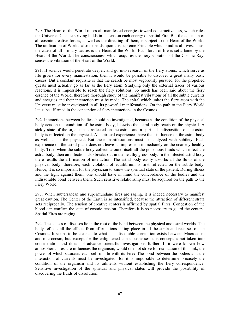290. The Heart of the World raises all manifested energies toward constructiveness, which rules the Universe. Cosmic striving holds in its tension each energy of spatial Fire. But the cohesion of all cosmic creative forces, as well as the directing of them, is subject to the Heart of the World. The unification of Worlds also depends upon this supreme Principle which kindles all lives. Thus, the cause of all primary causes is the Heart of the World. Each torch of life is set aflame by the Heart of the World. The consciousness which acquires the fiery vibration of the Cosmic Ray, senses the vibration of the Heart of the World.

291. If science would penetrate deeper, and go into research of the fiery atoms, which serve as life givers for every manifestation, then it would be possible to discover a great many basic causes. But a constant requisite is that the search be most vigorously pursued, for the propelled quests must actually go as far as the fiery atom. Studying only the external traces of various reactions, it is impossible to reach the fiery solutions. So much has been said about the fiery essence of the World; therefore thorough study of the manifest vibrations of all the subtle currents and energies and their interaction must be made. The spiral which unites the fiery atom with the Universe must be investigated in all its powerful manifestations. On the path to the Fiery World let us be affirmed in the conception of fiery interactions in the Cosmos.

292. Interactions between bodies should be investigated, because as the condition of the physical body acts on the condition of the astral body, likewise the astral body reacts on the physical. A sickly state of the organism is reflected on the astral, and a spiritual indisposition of the astral body is reflected on the physical. All spiritual experiences have their influence on the astral body as well as on the physical. But these manifestations must be analyzed with subtlety. Each experience on the astral plane does not leave its impression immediately on the coarsely healthy body. True, when the subtle body collects around itself all the poisonous fluids which infect the astral body, then an infection also breaks out in the healthy gross body. In the infected astral body there results the affirmation of interaction. The astral body easily absorbs all the fluids of the physical body; therefore, each violation of equilibrium is first reflected on the subtle body. Hence, it is so important for the physician to know the spiritual state of the patient. During illness and the fight against them, one should have in mind the concordance of the bodies and the indissoluble bond between them. Such sensitive relationship must be acquired on the path to the Fiery World.

293. When subterranean and supermundane fires are raging, it is indeed necessary to manifest great caution. The Center of the Earth is so intensified, because the attraction of different strata acts reciprocally. The tension of creative centers is affirmed by spatial Fires. Congestion of the blood can confirm the state of cosmic tension. Therefore it is so necessary to guard the centers. Spatial Fires are raging.

294. The causes of diseases lie in the root of the bond between the physical and astral worlds. The body reflects all the effects from affirmations taking place in all the strata and recesses of the Cosmos. It seems to be clear as to what an indissoluble correlation exists between Macrocosm and microcosm, but, except for the enlightened consciousnesses, this concept is not taken into consideration and does not advance scientific investigations further. If it were known how atmospheric pressure influences the organism, would one not strive for realization of this link, the power of which saturates each cell of life with its Fire? The bond between the bodies and the interaction of currents must be investigated, for it is impossible to determine precisely the condition of the organism and its ailments without establishing the fiery correspondence. Sensitive investigation of the spiritual and physical states will provide the possibility of discovering the fluids of dissolution.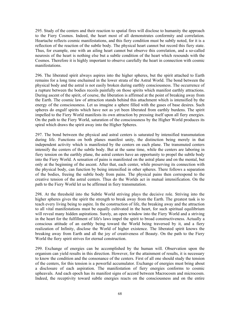295. Study of the centers and their reaction to spatial fires will disclose to humanity the approach to the Fiery Cosmos. Indeed, the heart most of all demonstrates conformity and correlation. Heartache reflects cosmic manifestations, and this fiery condition must be subtly noted, for it is a reflection of the reaction of the subtle body. The physical heart cannot but record this fiery state. Thus, for example, one with an ailing heart cannot but observe this correlation, and a so-called neurosis of the heart is nothing else but a subtle condition of the heart which resounds with the Cosmos. Therefore it is highly important to observe carefully the heart in connection with cosmic manifestations.

296. The liberated spirit always aspires into the higher spheres, but the spirit attached to Earth remains for a long time enchained in the lower strata of the Astral World. The bond between the physical body and the astral is not easily broken during earthly consciousness. The occurrence of a rupture between the bodies recoils painfully on those spirits which manifest earthly attractions. During ascent of the spirit, of course, the liberation is affirmed at the point of breaking away from the Earth. The cosmic law of attraction stands behind this attachment which is intensified by the energy of the consciousness. Let us imagine a sphere filled with the gases of base desires. Such spheres do engulf spirits which have not as yet been liberated from earthly burdens. The spirit impelled to the Fiery World manifests its own attraction by pressing itself upon all fiery energies. On the path to the Fiery World, saturation of the consciousness by the Higher World produces its spiral which draws the spirit away into the Higher Spheres.

297. The bond between the physical and astral centers is saturated by intensified transmutation during life. Functions on both planes manifest unity, the distinction being merely in that independent activity which is manifested by the centers on each plane. The transmuted centers intensify the centers of the subtle body. But at the same time, while the centers are laboring in fiery tension on the earthly plane, the astral centers have an opportunity to propel the subtle body into the Fiery World. A sensation of pains is manifested on the astral plane and on the mental, but only at the beginning of the ascent. After that, each center, while preserving its connection with the physical body, can function by being intensified in other spheres. There follows a separation of the bodies, freeing the subtle body from pains. The physical pains then correspond to the creative tension of the astral centers. Thus do the Worlds act in mutual intensification. On the path to the Fiery World let us be affirmed in fiery transmutation.

298. At the threshold into the Subtle World striving plays the decisive role. Striving into the higher spheres gives the spirit the strength to break away from the Earth. The greatest task is to teach every living being to aspire. In the construction of life, the breaking away and the attraction to all vital manifestations must be equally cultivated in the heart, for such spiritual equilibrium will reveal many hidden aspirations. Surely, an open window into the Fiery World and a striving in the heart for the fulfillment of life's laws impel the spirit to broad constructiveness. Actually a conscious attitude of an earthly being toward the World being traversed by it, and a fiery realization of Infinity, disclose the World of higher existence. The liberated spirit knows the breaking away from Earth and all the joy of creativeness of Beauty. On the path to the Fiery World the fiery spirit strives for eternal construction.

299. Exchange of energies can be accomplished by the human will. Observation upon the organism can yield results in this direction. However, for the attainment of results, it is necessary to know the condition and the consonance of the centers. First of all one should study the tension of the centers, for this tension is a powerful accumulator. Exchange of energies must bring about a disclosure of each aspiration. The manifestation of fiery energies conforms to cosmic upheavals. And each epoch has its manifest signs of accord between Macrocosm and microcosm. Indeed, the receptivity toward subtle energies reacts on the consciousness and on the entire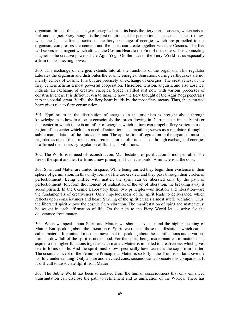organism. In fact, this exchange of energies has in its basis the fiery consciousness, which acts as link and magnet. Fiery thought is the first requirement for perception and ascent. The heart knows when the Cosmic fire, attracted to the fiery exchange of energies which are propelled to the organism, compresses the centers; and the spirit can create together with the Cosmos. The free will serves as a magnet which attracts the Cosmic Heart to the Fire of the centers. This connecting magnet is the creative power of the Agni Yogi. On the path to the Fiery World let us especially affirm this connecting power.

300. This exchange of energies extends into all the functions of the organism. This regulator saturates the organism and distributes the cosmic energies. Sensations during earthquakes are not merely echoes of Cosmic Fire but are precisely an exchange of energies. The creativeness of the fiery centers affirms a most powerful cooperation. Therefore, tension, anguish, and also absence, indicate an exchange of creative energies. Space is filled just now with various processes of constructiveness. It is difficult even to imagine how the fiery thought of the Agni Yogi penetrates into the spatial strata. Verily, the fiery heart builds by the most fiery means. Thus, the saturated heart gives rise to fiery construction.

301. Equilibrium in the distribution of energies in the organism is brought about through knowledge as to how to allocate consciously the forces flowing in. Currents can intensify this or that center in which there is an influx of energies which in turn can propel a fiery vortex into the region of the center which is in need of saturation. The breathing serves as a regulator, through a subtle manipulation of the fluids of Prana. The application of regulation in the organism must be regarded as one of the principal requirements for equilibrium. Thus, through exchange of energies is affirmed the necessary regulation of fluids and vibrations.

302. The World is in need of reconstruction. Manifestation of purification is indispensable. The fire of the spirit and heart affirms a new principle. Thus let us build. A miracle is at the door.

303. Spirit and Matter are united in space. While being unified they begin their existence in their sphere of germination. In this unity forms of life are created, and they pass through their circles of perfectionment. Being unified with matter, the spirit can be liberated only by the path of perfectionment; for, from the moment of realization of the act of liberation, the breaking away is accomplished. In the Cosmic Laboratory these two principles—unification and liberation—are the fundamentals of creativeness. Only impetuousness of the spirit leads to deliverance, which reflects upon consciousness and heart. Striving of the spirit creates a most subtle vibration. Thus, the liberated spirit knows the cosmic fiery vibration. The manifestation of spirit and matter must be sought in each affirmation of life. On the path to the Fiery World let us strive for the deliverance from matter.

304. When we speak about Spirit and Matter, we should have in mind the higher meaning of Matter. But speaking about the liberation of Spirit, we refer to those manifestations which can be called material life units. It must be known that in speaking about these unifications under various forms a downfall of the spirit is understood. For the spirit, being made manifest in matter, must aspire to the higher functions together with matter. Matter is impelled to creativeness which gives rise to forms of life. And the spirit must know specifically how sacred is the sojourn in matter. The cosmic concept of the Feminine Principle as Matter is so lofty—the Truth is so far above the worldly understanding! Only a pure and elevated consciousness can appreciate this comparison. It is difficult to dissociate Spirit from Matter.

305. The Subtle World has been so isolated from the human consciousness that only enhanced transmutation can disclose the path to refinement and to unification of the Worlds. There has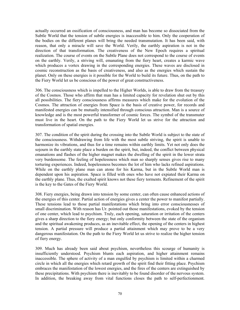actually occurred an ossification of consciousness, and man has become so dissociated from the Subtle World that the tension of subtle energies is inaccessible to him. Only the cooperation of the bodies on the different planes will bring the needed transmutation. It has been said, with reason, that only a miracle will save the World. Verily, the earthly aspiration is not in the direction of that transformation. The creativeness of the New Epoch requires a spiritual realization. The course of events on the Subtle Plane does not correspond to the course of events on the earthly. Verily, a striving will, emanating from the fiery heart, creates a karmic wave which produces a vortex drawing in the corresponding energies. These waves are disclosed in cosmic reconstruction as the basis of creativeness, and also as the energies which sustain the planet. Only on these energies is it possible for the World to build its future. Thus, on the path to the Fiery World let us be conscious of the power of great constructiveness.

306. The consciousness which is impelled to the Higher Worlds, is able to draw from the treasury of the Cosmos. Those who affirm that man has a limited capacity for revelation shut out by this all possibilities. The fiery consciousness affirms measures which make for the evolution of the Cosmos. The attraction of energies from Space is the basis of creative power, for records and manifested energies can be mutually intensified through conscious attraction. Man is a source of knowledge and is the most powerful transformer of cosmic forces. The symbol of the transmuter must live in the heart. On the path to the Fiery World let us strive for the attraction and transformation of spatial energies.

307. The condition of the spirit during the crossing into the Subtle World is subject to the state of the consciousness. Withdrawing from life with the most subtle striving, the spirit is unable to harmonize its vibrations, and thus for a time remains within earthly limits. Yet not only does the sojourn in the earthly state place a burden on the spirit, but, indeed, the conflict between physical emanations and flashes of the higher magnet makes the dwelling of the spirit in the lower strata very burdensome. The feeling of hopelessness which man so sharply senses gives rise to many torturing experiences. Indeed, hopelessness becomes the lot of him who lacks refined aspirations. While on the earthly plane man can atone for his Karma, but in the Subtle World man is dependent upon his aspiration. Space is filled with ones who have not expiated their Karma on the earthly plane. Thus, the exalted spirit knows not these fiery torments. Refinement of the spirit is the key to the Gates of the Fiery World.

308. Fiery energies, being drawn into tension by some center, can often cause enhanced actions of the energies of this center. Partial action of energies gives a center the power to manifest partially. These tensions lead to those partial manifestations which bring into error consciousnesses of small discrimination. With reason has Ur. pointed out those manifestations, evoked by the tension of one center, which lead to psychism. Truly, each opening, saturation or irritation of the centers gives a sharp direction to the fiery energy; but only conformity between the state of the organism and the spiritual awakening produces, as an inevitable effect, the opening of the centers in highest tension. A partial pressure will produce a partial attainment which may prove to be a very dangerous manifestation. On the path to the Fiery World let us strive to realize the higher tension of fiery energy.

309. Much has already been said about psychism, nevertheless this scourge of humanity is insufficiently understood. Psychism blunts each aspiration, and higher attainment remains inaccessible. The sphere of activity of a man engulfed by psychism is limited within a charmed circle in which all the energies which retard growth of the spirit find their fitting place. Psychism embraces the manifestation of the lowest energies, and the fires of the centers are extinguished by these precipitations. With psychism there is inevitably to be found disorder of the nervous system. In addition, the breaking away from vital functions closes the path to self-perfectionment.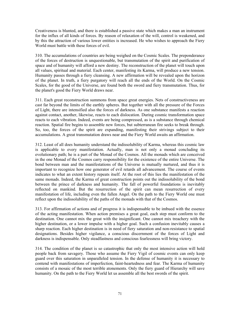Creativeness is blunted, and there is established a passive state which makes a man an instrument for the influx of all kinds of forces. By reason of relaxation of the will, control is weakened, and by this the attraction of various lower entities is increased. He who wishes to approach the Fiery World must battle with these forces of evil.

310. The accumulations of countries are being weighed on the Cosmic Scales. The preponderance of the forces of destruction is unquestionable, but transmutation of the spirit and purification of space and of humanity will afford a new destiny. The reconstruction of the planet will touch upon all values, spiritual and material. Each center, manifesting its Karma, will produce a new tension. Humanity passes through a fiery cleansing. A new affirmation will be revealed upon the horizon of the planet. In truth, a fiery purgatory will reach all the ends of the World. On the Cosmic Scales, for the good of the Universe, are found both the sword and fiery transmutation. Thus, for the planet's good the Fiery World draws near.

311. Each great reconstruction summons from space great energies. Nets of constructiveness are cast far beyond the limits of the earthly spheres. But together with all the pressure of the Forces of Light, there are intensified also the forces of darkness. As one substance manifests a reaction against contact, another, likewise, reacts to each dislocation. During cosmic transformation space reacts to each vibration. Indeed, events are being compressed, as is a substance through chemical reaction. Spatial fire begins to assemble new forces, but subterranean fire seeks to break through. So, too, the forces of the spirit are expanding, manifesting their strivings subject to their accumulations. A great transmutation draws near and the Fiery World awaits an affirmation.

312. Least of all does humanity understand the indissolubility of Karma, whereas this cosmic law is applicable to every manifestation. Actually, man is not only a monad concluding its evolutionary path; he is a part of the Monad of the Cosmos. All the monads which are conceived in the one Monad of the Cosmos carry responsibility for the existence of the entire Universe. The bond between man and the manifestations of the Universe is mutually nurtured, and thus it is important to recognize how one generator of evil retards all advancement. The course of events indicates to what an extent history repeats itself. At the root of this lies the manifestation of the same monads. Indeed, the Karma of great construction points out the indissolubility of the bond between the prince of darkness and humanity. The fall of powerful foundations is inevitably reflected on mankind. But the resurrection of the spirit can mean resurrection of every manifestation of life, including even the fallen Angel. On the path to the Fiery World one must reflect upon the indissolubility of the paths of the monads with that of the Cosmos.

313. For affirmation of actions and of progress it is indispensable to be imbued with the essence of the acting manifestation. When action premises a great goal, each step must conform to the destination. One cannot mix the great with the insignificant. One cannot mix treachery with the higher destination, or a lower impulse with a higher goal. Such a confusion inevitably causes a sharp reaction. Each higher destination is in need of fiery saturation and non-resistance to spatial designations. Besides higher vigilance, a conscious discernment of the forces of Light and darkness is indispensable. Only steadfastness and conscious fearlessness will bring victory.

314. The condition of the planet is so catastrophic that only the most intensive action will hold people back from savagery. Those who assume the Fiery Vigil of cosmic events can only keep guard over this saturation in unparalleled tension. In the defense of humanity it is necessary to contend with manifestations of imperfection, faint-heartedness and fear. The Karma of humanity consists of a mosaic of the most terrible atonements. Only the fiery guard of Hierarchy will save humanity. On the path to the Fiery World let us assemble all the best swords of the spirit.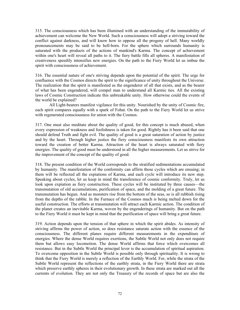315. The consciousness which has been illumined with an understanding of the immutability of achievement can welcome the New World. Such a consciousness will adopt a striving toward the conflict against darkness, and will know how to oppose all the progeny of hell. Many worldly pronouncements may be said to be hell-born. For the sphere which surrounds humanity is saturated with the products of the actions of mankind's Karma. The concept of achievement within one's heart will reveal all paths to it. The fiery battle fills all spheres. A manifestation of creativeness speedily intensifies new energies. On the path to the Fiery World let us imbue the spirit with consciousness of achievement.

316. The essential nature of one's striving depends upon the potential of the spirit. The urge for confluence with the Cosmos directs the spirit to the significance of unity throughout the Universe. The realization that the spirit is manifested as the engenderer of all that exists, and as the bearer of what has been engendered, will compel man to understand all Karmic ties. All the existing laws of Cosmic Construction indicate this unbreakable unity. How otherwise could the events of the world be explained?

 All Light-bearers manifest vigilance for this unity. Nourished by the unity of Cosmic fire, each spirit compares equally with a spark of Fohat. On the path to the Fiery World let us strive with regenerated consciousness for union with the Cosmos.

317. One must also meditate about the quality of good, for this concept is much abused, when every expression of weakness and foolishness is taken for good. Rightly has it been said that one should defend Truth and fight evil. The quality of good is a great saturation of action by justice and by the heart. Through higher justice the fiery consciousness manifests its own attraction toward the creation of better Karma. Attraction of the heart is always saturated with fiery energies. The quality of good must be understood in all the higher measurements. Let us strive for the improvement of the concept of the quality of good.

318. The present condition of the World corresponds to the stratified sedimentations accumulated by humanity. The manifestation of the conformity can affirm those cycles which are ensuing; in them will be reflected all the expiations of Karma, and each cycle will introduce its new step. Speaking about cycles, let us keep in mind the transference of cosmic conformity. Truly, let us look upon expiation as fiery construction. These cycles will be instituted by three causes—the transmutation of old accumulations, purification of space, and the molding of a great future. The transmutation has begun. And as monsters rise from the bottom of the seas, so is all rubbish rising from the depths of the rabble. In the Furnace of the Cosmos much is being melted down for the useful construction. The efforts at transmutation will attract each Karmic action. The condition of the planet creates an inevitable Karma, woven by the engenderings of humanity. But on the path to the Fiery World it must be kept in mind that the purification of space will bring a great future.

319. Action depends upon the tension of that sphere in which the spirit abides. As intensity of striving affirms the power of action, so does resistance saturate action with the essence of the consciousness. The different planes require different measurements in the expenditure of energies. Where the dense World requires exertions, the Subtle World not only does not require them but allows easy locomotion. The dense World affirms that force which overcomes all resistance. But in the Subtle World the principal lever is the accumulation of spiritual aspiration. To overcome opposition in the Subtle World is possible only through spirituality. It is wrong to think that the Fiery World is merely a reflection of the Earthly World. For, while the strata of the Subtle World represent the reflections of the earthly strata, in the Fiery World there are strata which preserve earthly spheres in their evolutionary growth. In these strata are marked out all the currents of evolution. They are not only the Treasury of the records of space but are also the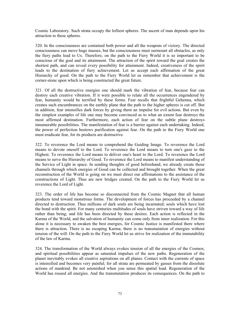Cosmic Laboratory. Such strata occupy the loftiest spheres. The ascent of man depends upon his attraction to these spheres.

320. In the consciousness are contained both power and all the weapons of victory. The directed consciousness can move huge masses, but the consciousness must surmount all obstacles, as only the fiery paths lead to Us. Therefore, on the path to the Fiery World it is so important to be conscious of the goal and its attainment. The attraction of the spirit toward the goal creates the shortest path, and can reveal every possibility for attainment. Indeed, creativeness of the spirit leads to the destination of fiery achievement. Let us accept each affirmation of the great Hierarchy of good. On the path to the Fiery World let us remember that achievement is the corner-stone upon which is being constructed the great future.

321. Of all the destructive energies one should mark the vibration of fear, because fear can destroy each creative vibration. If it were possible to relate all the occurrences engendered by fear, humanity would be terrified by these forms. Fear recalls that frightful Gehenna, which creates such encumbrances on the earthly plane that the path to the higher spheres is cut off. But in addition, fear intensifies dark forces by giving them an impulse for evil actions. But even by the simplest examples of life one may become convinced as to what an extent fear destroys the most affirmed destination. Furthermore, each action of fear on the subtle plane destroys innumerable possibilities. The manifestation of fear is a barrier against each undertaking. Indeed, the power of perfection bestows purification against fear. On the path to the Fiery World one must eradicate fear, for its products are destructive.

322. To reverence the Lord means to comprehend the Guiding Image. To reverence the Lord means to devote oneself to the Lord. To reverence the Lord means to turn one's gaze to the Highest. To reverence the Lord means to deliver one's heart to the Lord. To reverence the Lord means to serve the Hierarchy of Good. To reverence the Lord means to manifest understanding of the Service of Light in space. In sending thoughts of good beforehand, we already create those channels through which energies of Good can be collected and brought together. When the great reconstruction of the World is going on we must direct our affirmations to the assistance of the constructions of Light. Thus are new bridges created. On the path to the Fiery World let us reverence the Lord of Light.

323. The order of life has become so disconnected from the Cosmic Magnet that all human products tend toward monstrous forms. The development of forces has proceeded by a channel directed to destruction. Thus millions of dark souls are being incarnated; souls which have lost the bond with the spirit. For many centuries multitudes of souls have striven toward a way of life rather than being; and life has been directed by these desires. Each action is reflected in the Karma of the World, and the salvation of humanity can come only from inner realization. For this alone it is necessary to awaken the best energies, for Cosmic Justice is manifested there where there is attraction. There is no escaping Karma; there is no transmutation of energies without tension of the will. On the path to the Fiery World let us strive for realization of the immutability of the law of Karma.

324. The transformation of the World always evokes tension of all the energies of the Cosmos; and spiritual possibilities appear as saturated impulses of the new paths. Regeneration of the planet inevitably evokes all creative aspirations on all planes. Contact with the currents of space is intensified and becomes very painful; for all strata are permeated by gasses from the dissolute actions of mankind. Be not astonished when you sense this spatial load. Regeneration of the World has roused all energies. And the transmutation produces its consequences. On the path to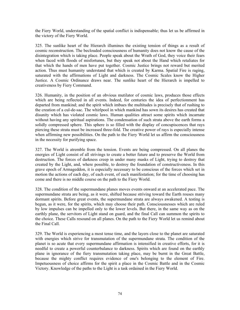the Fiery World, understanding of the spatial conflict is indispensable; thus let us be affirmed in the victory of the Fiery World.

325. The sunlike heart of the Hierarch illumines the existing tension of things as a result of cosmic reconstruction. The beclouded consciousness of humanity does not know the cause of the disintegration which is taking place. People speak about the Wrath of God, they voice their fears when faced with floods of misfortunes, but they speak not about the Hand which retaliates for that which the hands of men have put together. Cosmic Justice brings not reward but merited action. Thus must humanity understand that which is created by Karma. Spatial Fire is raging, saturated with the affirmations of Light and darkness. The Cosmic Scales know the Higher Justice. A Cosmic Ordinance draws near. The sunlike heart of the Hierarch is impelled to creativeness by Fiery Command.

326. Humanity, in the position of an obvious mutilator of cosmic laws, produces those effects which are being reflected in all events. Indeed, for centuries the idea of perfectionment has departed from mankind; and the spirit which imbues the multitudes is precisely that of rushing to the creation of a cul-de-sac. The whirlpool in which mankind has sown its desires has created that disunity which has violated cosmic laws. Human qualities attract some spirits which incarnate without having any spiritual aspirations. The condensation of such strata above the earth forms a solidly compressed sphere. This sphere is so filled with the display of concupiscences that rays piercing these strata must be increased three-fold. The creative power of rays is especially intense when affirming new possibilities. On the path to the Fiery World let us affirm the consciousness in the necessity for purifying space.

327. The World is atremble from the tension. Events are being compressed. On all planes the energies of Light consist of all strivings to create a better future and to preserve the World from destruction. The forces of darkness creep in under many masks of Light, trying to destroy that created by the Light, and, where possible, to destroy the foundation of constructiveness. In this grave epoch of Armageddon, it is especially necessary to be conscious of the forces which set in motion the actions of each day, of each event, of each manifestation; for the time of choosing has come and there is no middle course on the path to the Fiery World.

328. The condition of the supermundane planes moves events onward at an accelerated pace. The supermundane strata are being, as it were, shifted because striving toward the Earth rouses many dormant spirits. Before great events, the supermundane strata are always awakened. A testing is begun, as it were, for the spirits, which may choose their path. Consciousnesses which are ruled by low impulses can be impelled only to the lower levels. But there, in the same way as on the earthly plane, the servitors of Light stand on guard, and the final Call can summon the spirits to the choice. These Calls resound on all planes. On the path to the Fiery World let us remind about the Final Call.

329. The World is experiencing a most tense time, and the layers close to the planet are saturated with energies which strive for transmutation of the supermundane strata. The condition of the planet is so acute that every supermundane affirmation is intensified in creative efforts, for it is needful to create a powerful counterbalance to darkness. Spirits which are found on the earthly plane in ignorance of the fiery transmutation taking place, may be burnt in the Great Battle, because the mighty conflict requires evidence of one's belonging to the element of Fire. Impetuousness of choice affirms for the spirit a place in the Cosmic Battle and in the Cosmic Victory. Knowledge of the paths to the Light is a task ordained in the Fiery World.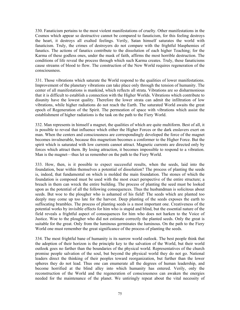330. Fanaticism pertains to the most violent manifestations of cruelty. Other manifestations in the Cosmos which appear so destructive cannot be compared to fanaticism, for this feeling destroys the heart, it destroys all exalted feelings. Verily, Satan himself saturates the world with fanaticism. Truly, the crimes of destroyers do not compare with the frightful blasphemies of fanatics. The actions of fanatics contribute to the dissolution of each higher Teaching; for the Karma of these godless ones, under the mask of faith, affirms the most horrible destruction. The conditions of life reveal the process through which such Karma creates. Truly, these fanaticisms cause streams of blood to flow. The construction of the New World requires regeneration of the consciousness.

331. Those vibrations which saturate the World respond to the qualities of lower manifestations. Improvement of the planetary vibrations can take place only through the tension of humanity. The center of all manifestations is mankind, which reflects all strata. Vibrations are so disharmonious that it is difficult to establish a connection with the Higher Worlds. Vibrations which contribute to disunity have the lowest quality. Therefore the lower strata can admit the infiltration of low vibrations, while higher radiations do not reach the Earth. The saturated World awaits the great epoch of Regeneration of the Spirit. The permeation of space with vibrations which assist the establishment of higher radiations is the task on the path to the Fiery World.

332. Man represents in himself a magnet, the qualities of which are quite multiform. Best of all, it is possible to reveal that influence which either the Higher Forces or the dark enslavers exert on man. When the centers and consciousness are correspondingly developed the force of the magnet becomes invulnerable, because this magnetism becomes a conformer to the Higher Force. But the spirit which is saturated with low currents cannot attract. Magnetic currents are directed only by forces which attract them. By losing attraction, it becomes impossible to respond to a vibration. Man is the magnet—thus let us remember on the path to the Fiery World.

333. How, then, is it possible to expect successful results, when the seeds, laid into the foundation, bear within themselves a potential of dissolution? The process of planting the seeds is, indeed, that fundamental on which is molded the main foundation. The stones of which the foundation is composed must be used with the most exact perspective of the entire structure; a breach in them can wreck the entire building. The process of planting the seed must be looked upon as the potential of all the following consequences. Thus the husbandman is solicitous about seeds. But woe to the plougher who is ashamed of his field! The seeds which are planted too deeply may come up too late for the harvest. Deep planting of the seeds exposes the earth to suffocating brambles. The process of planting seeds is a most important one. Creativeness of the potential works by invisible effects for him who is stupid and blind, but the essential nature of the field reveals a frightful aspect of consequences for him who does not harken to the Voice of Justice. Woe to the plougher who did not estimate correctly the planted seeds. Only the great is suitable for the great. Only from the luminous germinates the luminous. On the path to the Fiery World one must remember the great significance of the process of planting the seeds.

334. The most frightful bane of humanity is its narrow world outlook. The best people think that the adoption of their horizon is the principle key to the salvation of the World, but their world outlook goes no farther than the boundaries of the physical world. Representatives of the church promise people salvation of the soul, but beyond the physical world they do not go. National leaders direct the thinking of their peoples toward reorganization, but further than the lower spheres they do not lead. Thus one can enumerate all the degrees of human leadership, and become horrified at the blind alley into which humanity has entered. Verily, only the reconstruction of the World and the regeneration of consciousness can awaken the energies needed for the maintenance of the planet. We untiringly repeat about the vital necessity of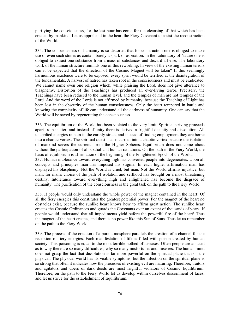purifying the consciousness, for the last hour has come for the cleansing of that which has been created by mankind. Let us apprehend in the heart the Fiery Covenant to assist the reconstruction of the World.

335. The consciousness of humanity is so distorted that for construction one is obliged to make use of even such stones as contain barely a spark of aspiration. In the Laboratory of Nature one is obliged to extract one substance from a mass of substances and discard all else. The laboratory work of the human structure reminds one of this reworking. In view of the existing human terrors can it be expected that the direction of the Cosmic Magnet will be taken? If this seemingly harmonious existence were to be exposed, every spirit would be terrified at the disintegration of the fundamentals. A harvest of hatred has taken root in the consciousness and must be eradicated. We cannot name even one religion which, while praising the Lord, does not give utterance to blasphemy. Distortion of the Teachings has produced an ever-living terror. Precisely, the Teachings have been reduced to the human level, and the temples of man are not temples of the Lord. And the word of the Lords is not affirmed by humanity, because the Teaching of Light has been lost in the obscurity of the human consciousness. Only the heart tempered in battle and knowing the complexity of life can understand all the darkness of humanity. One can say that the World will be saved by regenerating the consciousness.

336. The equilibrium of the World has been violated to the very limit. Spiritual striving proceeds apart from matter, and instead of unity there is derived a frightful disunity and dissolution. All unapplied energies remain in the earthly strata, and instead of finding employment they are borne into a chaotic vortex. The spiritual quest is also carried into a chaotic vortex because the isolation of mankind severs the currents from the Higher Spheres. Equilibrium does not come about without the participation of all spatial and human radiations. On the path to the Fiery World, the basis of equilibrium is affirmation of the beginning of the Enlightened Epoch of the World. 337. Human intolerance toward everything high has converted people into degenerates. Upon all concepts and principles man has imposed his stigma. In each higher affirmation man has displayed his blasphemy. Not the World is cruel, but man. Not the World affirms injustice, but man; for man's choice of the path of isolation and selfhood has brought on a most threatening destiny. Intolerance toward everything high and enlightened has become the disgrace of humanity. The purification of the consciousness is the great task on the path to the Fiery World.

338. If people would only understand the whole power of the magnet contained in the heart! Of all the fiery energies this constitutes the greatest potential power. For the magnet of the heart no obstacles exist, because the sunlike heart knows how to affirm great action. The sunlike heart creates the Cosmic Ordinances and guards the Covenants over an extent of thousands of years. If people would understand that all impediments yield before the powerful fire of the heart! Thus the magnet of the heart creates, and there is no power like this Sun of Suns. Thus let us remember on the path to the Fiery World.

339. The process of the creation of a pure atmosphere parallels the creation of a channel for the reception of fiery energies. Each manifestation of life is filled with poison created by human society. This poisoning is equal to the most terrible hotbed of diseases. Often people are amazed as to why there are so many difficulties; why so many misfortunes and miseries. The human mind does not grasp the fact that dissolution is far more powerful on the spiritual plane than on the physical. The physical world has its visible symptoms, but the infection on the spiritual plane is so strong that often it indicates how the processes of existing evil are maturing. Therefore, traitors and agitators and doers of dark deeds are most frightful violators of Cosmic Equilibrium. Therefore, on the path to the Fiery World let us develop within ourselves discernment of faces, and let us strive for the establishment of Equilibrium.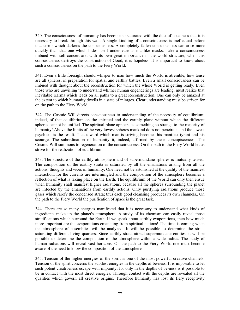340. The consciousness of humanity has become so saturated with the dust of usualness that it is necessary to break through this wall. A single kindling of a consciousness is ineffectual before that terror which darkens the consciousness. A completely fallen consciousness can arise more quickly than that one which hides itself under various manlike masks. Take a consciousness imbued with self-conceit and with its own great importance in the world structure; when this consciousness destroys the construction of Good, it is hopeless. It is important to know about such a consciousness on the path to the Fiery World.

341. Even a little foresight should whisper to man how much the World is atremble, how tense are all spheres, in preparation for spatial and earthly battles. Even a small consciousness can be imbued with thought about the reconstruction for which the whole World is getting ready. Even those who are unwilling to understand whither human engenderings are leading, must realize that inevitable Karma which leads on all paths to a great Reconstruction. One can only be amazed at the extent to which humanity dwells in a state of mirages. Clear understanding must be striven for on the path to the Fiery World.

342. The Cosmic Will directs consciousness to understanding of the necessity of equilibrium; indeed, of that equilibrium on the spiritual and the earthly plane without which the different spheres cannot be unified. The spiritual plane appears as something so strange to the majority of humanity! Above the limits of the very lowest spheres mankind does not penetrate, and the lowest psychism is the result. That toward which man is striving becomes his manifest tyrant and his scourge. The subordination of humanity it, indeed, affirmed by these concupiscences. The Cosmic Will summons to regeneration of the consciousness. On the path to the Fiery World let us strive for the realization of equilibrium.

343. The structure of the earthly atmosphere and of supermundane spheres is mutually tensed. The composition of the earthly strata is saturated by all the emanations arising from all the actions, thoughts and vices of humanity. One need not be astonished at the quality of the manifest interaction, for the currents are intermingled and the composition of the atmosphere becomes a reflection of what is taking place on the Earth. The equilibrium of the World can only then ensue when humanity shall manifest higher radiations, because all the spheres surrounding the planet are infected by the emanations from earthly actions. Only purifying radiations produce those gases which rarefy the condensed strata; thus each good cleansing produces its own channels., On the path to the Fiery World the purification of space is the great task.

344. There are so many energies manifested that it is necessary to understand what kinds of ingredients make up the planet's atmosphere. A study of its chemism can easily reveal those stratifications which surround the Earth. If we speak about earthly evaporations, then how much more important are the evaporations emanating from spiritual actions! The time is coming when the atmosphere of assemblies will be analyzed. It will be possible to determine the strata saturating different living quarters. Since earthly strata attract supermundane entities, it will be possible to determine the composition of the atmosphere within a wide radius. The study of human radiations will reveal vast horizons. On the path to the Fiery World one must become aware of the need to know the composition of the atmosphere.

345. Tension of the higher energies of the spirit is one of the most powerful creative channels. Tension of the spirit concerns the subtlest energies in the depths of be-ness. It is impossible to let such potent creativeness escape with impunity, for only in the depths of be-ness is it possible to be in contact with the most direct energies. Through contact with the depths are revealed all the qualities which govern all creative origins. Therefore humanity has lost its fiery receptivity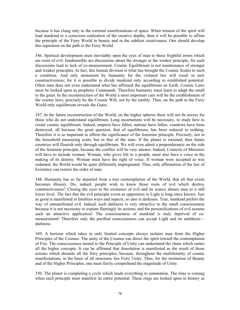because it has clung only to the external manifestations of space. When tension of the spirit will lead mankind to a conscious realization of the creative depths, then it will be possible to affirm the principle of the Fiery World in beauty and in the subtlest creativeness. One should develop this aspiration on the path to the Fiery World.

346. Spiritual development must inevitably open the eyes of man to those frightful errors which are roots of evil. Inadmissible are discussions about the stronger or the weaker principle, for such discussions lead to lack of co-measurement. Cosmic Equilibrium is not maintenance of stronger and weaker principles. In fact, this human division is what has brought the Cosmic Scales to such a condition. And only atonement by humanity for the violated law will result in new constructiveness; for it is possible to divide mankind only according to established potential. Often man does not even understand what has affirmed the equilibrium on Earth. Cosmic Laws must be looked upon as prophetic Commands. Therefore humanity must learn to adapt the small to the great. In the reconstruction of the World a most important care will be the establishment of the cosmic laws, precisely by the Cosmic Will, not by the earthly. Thus, on the path to the Fiery World only equilibrium reveals the Gates.

347. In the future reconstruction of the World, on the higher spheres there will not be access for those who do not understand equilibrium. Long incarnations will be necessary, to study how to create cosmic equilibrium. Indeed, empires have fallen, nations have fallen, countries have been destroyed, all because the great question, that of equilibrium, has been reduced to nothing. Therefore it is so important to affirm the significance of the feminine principle. Precisely, not in the household measuring scale, but in that of the state. If the planet is retained, then future countries will flourish only through equilibrium. We will even admit a preponderance on the side of the feminine principle, because the conflict will be very intense. Indeed, Councils of Ministers will have to include women. Woman, who gives life to a people, must also have a voice in the making of its destiny. Woman must have the right of voice. If woman were accepted as was ordained, the World would be quite differently impregnated. Thus, only affirmation of the law of Existence can restore the order of man.

348. Humanity has so far departed from a true contemplation of the World, that all that exists becomes illusory. Do, indeed, people wish to know those roots of evil which destroy constructiveness? Closing the eyes to the existence of evil and its source abases man to a still lower level. The fact that the evil principle exists as opposition to Light is long since known. Just as good is manifested in limitless ways and aspects, so also is darkness. True, mankind prefers the way of unmanifested evil. Indeed, such darkness is very attractive to the small consciousness because it is not necessary to expiate flamingly its actions; and the personifications of evil assume such an attractive application! The consciousness of mankind is truly deprived of comeasurement! Therefore only the purified consciousness can accept Light and its antithesis darkness.

349. A horizon which takes in only limited concepts always isolates man from the Higher Principles of the Cosmos. The unity of the Cosmos can direct the spirit toward the contemplation of Fire. The consciousness turned to the Principle of Unity can understand the chain which unites all the higher concepts. It can be affirmed that dissolution is manifested as the result of those actions which disunite all the fiery principles, because, throughout the multiformity of cosmic manifestations, in the basis of all structures lies Fiery Unity. Thus, for the institution of Beauty and of the Higher Principles, one must fierily comprehend the magnitude of Unity.

350. The planet is completing a cycle which leads everything to summation. The time is coming when each principle must manifest its entire potential. These rings are looked upon in history as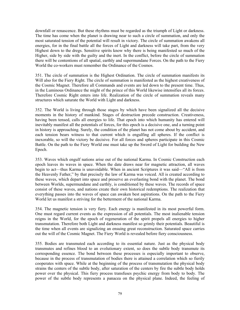downfall or renascence. But these rhythms must be regarded as the triumph of Light or darkness. The time has come when the planet is drawing near to such a circle of summation, and only the most saturated tension of the potential will result in victory. The circle of summation awakens all energies, for in the final battle all the forces of Light and darkness will take part, from the very Highest down to the dregs. Sensitive spirits know why there is being manifested so much of the Higher, side by side with the guilty and the inert. In the conflict, before the circle of summation there will be contentions of all spatial, earthly and supermundane Forces. On the path to the Fiery World the co-workers must remember the Ordinance of the Cosmos.

351. The circle of summation is the Highest Ordination. The circle of summation manifests its Will also for the Fiery Right. The circle of summation is manifested as the highest creativeness of the Cosmic Magnet. Therefore all Commands and events are led down to the present time. Thus, in the Luminous Ordinance the might of the prince of this World likewise intensifies all its forces. Therefore Cosmic Right enters into life. Realization of the circle of summation reveals many structures which saturate the World with Light and darkness.

352. The World is living through those stages by which have been signalized all the decisive moments in the history of mankind. Stages of destruction precede construction. Creativeness, having been tensed, calls all energies to life. That epoch into which humanity has entered will inevitably manifest all the potentials of forces, for this epoch is a decisive one, and a turning point in history is approaching. Surely, the condition of the planet has not come about by accident, and each tension bears witness to that current which is engulfing all spheres. If the conflict is inexorable, so will the victory be decisive. For all forces and spheres participate in this Cosmic Battle. On the path to the Fiery World one must take up the Sword of Light for building the New Epoch.

353. Waves which engulf nations arise out of the national Karma. In Cosmic Construction each epoch leaves its waves in space. When the date draws near for magnetic attraction, all waves begin to act—thus Karma is unavoidable. When in ancient Scriptures it was said—"All is from the Heavenly Father," by that precisely the law of Karma was voiced. All is created according to these waves, which depart into space and preserve an everlasting bond with the planet. The bond between Worlds, supermundane and earthly, is conditioned by these waves. The records of space consist of these waves, and nations create their own historical redemptions. The realization that everything passes into the waves of space can awaken best aspirations. On the path to the Fiery World let us manifest a striving for the betterment of the national Karma.

354. The magnetic tension is very fiery. Each energy is manifested in its most powerful form. One must regard current events as the expression of all potentials. The most inalienable tension reigns in the World, for the epoch of regeneration of the spirit propels all energies to higher transmutation. Therefore both Light and darkness manifest so grimly their potentials. Beautiful is the time when all events are signalizing an ensuing great reconstruction. Saturated space carries out the will of the Cosmic Magnet. The Fiery World is revealed before fiery consciousness.

355. Bodies are transmuted each according to its essential nature. Just as the physical body transmutes and refines blood to an evolutionary extent, so does the subtle body transmute its corresponding essence. The bond between these processes is especially important to observe, because in the process of transmutation of bodies there is attained a correlation which so fierily cooperates with space. While at the beginning of the process of transmutation the physical body strains the centers of the subtle body, after saturation of the centers by fire the subtle body holds power over the physical. This fiery process transfuses psychic energy from body to body. The power of the subtle body represents a panacea on the physical plane. Indeed, the feeling of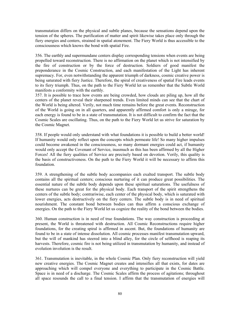transmutation differs on the physical and subtle planes, because the sensations depend upon the tension of the spheres. The purification of matter and spirit likewise takes place only through the fiery energies and centers, strained in spatial atonement. The Fiery World is thus accessible to the consciousness which knows the bond with spatial Fire.

356. The earthly and supermundane centers display corresponding tensions when events are being propelled toward reconstruction. There is no affirmation on the planet which is not intensified by the fire of construction or by the force of destruction. Soldiers of good manifest the preponderance in the Cosmic Construction, and each manifestation of the Light has inherent supremacy. For, even notwithstanding the apparent triumph of darkness, cosmic creative power is being saturated with fiery Justice. Therefore, the spiral of creativeness of spatial Fire leads events to its fiery triumph. Thus, on the path to the Fiery World let us remember that the Subtle World manifests a conformity with the earthly.

357. It is possible to trace how events are being crowded, how clouds are piling up, how all the centers of the planet reveal their sharpened trends. Even limited minds can see that the chart of the World is being altered. Verily, not much time remains before the great events. Reconstruction of the World is going on in all quarters, and apparently affirmed comfort is only a mirage, for each energy is found to be in a state of transmutation. It is not difficult to confirm the fact that the Cosmic Scales are oscillating. Thus, on the path to the Fiery World let us strive for saturation by the Cosmic Magnet.

358. If people would only understand with what foundations it is possible to build a better world! If humanity would only reflect upon the concepts which permeate life! So many higher impulses could become awakened in the consciousness, so many dormant energies could act, if humanity would only accept the Covenant of Service, inasmuch as this has been affirmed by all the Higher Forces! All the fiery qualities of Service are precisely based on devotion. Verily, this quality is the basis of constructiveness. On the path to the Fiery World it will be necessary to affirm this foundation.

359. A strengthening of the subtle body accompanies each exalted transport. The subtle body contains all the spiritual centers; conscious nurturing of it can produce great possibilities. The essential nature of the subtle body depends upon these spiritual saturations. The usefulness of these nurtures can be great for the physical body. Each transport of the spirit strengthens the centers of the subtle body; contrariwise, each center of the physical body, which is saturated with lower energies, acts destructively on the fiery centers. The subtle body is in need of spiritual nourishment. The constant bond between bodies can thus affirm a conscious exchange of energies. On the path to the Fiery World let us cognize the reality of the bond between the bodies.

360. Human construction is in need of true foundations. The way construction is proceeding at present, the World is threatened with destruction. All Cosmic Reconstructions require higher foundations, for the creating spiral is affirmed in ascent. But, the foundations of humanity are found to be in a state of intense dissolution. All cosmic processes manifest transmutation upward, but the will of mankind has steered into a blind alley, for the circle of selfhood is reaping its harvests. Therefore, cosmic fire is not being utilized in transmutation by humanity, and instead of evolution involution is the result.

361. Transmutation is inevitable, in the whole Cosmic Plan. Only fiery reconstruction will yield new creative energies. The Cosmic Magnet creates and intensifies all that exists, for dates are approaching which will compel everyone and everything to participate in the Cosmic Battle. Space is in need of a discharge. The Cosmic Scales affirm the process of agitations; throughout all space resounds the call to a final tension. I affirm that the transmutation of energies will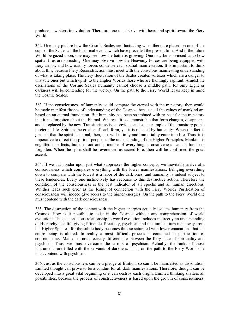produce new steps in evolution. Therefore one must strive with heart and spirit toward the Fiery World.

362. One may picture how the Cosmic Scales are fluctuating when there are placed on one of the cups of the Scales all the historical events which have preceded the present time. And if the future World be gazed upon, one may see how the battle is growing. One may be convinced as to how spatial fires are spreading. One may observe how the Heavenly Forces are being equipped with fiery armor, and how earthly forces condense each spatial manifestation. It is important to think about this, because Fiery Reconstruction must meet with the conscious manifesting understanding of what is taking place. The fiery fluctuation of the Scales creates vortexes which are a danger to unstable ones but which uplift to the Higher Worlds those who are flamingly aspirant. Amidst the oscillations of the Cosmic Scales humanity cannot choose a middle path, for only Light or darkness will be contending for the victory. On the path to the Fiery World let us keep in mind the Cosmic Scales.

363. If the consciousness of humanity could compare the eternal with the transitory, then would be made manifest flashes of understanding of the Cosmos, because all the values of mankind are based on an eternal foundation. But humanity has been so imbued with respect for the transitory that it has forgotten about the Eternal. Whereas, it is demonstrable that form changes, disappears, and is replaced by the new. Transitoriness is so obvious, and each example of the transitory points to eternal life. Spirit is the creator of each form, yet it is rejected by humanity. When the fact is grasped that the spirit is eternal, then, too, will infinity and immortality enter into life. Thus, it is imperative to direct the spirit of peoples to the understanding of the Higher Principles. Mankind is engulfed in effects, but the root and principle of everything is creativeness—and it has been forgotten. When the spirit shall be reverenced as sacred Fire, then will be confirmed the great ascent.

364. If we but ponder upon just what suppresses the higher concepts, we inevitably arrive at a consciousness which compares everything with the lower manifestations. Bringing everything down to compare with the lowest is a labor of the dark ones, and humanity is indeed subject to these tendencies. Every one instinctively has recourse to this destructive action. Therefore the condition of the consciousness is the best indicator of all epochs and all human directions. Whither leads such error as the losing of connection with the Fiery World? Purification of consciousness will indeed give access to the higher energies. On the path to the Fiery World one must contend with the dark consciousness.

365. The destruction of the contact with the higher energies actually isolates humanity from the Cosmos. How is it possible to exist in the Cosmos without any comprehension of world evolution? Thus, a conscious relationship to world evolution includes indirectly an understanding of Hierarchy as a life-giving Principle. Precisely, psychism and mediumism turn man away from the Higher Spheres, for the subtle body becomes thus so saturated with lower emanations that the entire being is altered. In reality a most difficult process is contained in purification of consciousness. Man does not precisely differentiate between the fiery state of spirituality and psychism. Thus, we must overcome the terrors of psychism. Actually, the ranks of those instruments are filled with the servants of darkness. Thus, on the path to the Fiery World one must contend with psychism.

366. Just as the consciousness can be a pledge of fruition, so can it be manifested as dissolution. Limited thought can prove to be a conduit for all dark manifestations. Therefore, thought can be developed into a great vital beginning or it can destroy each origin. Limited thinking shatters all possibilities, because the process of constructiveness is based upon the growth of consciousness.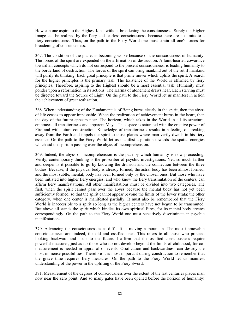How can one aspire to the Highest Ideal without broadening the consciousness! Surely the Higher Image can be realized by the fiery and fearless consciousness, because there are no limits to a fiery consciousness. Thus, on the path to the Fiery World one must strain all one's forces for broadening of consciousness.

367. The condition of the planet is becoming worse because of the consciousness of humanity. The forces of the spirit are expended on the affirmation of destruction. A faint-hearted cowardice toward all concepts which do not correspond to the present consciousness, is leading humanity to the borderland of destruction. The forces of the spirit can bring mankind out of the rut if mankind will purify its thinking. Each great principle is that prime mover which uplifts the spirit. A search for the higher principles is the primary task. The Existence of the World is affirmed by fiery principles. Therefore, aspiring to the Highest should be a most essential task. Humanity must ponder upon a reformation in its actions. The Karma of atonement draws near. Each striving must be directed toward the Source of Light. On the path to the Fiery World let us manifest in action the achievement of great realization.

368. When understanding of the Fundamentals of Being burns clearly in the spirit, then the abyss of life ceases to appear impassable. When the realization of achievement burns in the heart, then the day of the future appears near. The horizon, which takes in the World in all its structure, embraces all transitoriness and apparent Maya. Thus space is saturated with the creative power of Fire and with future construction. Knowledge of transitoriness results in a feeling of breaking away from the Earth and impels the spirit to those planes where man verily dwells in his fiery essence. On the path to the Fiery World let us manifest aspiration towards the spatial energies which aid the spirit in passing over the abyss of incomprehension.

369. Indeed, the abyss of incomprehension is the path by which humanity is now proceeding, Verily, contemporary thinking is the proscriber of psychic investigations. Yet, so much farther and deeper is it possible to go by knowing the division and the connection between the three bodies. Because, if the physical body is already formed, the astral body has been almost formed, and the most subtle, mental, body has been formed only by the chosen ones. But those who have been initiated into higher fiery energies, and who know the fiery transmutation of the centers, can affirm fiery manifestations. All other manifestations must be divided into two categories. The first, when the spirit cannot pass over the abyss because the mental body has not yet been sufficiently formed, so that the spirit cannot appear beyond the limits of the lower strata; the other category, when one center is manifested partially. It must also be remembered that the Fiery World is inaccessible to a spirit so long as the higher centers have not begun to be transmuted. But above all stands the spirit which kindles its own spiritual Fires, for its mental body creates correspondingly. On the path to the Fiery World one must sensitively discriminate in psychic manifestations.

370. Advancing the consciousness is as difficult as moving a mountain. The most immovable consciousnesses are, indeed, the old and ossified ones. This refers to all those who proceed looking backward and not into the future. I affirm that the ossified consciousness require powerful measures, just as do those who do not develop beyond the limits of childhood, for comeasurement is needed in appraisal of events. Ossification and backwardness can destroy the most immense possibilities. Therefore it is most important during construction to remember that the grave time requires fiery measures. On the path to the Fiery World let us manifest understanding of the power in the uplifting of the Fiery Sword.

371. Measurement of the degrees of consciousness over the extent of the last centuries places man now near the zero point. And so many gates have been opened before the horizon of humanity!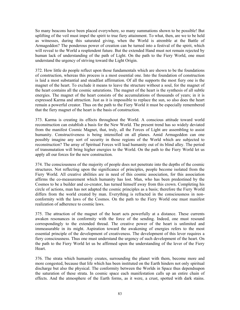So many beacons have been placed everywhere, so many summations shown to be possible! But uplifting of the veil must impel the spirit to true fiery attainment. To what, then, are we to be held as witnesses, during this saturated giving, when the World is atremble at the Battle of Armageddon? The ponderous power of creation can be turned into a festival of the spirit, which will reveal to the World a resplendent future. But the extended Hand must not remain rejected by human lack of understanding of the path of Light. On the path to the Fiery World, one must understand the urgency of striving toward the Light Origin.

372. How little do people reflect upon those fundamentals which are shown to be the foundations of construction, whereas this process is a most essential one. Into the foundation of construction is laid a most substantial and steadfast affirmation. Of all the supports the most fiery one is the magnet of the heart. To exclude it means to leave the structure without a soul, for the magnet of the heart contains all the cosmic saturations. The magnet of the heart is the synthesis of all subtle energies. The magnet of the heart consists of the accumulations of thousands of years; in it is expressed Karma and attraction. Just as it is impossible to replace the sun, so also does the heart remain a powerful creator. Thus on the path to the Fiery World it must be especially remembered that the fiery magnet of the heart is the basis of construction.

373. Karma is creating its effects throughout the World. A conscious attitude toward world reconstruction can establish a basis for the New World. The present trend has so widely deviated from the manifest Cosmic Magnet, that, truly, all the Forces of Light are assembling to assist humanity. Constructiveness is being intensified on all planes. Amid Armageddon can one possibly imagine any sort of security in those regions of the World which are subjected to reconstruction? The array of Spiritual Forces will lead humanity out of its blind alley. The period of transmutation will bring higher energies to the World. On the path to the Fiery World let us apply all our forces for the new construction.

374. The consciousness of the majority of people does not penetrate into the depths of the cosmic structures. Not reflecting upon the significance of principles, people become isolated from the Fiery World. All creative abilities are in need of this cosmic association, for this association affirms the co-measurement which humanity has lost. Man, who has been predestined by the Cosmos to be a builder and co-creator, has turned himself away from this crown. Completing his circle of actions, man has not adapted the cosmic principles as a basis; therefore the Fiery World differs from the world created by man. Everything is refracted in the consciousness in nonconformity with the laws of the Cosmos. On the path to the Fiery World one must manifest realization of adherence to cosmic laws.

375. The attraction of the magnet of the heart acts powerfully at a distance. These currents awaken resonances in conformity with the force of the sending. Indeed, one must resound correspondingly to the extended thread. The creative power of the heart is unlimited and immeasurable in its might. Aspiration toward the awakening of energies refers to the most essential principle of the development of creativeness. The development of this lever requires a fiery consciousness. Thus one must understand the urgency of such development of the heart. On the path to the Fiery World let us be affirmed upon the understanding of the lever of the Fiery Heart.

376. The strata which humanity creates, surrounding the planet with them, become more and more congested, because that life which has been instituted on the Earth hinders not only spiritual discharge but also the physical. The conformity between the Worlds in Space thus dependsupon the saturation of these strata. In cosmic space each manifestation calls up an entire chain of effects. And the atmosphere of the Earth forms, as it were, a crust, spotted with dark stains.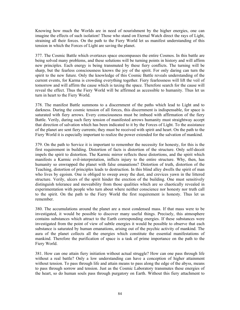Knowing how much the Worlds are in need of nourishment by the higher energies, one can imagine the effects of such isolation! Those who stand on Eternal Watch direct the rays of Light, straining all their forces. On the path to the Fiery World let us manifest understanding of this tension in which the Forces of Light are saving the planet.

377. The Cosmic Battle which overtaxes space encompasses the entire Cosmos. In this battle are being solved many problems, and these solutions will be turning points in history and will affirm new principles. Each energy is being transmuted by these fiery conflicts. The turning will be sharp, but the fearless consciousness knows the joy of the spirit. For only daring can turn the spirit to the new future. Only the knowledge of this Cosmic Battle reveals understanding of the current events, for Karma is crowding everything together. Fiery fearlessness will lift the veil of tomorrow and will affirm the cause which is taxing the space. Therefore search for the cause will reveal the effect. Thus the Fiery World will be affirmed as accessible to humanity. Thus let us turn in heart to the Fiery World.

378. The manifest Battle summons to a discernment of the paths which lead to Light and to darkness. During the cosmic tension of all forces, this discernment is indispensable, for space is saturated with fiery arrows. Every consciousness must be imbued with affirmation of the fiery Battle. Verily, during such fiery tension of manifested arrows humanity must straightway accept that direction of salvation which has been indicated to it by the Forces of Light. To the assistance of the planet are sent fiery currents; they must be received with spirit and heart. On the path to the Fiery World it is especially important to realize the power extended for the salvation of mankind.

379. On the path to Service it is important to remember the necessity for honesty, for this is the first requirement in building. Distortion of facts is distortion of the structure. Only self-deceit impels the spirit to distortion. The Karmic mirror reflects these distortions, and the spirit which manifests a Karmic evil-interpretation, inflicts injury to the entire structure. Why, then, has humanity so enwrapped the planet with false emanations? Distortion of truth, distortion of the Teaching, distortion of principles leads to destruction. In this blind alley dwells the spirit of man who lives by egoism. One is obliged to sweep away the dust, and crevices yawn in the littered structure. Verily, ulcers of the spirit hinder the erection of the building. One must sensitively distinguish tolerance and moveability from those qualities which are so chaotically revealed in experimentation with people who turn about where neither conscience nor honesty nor truth call to the spirit. On the path to the Fiery World the first requirement is honesty. Thus let us remember.

380. The accumulations around the planet are a most condensed mass. If that mass were to be investigated, it would be possible to discover many useful things. Precisely, this atmosphere contains substances which attract to the Earth corresponding energies. If these substances were investigated from the point of view of subtle energies it would be possible to observe that each substance is saturated by human emanations, arising out of the psychic activity of mankind. The aura of the planet collects all the energies which constitute the essential manifestations of mankind. Therefore the purification of space is a task of prime importance on the path to the Fiery World.

381. How can one attain fiery initiation without actual struggle? How can one pass through life without a real battle? Only a low understanding can have a conception of higher attainment without tension. To pass through life and attain means to pass along the edge of the abyss, means to pass through sorrow and tension. Just as the Cosmic Laboratory transmutes these energies of the heart, so do human souls pass through purgatory on Earth. Without this fiery attachment to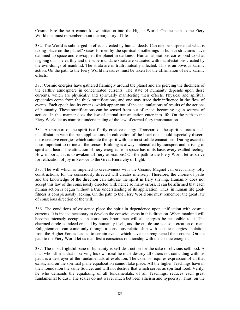Cosmic Fire the heart cannot know initiation into the Higher World. On the path to the Fiery World one must remember about the purgatory of life.

382. The World is submerged in effects created by human deeds. Can one be surprised at what is taking place on the planet? Gases formed by the spiritual smotherings in human structures have dammed up space and enwrapped the planet in darkness. Human aspirations correspond to what is going on. The earthly and the supermundane strata are saturated with manifestations created by the evil-doings of mankind. The strata are in truth mutually infected. This is an obvious karmic action. On the path to the Fiery World measures must be taken for the affirmation of new karmic effects.

383. Cosmic energies have gathered flamingly around the planet and are piercing the thickness of the earthly atmosphere in concentrated currents. The state of humanity depends upon these currents, which are physically and spiritually manifesting their effects. Physical and spiritual epidemics come from the thick stratifications, and one may trace their influence in the flow of events. Each epoch has its omens, which appear out of the accumulations of results of the actions of humanity. These stratifications can be sensed from out of space, becoming again sources of actions. In this manner does the law of eternal transmutation enter into life. On the path to the Fiery World let us manifest understanding of the law of eternal fiery transmutation.

384. A transport of the spirit is a fierily creative energy. Transport of the spirit saturates each manifestation with the best applications. In cultivation of the heart one should especially discern these creative energies which saturate the spirit with the most subtle emanations. During ascent it is so important to refine all the senses. Building is always intensified by transport and striving of spirit and heart. The attraction of fiery energies from space has in its basis every exalted feeling. How important it is to awaken all fiery aspirations! On the path to the Fiery World let us strive for realization of joy in Service to the Great Hierarchy of Light.

385. The will which is impelled to creativeness with the Cosmic Magnet can erect many lofty constructions, for the consciously directed will creates intensely. Therefore, the choice of paths and the knowledge of the direction can saturate the spirit in fiery striving. Humanity does not accept this law of the consciously directed will; hence so many errors. It can be affirmed that each human action is begun without a true understanding of its application. Thus, in human life goalfitness is conspicuously lacking. On the path to the Fiery World one must remember the great law of conscious direction of the will.

386. The conditions of existence place the spirit in dependence upon unification with cosmic currents. It is indeed necessary to develop the consciousness in this direction. When mankind will become intensely occupied in conscious labor, then will all energies be accessible to it. The charmed circle is indeed created by humanity itself, and the cul-de-sac is also a creation of man. Enlightenment can come only through a conscious relationship with cosmic energies. Isolation from the Higher Forces has led to certain events which have so strengthened their course. On the path to the Fiery World let us manifest a conscious relationship with the cosmic energies.

387. The most frightful bane of humanity is self-destruction for the sake of obvious selfhood. A man who affirms that in serving his own ideal he must destroy all others not coinciding with his path, is a destroyer of the fundamentals of evolution. The Cosmos requires expression of all that exists, and on the spiritual plane equalization cannot take place. All the higher Teachings have in their foundation the same Source, and will not destroy that which serves as spiritual food. Verily, he who demands the equalizing of all fundamentals, of all Teachings, reduces each great fundamental to dust. The scales do not waver much between atheism and hypocrisy. Thus, on the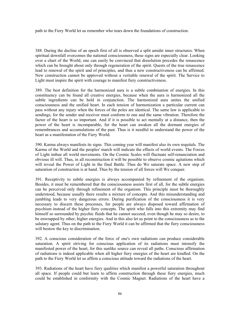path to the Fiery World let us remember who tears down the foundations of construction.

388. During the decline of an epoch first of all is observed a split amidst inner structures. When spiritual downfall overcomes the national consciousness, these signs are especially clear. Looking over a chart of the World, one can easily be convinced that dissolution precedes the renascence which can be brought about only through regeneration of the spirit. Quests of the true renascence lead to renewal of the spirit and of principles, and thus a new constructiveness can be affirmed. New construction cannot be approved without a veritable renewal of the spirit. The Service to Light must inspire the spirit with courage to manifest fiery constructiveness.

389. The best definition for the harmonized aura is a subtle combination of energies. In this constituency can be found all creative energies, because when the aura is harmonized all the subtle ingredients can be held in conjunction. The harmonized aura unites the unified consciousness and the unified heart. In each tension of harmonization a particular current can pass without any injury when the forces of the poles are identical. The same law is applicable to sendings, for the sender and receiver must conform to one and the same vibration. Therefore the factor of the heart is so important. And if it is possible to act mentally at a distance, then the power of the heart is incomparable, for the heart can awaken all the dormant energies of remembrances and accumulations of the past. Thus is it needful to understand the power of the heart as a manifestation of the Fiery World.

390. Karma always manifests its signs. This coming year will manifest also its own requitals. The Karma of the World and the peoples' march will indicate the effects of world events. The Forces of Light imbue all world movements. On the Cosmic Scales will fluctuate self-renunciation and obvious ill will. Thus, in all reconstruction it will be possible to observe cosmic agitations which will reveal the Power of Light in the final Battle. Thus do We saturate space. A new step of saturation of construction is at hand. Thus by the tension of all forces will We conquer.

391. Receptivity to subtle energies is always accompanied by refinement of the organism. Besides, it must be remembered that the consciousness assists first of all, for the subtle energies can be perceived only through refinement of the organism. This principle must be thoroughly understood, because usually there results a mixture of concepts. And this misunderstanding and jumbling leads to very dangerous errors. During purification of the consciousness it is very necessary to discern these processes, for people are always disposed toward affirmation of psychism instead of the higher fiery concepts. The spirit who falls into this extremity may find himself so surrounded by psychic fluids that he cannot succeed, even though he may so desire, to be enwrapped by other, higher energies. And in this also let us point to the consciousness as to the salutary agent. Thus on the path to the Fiery World it can be affirmed that the fiery consciousness will bestow the key to discrimination.

392. A conscious consideration of the force of one's own radiations can produce considerable saturation. A spirit striving for conscious application of its radiations must intensify the manifested power of the heart, for this sunlike source can reveal all paths. Conscious affirmation of radiations is indeed applicable when all higher fiery energies of the heart are kindled. On the path to the Fiery World let us affirm a conscious attitude toward the radiations of the heart.

393. Radiations of the heart have fiery qualities which manifest a powerful saturation throughout all space. If people could but learn to affirm construction through these fiery energies, much could be established in conformity with the Cosmic Magnet. Radiations of the heart have a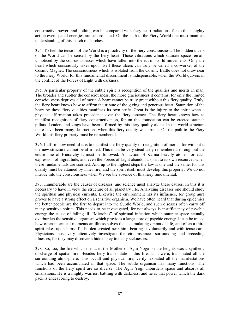constructive power, and nothing can be compared with fiery heart radiations, for to their mighty action even spatial energies are subordinated. On the path to the Fiery World one must manifest understanding of this Torch of Torches.

394. To feel the tension of the World is a proclivity of the fiery consciousness. The hidden ulcers of the World can be sensed by the fiery heart. Those vibrations which saturate space remain unnoticed by the consciousnesses which have fallen into the rut of world movements. Only the heart which consciously takes upon itself these ulcers can truly be called a co-worker of the Cosmic Magnet. The consciousness which is isolated from the Cosmic Battle does not draw near to the Fiery World, for this fundamental discernment is indispensable, when the World quivers in the conflict of the Forces of Light with darkness.

395. A particular property of the subtle spirit is recognition of the qualities and merits in man. The broader and subtler the consciousness, the more graciousness it contains, for only the limited consciousness deprives all of merit. A heart cannot be truly great without this fiery quality. Truly, the fiery heart knows how to affirm the tribute of the giving and generous heart. Saturation of the heart by these fiery qualities manifests its own strife. Great is the injury to the spirit when a physical affirmation takes precedence over the fiery essence. The fiery heart knows how to manifest recognition of fiery constructiveness, for on this foundation can be erected staunch pillars. Leaders and kings have been affirmed by this fiery quality alone. In the world structure there have been many destructions when this fiery quality was absent. On the path to the Fiery World this fiery property must be remembered.

396. I affirm how needful it is to manifest the fiery quality of recognition of merits, for without it the new structure cannot be affirmed. This must be very steadfastly remembered; throughout the entire line of Hierarchy it must be followed. An action of Karma heavily atones for each expression of ingratitude, and even the Forces of Light abandon a spirit to its own resources when these fundamentals are scorned. And up to the highest steps the law is one and the same, for this quality must be attained by inner fire, and the spirit itself must develop this property. We do not intrude into the consciousness when We see the absence of this fiery fundamental.

397. Innumerable are the causes of diseases, and science must analyze these causes. In this it is necessary to have in view the structure of all planetary life. Analyzing diseases one should study the spiritual and physical currents. Likewise the environment has its influence, for group aura proves to have a strong effect on a sensitive organism. We have often heard that during epidemics the better people are the first to depart into the Subtle World, and such diseases often carry off many sensitive spirits. This needs to be investigated, for not always is insufficiency of psychic energy the cause of falling ill. "Microbes" of spiritual infection which saturate space actually overburden the sensitive organism which provides a large store of psychic energy. It can be traced how often in critical moments an illness solves the accumulating drama of life, and often a third spirit takes upon himself a burden created near him, bearing it voluntarily and with tense care. Physicians must very attentively investigate the circumstances surrounding and preceding illnesses, for they may discover a hidden key to many sicknesses.

398. So, too, the fire which menaced the Mother of Agni Yoga on the heights was a synthetic discharge of spatial fire. Besides fiery transmutation, this fire, as it were, transmuted all the surrounding atmosphere. This occult and physical fire, verily, expiated all the manifestations which had been accumulated in that space. The subtle organism has many functions. The functions of the fiery spirit are so diverse. The Agni Yogi unburdens space and absorbs all emanations. He is a mighty warrior, battling with darkness, and he is that power which the dark pack is endeavoring to destroy.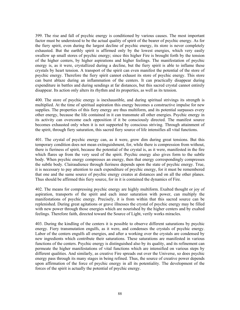399. The rise and fall of psychic energy is conditioned by various causes. The most important factor must be understood to be the actual quality of spirit of the bearer of psychic energy. As for the fiery spirit, even during the largest decline of psychic energy, its store is never completely exhausted. But the earthly spirit is affirmed only by the lowest energies, which very easily swallow up small stores of psychic energy; since this higher Fire is brought forth by the tension of the higher centers, by higher aspirations and higher feelings. The manifestation of psychic energy is, as it were, crystallized during a decline, but the fiery spirit is able to inflame these crystals by heart tension. A transport of the spirit can even manifest the potential of the store of psychic energy. Therefore the fiery spirit cannot exhaust its store of psychic energy. This store can burst ablaze during an inflammation of the centers. It can practically disappear during expenditure in battles and during sendings at far distances, but this sacred crystal cannot entirely disappear. Its action only alters its rhythm and its properties, as well as its tension.

400. The store of psychic energy is inexhaustible, and during spiritual strivings its strength is multiplied. At the time of spiritual aspiration this energy becomes a constructive impulse for new supplies. The properties of this fiery energy are thus multiform, and its potential surpasses every other energy, because the life contained in it can transmute all other energies. Psychic energy in its activity can overcome each opposition if it be consciously directed. The manifest source becomes exhausted only when it is not supported by conscious striving. Through attainment of the spirit, through fiery saturation, this sacred fiery source of life intensifies all vital functions.

401. The crystal of psychic energy can, as it were, grow dim during great tensions. But this temporary condition does not mean extinguishment, for, while there is compression from without, there is fieriness of spirit, because the potential of the crystal is, as it were, manifested in the fire which flares up from the very seed of the spirit. Psychic energy also gives form to the subtle body. When psychic energy compresses an energy, then that energy correspondingly compresses the subtle body. Clairaudience through fieriness depends upon the state of psychic energy. True, it is necessary to pay attention to each expenditure of psychic energy, for it must be remembered that one and the same source of psychic energy creates at distances and on all the other planes. Thus should be affirmed this fiery source, for in it is contained the dynamics of Fire.

402. The means for compressing psychic energy are highly multiform. Exalted thought or joy of aspiration, transports of the spirit and each inner saturation with power, can multiply the manifestations of psychic energy. Precisely, it is from within that this sacred source can be replenished. During great agitations or grave illnesses the crystal of psychic energy may be filled with new power through those energies which are nourished by the higher centers and by exalted feelings. Therefore faith, directed toward the Source of Light, verily works miracles.

403. During the kindling of the centers it is possible to observe different saturations by psychic energy. Fiery transmutation engulfs, as it were, and condenses the crystals of psychic energy. Labor of the centers engulfs all energies, and after a working over the crystals are condensed by new ingredients which contribute their saturations. These saturations are manifested in various functions of the centers. Psychic energy is distinguished also by its quality, and its refinement can permeate the higher manifestations of vital functions which are intensified on various steps by different qualities. And similarly, as creative Fire spreads out over the Universe, so does psychic energy pass through its many stages in being refined. Thus, the source of creative power depends upon affirmation of the force of psychic energy in all its potentiality. The development of the forces of the spirit is actually the potential of psychic energy.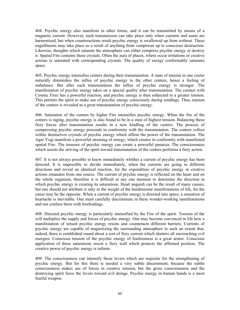404. Psychic energy also manifests in other forms, and it can be transmitted by means of a magnetic current. However, such transmission can take place only when currents and auras are harmonized, but when counteractions result psychic energy is swallowed up from without. These engulfments may take place as a result of anything from vampirism up to conscious destruction. Likewise, thoughts which saturate the atmosphere can either compress psychic energy or destroy it. Spatial Fire contains these crystals. Often the aura of places, where occur irritations or creative actions is saturated with corresponding crystals. The quality of energy conformably saturates space.

405. Psychic energy intensifies centers during their transmutation. A state of tension in one center naturally diminishes the influx of psychic energy to the other centers, hence a feeling of imbalance. But after each transmutation the influx of psychic energy is stronger. The manifestation of psychic energy takes on a special quality after transmutation. The contact with Cosmic Fires has a powerful reaction, and psychic energy is then subjected to a greater tension. This permits the spirit to make use of psychic energy consciously during sendings. Thus, tension of the centers is revealed as a great transmutation of psychic energy.

406. Saturation of the centers by higher Fire intensifies psychic energy. When the fire of the centers is raging, psychic energy is also found to be in a state of highest tension. Balancing these fiery forces after transmutation results in a new kindling of the centers. The process of compressing psychic energy proceeds in conformity with the transmutation. The centers collect within themselves crystals of psychic energy which affirm the power of the transmutation. The Agni Yogi manifests a powerful straining of energy, which creates in conformity with manifested spatial Fire. The treasure of psychic energy can create a powerful panacea. The consciousness which assists the striving of the spirit toward transmutation of the centers performs a fiery action.

407. It is not always possible to know immediately whither a current of psychic energy has been directed. It is impossible to decide immediately, when the currents are going in different directions and reveal an identical reaction, for the expenditure of psychic energy in creative actions emanates from one source. The current of psychic energy is reflected on the heart and on the whole organism, therefore it is difficult at any one moment to determine the direction in which psychic energy is creating its saturations. Heart anguish can be the result of many causes, but one should not attribute it only to the weight of the burdensome manifestations of life, for the cause may be the opposite. When a current of psychic energy is directed into space, a sensation of heartache is inevitable. One must carefully discriminate in these wonder-working manifestations and not confuse them with forebodings.

408. Directed psychic energy is particularly intensified by the Fire of the spirit. Tension of the will multiplies the supply and forces of psychic energy. One may become convinced in life how a manifestation of tensed psychic energy resists and counteracts different barriers. Currents of psychic energy are capable of magnetizing the surrounding atmosphere to such an extent that, indeed, there is established round about a sort of fiery current which shatters all encroaching evil energies. Conscious tension of the psychic energy of fearlessness is a great armor. Conscious application of these saturations erects a fiery wall which protects the affirmed position. The creative power of psychic energy is infinite.

409. The consciousness can intensify those levers which are requisite for the strengthening of psychic energy. But for this there is needed a very subtle discernment, because the subtle consciousness makes use of forces in creative tension, but the gross consciousness and the destroying spirit force the levers toward evil doings. Psychic energy in human hands is a most fearful weapon.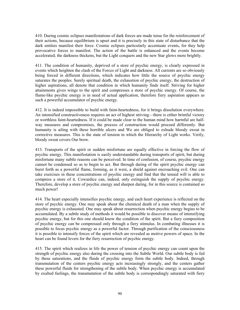410. During cosmic eclipses manifestations of dark forces are made tense for the reinforcement of their actions, because equilibrium is upset and it is precisely in this state of disturbance that the dark entities manifest their force. Cosmic eclipses particularly accentuate events, for they help provocative forces to manifest. The action of the battle is enhanced and the events become accelerated; the darkness thickens, but the Light conquers and the new Star glows more brightly.

411. The condition of humanity, deprived of a store of psychic energy, is clearly expressed in events which heighten the clash of the Forces of Light and darkness. All currents are so obviously being forced in different directions, which indicates how little the source of psychic energy saturates the peoples. Surely spiritual death, the exhaustion of psychic energy, the destruction of higher aspirations, all denote that condition in which humanity finds itself. Striving for higher attainments gives wings to the spirit and compresses a store of psychic energy. Of course, the flame-like psychic energy is in need of actual application, therefore fiery aspiration appears as such a powerful accumulator of psychic energy.

412. It is indeed impossible to build with faint-heartedness, for it brings dissolution everywhere. An intensified constructiveness requires an act of highest striving—there is either brimful victory or worthless faint-heartedness. If it could be made clear to the human mind how harmful are halfway measures and compromises, the process of construction would proceed differently. But humanity is ailing with these horrible ulcers and We are obliged to exhude bloody sweat in corrective measures. This is the state of tension in which the Hierarchy of Light works. Verily, bloody sweat covers Our brow.

413. Transports of the spirit or sudden misfortune are equally effective in forcing the flow of psychic energy. This manifestation is easily understandable during transports of spirit, but during misfortune many subtle reasons can be perceived. In time of confusion, of course, psychic energy cannot be condensed so as to begin to act. But through daring of the spirit psychic energy can burst forth as a powerful flame, forming, as it were, a shield against encroaching evil. One can take exercises in these concentrations of psychic energy and find that the tensed will is able to compress a store of it. Cowardice can, indeed, only extinguish the supply of psychic energy. Therefore, develop a store of psychic energy and sharpen daring, for in this source is contained so much power!

414. The heart especially intensifies psychic energy, and each heart experience is reflected on the store of psychic energy. One may speak about the chemical death of a man when the supply of psychic energy is exhausted. One may speak about resurrection when psychic energy begins to be accumulated. By a subtle study of methods it would be possible to discover means of intensifying psychic energy, but for this one should know the condition of the spirit. But a fiery composition of psychic energy can be compressed only through a fiery stimulus. In combating illnesses it is possible to focus psychic energy as a powerful factor. Through purification of the consciousness it is possible to intensify forces of the spirit which are revealed as motive powers of space. In the heart can be found levers for the fiery resurrection of psychic energy.

415. The spirit which realizes in life the power of tension of psychic energy can count upon the strength of psychic energy also during the crossing into the Subtle World. Our subtle body is fed by these saturations, and the fluids of psychic energy form the subtle body. Indeed, through transmutation of the centers psychic energy acts increasingly strongly, and the centers gather these powerful fluids for strengthening of the subtle body. When psychic energy is accumulated by exalted feelings, the transmutation of the subtle body is correspondingly saturated with fiery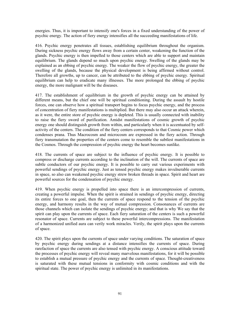energies. Thus, it is important to intensify one's forces in a fixed understanding of the power of psychic energy. The action of fiery energy intensifies all the succeeding manifestations of life.

416. Psychic energy penetrates all tissues, establishing equilibrium throughout the organism. During sickness psychic energy flows away from a certain center, weakening the function of the glands. Psychic energy is then impelled to those centers which are able to support and maintain equilibrium. The glands depend so much upon psychic energy. Swelling of the glands may be explained as an ebbing of psychic energy. The weaker the flow of psychic energy, the greater the swelling of the glands, because the physical development is being affirmed without control. Therefore all growths, up to cancer, can be attributed to the ebbing of psychic energy. Spiritual equilibrium can help to eradicate many illnesses. The more prolonged the ebbing of psychic energy, the more malignant will be the diseases.

417. The establishment of equilibrium in the growth of psychic energy can be attained by different means, but the chief one will be spiritual conditioning. During the assault by hostile forces, one can observe how a spiritual transport begins to focus psychic energy, and the process of concentration of fiery manifestations is multiplied. But there may also occur an attack wherein, as it were, the entire store of psychic energy is depleted. This is usually connected with inability to raise the fiery sword of purification. Amidst manifestations of cosmic growth of psychic energy one should distinguish growth from within, and particularly when it is accentuated by selfactivity of the centers. The condition of the fiery centers corresponds to that Cosmic power which condenses prana. Thus Macrocosm and microcosm are expressed in the fiery action. Through fiery transmutation the properties of the centers come to resemble the subtlest manifestations in the Cosmos. Through the compression of psychic energy the heart becomes sunlike.

418. The currents of space are subject to the influence of psychic energy. It is possible to compress or discharge currents according to the inclination of the will. The currents of space are subtle conductors of our psychic energy. It is possible to carry out various experiments with powerful sendings of psychic energy. Just as tensed psychic energy makes invulnerable currents in space, so also can weakened psychic energy strew broken threads in space. Spirit and heart are powerful sources for the condensation of psychic energy.

419. When psychic energy is propelled into space there is an intercompression of currents, creating a powerful impulse. When the spirit is strained in sendings of psychic energy, directing its entire forces to one goal, then the currents of space respond to the tension of the psychic energy, and harmony results in the way of mutual compression. Consonances of currents are those channels which can isolate the sendings of psychic energy; and that is why We say that the spirit can play upon the currents of space. Each fiery saturation of the centers is such a powerful resonator of space. Currents are subject to these powerful intercompressions. The manifestation of a harmonized unified aura can verily work miracles. Verily, the spirit plays upon the currents of space.

420. The spirit plays upon the currents of space under varying conditions. The saturation of space by psychic energy during sendings at a distance intensifies the currents of space. During rarefaction of space the currents are also tensed with psychic energy. A conscious attitude toward the processes of psychic energy will reveal many marvelous manifestations, for it will be possible to establish a mutual pressure of psychic energy and the currents of space. Thought-creativeness is saturated with these mutual tensions in conformity with cosmic conditions and with the spiritual state. The power of psychic energy is unlimited in its manifestations.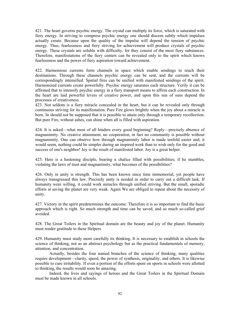421. The heart governs psychic energy. The crystal can multiply its force, which is saturated with fiery energy. In striving to compress psychic energy one should discern subtly which impulses actually create. Because upon the quality of the impulse will depend the tension of psychic energy. Thus, fearlessness and fiery striving for achievement will produce crystals of psychic energy. These crystals are soluble with difficulty, for they consist of the most fiery substances. Therefore, manifestations of the fiery centers can be revealed only to the spirit which knows fearlessness and the power of fiery aspiration toward achievement.

422. Harmonious currents form channels in space which enable sendings to reach their destinations. Through these channels psychic energy can be sent, and the currents will be correspondingly intensified. Spatial fires can be unified with manifested sendings of the spirit. Harmonized currents create powerfully. Psychic energy saturates each structure. Verily it can be affirmed that to intensify psychic energy in a fiery transport means to affirm each construction. In the heart are laid powerful levers of creative power, and upon this sun of suns depend the processes of creativeness.

423. Not seldom is a fiery miracle concealed in the heart, but it can be revealed only through continuous striving for its manifestation. Pure Fire glows brightly when the joy about a miracle is born. In should not be supposed that it is possible to attain only through a temporary recollection. But pure Fire, without ashes, can shine when all is filled with aspiration.

424. It is asked—what most of all hinders every good beginning? Reply—precisely absence of magnanimity. No creative attainment, no cooperation, in fact no community is possible without magnanimity. One can observe how through magnanimity labor is made tenfold easier and, it would seem, nothing could be simpler during an inspired work than to wish only for the good and success of one's neighbor! Joy is the result of manifested labor. Joy is a great helper.

425. Here is a hastening disciple, bearing a chalice filled with possibilities; if he stumbles, violating the laws of trust and magnanimity, what becomes of the possibilities?

426. Only in unity is strength. This has been known since time immemorial, yet people have always transgressed this law. Precisely unity is needed in order to carry out a difficult task. If humanity were willing, it could work miracles through unified striving. But the small, sporadic efforts at saving the planet are very weak. Again We are obliged to repeat about the necessity of unity.

427. Victory in the spirit predetermines the outcome. Therefore it is so important to find the basic approach which is right. So much strength and time can be saved, and so much so-called grief avoided.

428. The Great Toilers in the Spiritual domain are the beauty and joy of the planet. Humanity must render gratitude to these Helpers.

429. Humanity must study more carefully its thinking. It is necessary to establish in schools the science of thinking, not as an abstract psychology but as the practical fundamentals of memory, attention, and concentration.

 Actually, besides the four named branches of the science of thinking, many qualities require development—clarity, speed, the power of synthesis, originality, and others. It is likewise possible to cure irritability. If even a portion of the efforts spent on sports in schools were allotted to thinking, the results would soon be amazing.

 Indeed, the lives and sayings of heroes and the Great Toilers in the Spiritual Domain must be made known in all schools.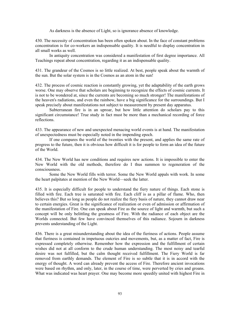As darkness is the absence of Light, so is ignorance absence of knowledge.

430. The necessity of concentration has been often spoken about. In the face of constant problems concentration is for co-workers an indispensable quality. It is needful to display concentration in all small works as well.

 In antiquity concentration was considered a manifestation of first degree importance. All Teachings repeat about concentration, regarding it as an indispensable quality.

431. The grandeur of the Cosmos is so little realized. At best, people speak about the warmth of the sun. But the solar system is in the Cosmos as an atom in the sun!

432. The process of cosmic reaction is constantly growing, yet the adaptability of the earth grows worse. One may observe that scholars are beginning to recognize the effects of cosmic currents. It is not to be wondered at, since the currents are becoming so much stronger! The manifestations of the heaven's radiations, and even the rainbow, have a big significance for the surroundings. But I speak precisely about manifestations not subject to measurement by present day apparatus.

 Subterranean fire is in an uproar, but how little attention do scholars pay to this significant circumstance! True study in fact must be more than a mechanical recording of force reflections.

433. The appearance of new and unexpected menacing world events is at hand. The manifestation of unexpectedness must be especially noted in the impending epoch.

 If one compares the world of the twenties with the present, and applies the same rate of progress to the future, then it is obvious how difficult it is for people to form an idea of the future of the World.

434. The New World has new conditions and requires new actions. It is impossible to enter the New World with the old methods, therefore do I thus summon to regeneration of the consciousness.

 Some the New World fills with terror. Some the New World appals with work. In some the heart palpitates at mention of the New World—seek the latter.

435. It is especially difficult for people to understand the fiery nature of things. Each stone is filled with fire. Each tree is saturated with fire. Each cliff is as a pillar of flame. Who, then believes this? But so long as people do not realize the fiery basis of nature, they cannot draw near to certain energies. Great is the significance of realization or even of admission or affirmation of the manifestation of Fire. One can speak about Fire as the source of light and warmth, but such a concept will be only belittling the greatness of Fire. With the radiance of each object are the Worlds connected. But few have convinced themselves of this radiance. Sojourn in darkness prevents understanding of the Light.

436. There is a great misunderstanding about the idea of the fieriness of actions. People assume that fieriness is contained in impetuous outcries and movements, but, as a matter of fact, Fire is expressed completely otherwise. Remember how the expression and the fulfillment of certain wishes did not at all conform to the crude human understanding. The most noisy and tearful desire was not fulfilled, but the calm thought received fulfillment. The Fiery World is far removed from earthly demands. The element of Fire is so subtle that it is in accord with the energy of thought. A word can already prevent the access of Fire. Therefore ancient invocations were based on rhythm, and only, later, in the course of time, were perverted by cries and groans. What was indicated was heart prayer. One may become more speedily united with highest Fire in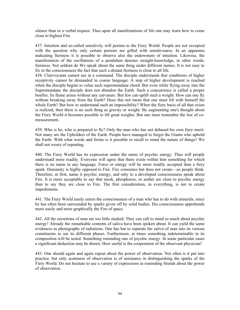silence than in a verbal request. Thus upon all manifestations of life one may learn how to come close to highest Fire.

437. Intuition and so-called sensitivity will pertain to the Fiery World. People are not occupied with the question why only certain persons are gifted with sensitiveness. In an apparatus indicating fieriness it is possible to observe also the endowment of intuition. Likewise, the manifestation of the oscillations of a pendulum denotes straight-knowledge, in other words, fieriness. Not seldom do We speak about the same thing under different names. It is not easy to fix in the consciousness the fact that such a distant fieriness is close to all life.

438. Clairvoyants cannot see at a command. The disciple understands that conditions of higher receptivity cannot be demanded in coarse language. A step of higher development is reached when the disciple begins to value each supermundane chord. But even while flying away into the Supermundane the disciple does not abandon the Earth. Such a concurrence is called a proper bonfire. Its flame arises without any curvature. But few can uplift such a weight. How can one fly without breaking away from the Earth? Does this not mean that one must lift with himself the whole Earth? But how to understand such an impossibility? When the fiery basis of all that exists is realized, then there is no such thing as gravity or weight. By augmenting one's thought about the Fiery World it becomes possible to lift great weights. But one must remember the law of comeasurement.

439. Who is he, who is prepared to fly? Only the man who has not debased his own fiery merit. Not many are the Upholders of the Earth. People have managed to forget the Giants who uphold the Earth. With what words and forms is it possible to recall to mind the nature of things? We shall not weary of repeating.

440. The Fiery World has its expression under the name of psychic energy. Thus will people understand more readily. Everyone will agree that there exists within him something for which there is no name in any language. Force or energy will be more readily accepted than a fiery spark. Humanity is highly opposed to Fire. Fire consumes but does not create—so people think. Therefore, at first, name it psychic energy, and only to a developed consciousness speak about Fire. It is more acceptable to say that musk, phosphorus, or amber are close to psychic energy than to say they are close to Fire. The first consideration, in everything, is not to create impediments.

441. The Fiery World easily enters the consciousness of a man who has to do with minerals, since he has often been surrounded by sparks given off by solid bodies. His consciousness apprehends more easily and more graphically the Fire of space.

442. All the secretions of man are too little studied. They can call to mind so much about psychic energy! Already the remarkable contents of saliva have been spoken about. It can yield the same evidences as photographs of radiations. One has but to separate the saliva of man into its various constituents to see its different phases. Furthermore, at times something indeterminable in its composition will be noted. Something reminding one of psychic energy. In some particular cases a significant deduction may be drawn. How useful is the cooperation of the observant physician!

443. One should again and again repeat about the power of observation. Not often is it put into practice, but only acuteness of observation is of assistance in distinguishing the sparks of the Fiery World. Do not hesitate to use a variety of expressions in reminding friends about the power of observation.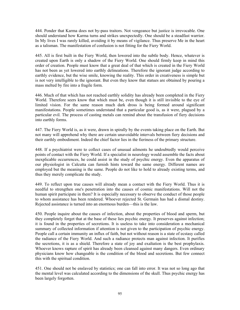444. Ponder that Karma does not by-pass traitors. Not vengeance but justice is irrevocable. One should understand how Karma turns and strikes unexpectedly. One should be a steadfast warrior. In My lives I was rarely killed, avoiding it by means of vigilance. Thus preserve Me in the heart as a talisman. The manifestation of confusion is not fitting for the Fiery World.

445. All is first built in the Fiery World, then lowered into the subtle body. Hence, whatever is created upon Earth is only a shadow of the Fiery World. One should firmly keep in mind this order of creation. People must know that a great deal of that which is created in the Fiery World has not been as yet lowered into earthly delineations. Therefore the ignorant judge according to earthly evidence, but the wise smile, knowing the reality. This order in creativeness is simple but is not very intelligible to the ignorant. But even they know that statues are obtained by pouring a mass melted by fire into a fragile form.

446. Much of that which has not reached earthly solidity has already been completed in the Fiery World. Therefore seers know that which must be, even though it is still invisible to the eye of limited vision. For the same reason much dark dross is being formed around significant manifestations. People sometimes understand that a particular good is, as it were, plagued by a particular evil. The process of casting metals can remind about the transfusion of fiery decisions into earthly forms.

447. The Fiery World is, as it were, drawn in spirally by the events taking place on the Earth. But not many will apprehend why there are certain unavoidable intervals between fiery decisions and their earthly embodiment. Indeed the chief factor lies in the fieriness of the primary structure.

448. If a psychiatrist were to collect cases of unusual ailments he undoubtedly would perceive points of contact with the Fiery World. If a specialist in neurology would assemble the facts about inexplicable occurrences, he could assist in the study of psychic energy. Even the apparatus of our physiologist in Calcutta can furnish hints toward the same energy. Different names are employed but the meaning is the same. People do not like to hold to already existing terms, and thus they merely complicate the study.

449. To reflect upon true causes will already mean a contact with the Fiery World. Thus it is needful to strengthen one's penetration into the causes of cosmic manifestations. Will not the human spirit participate in them? It is especially necessary to observe the conduct of those people to whom assistance has been rendered. Whoever rejected St. Germain has had a dismal destiny. Rejected assistance is turned into an enormous burden—this is the law.

450. People inquire about the causes of infection, about the properties of blood and sperm, but they completely forget that at the base of these lies psychic energy. It preserves against infection; it is found in the properties of secretions. It is useless to take into consideration a mechanical summary of collected information if attention is not given to the participation of psychic energy. People call a certain immunity an influx of faith, but not without reason is a state of ecstasy called the radiance of the Fiery World. And such a radiance protects man against infection. It purifies the secretions, it is as a shield. Therefore a state of joy and exaltation is the best prophylaxis. Whoever knows rapture of spirit has already been cleansed against many dangers. Even ordinary physicians know how changeable is the condition of the blood and secretions. But few connect this with the spiritual condition.

451. One should not be enslaved by statistics; one can fall into error. It was not so long ago that the mental level was calculated according to the dimensions of the skull. Thus psychic energy has been largely forgotten.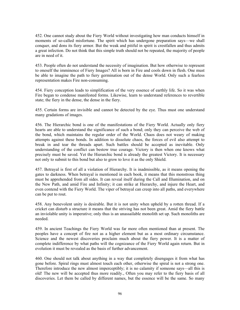452. One cannot study about the Fiery World without investigating how man conducts himself in moments of so-called misfortune. The spirit which has undergone preparation says—we shall conquer, and dons its fiery armor. But the weak and pitiful in spirit is crestfallen and thus admits a great infection. Do not think that this simple truth should not be repeated, the majority of people are in need of it.

453. People often do not understand the necessity of imagination. But how otherwise to represent to oneself the imminence of Fiery Images? All is born in Fire and cools down in flesh. One must be able to imagine the path to fiery germination out of the dense World. Only such a fearless representation makes Fire non-consuming.

454. Fiery conception leads to simplification of the very essence of earthly life. So it was when Fire began to condense manifested forms. Likewise, learn to understand references to revertible state; the fiery in the dense, the dense in the fiery.

455. Certain forms are invisible and cannot be detected by the eye. Thus must one understand many gradations of images.

456. The Hierarchic bond is one of the manifestations of the Fiery World. Actually only fiery hearts are able to understand the significance of such a bond; only they can perceive the web of the bond, which maintains the regular order of the World. Chaos does not weary of making attempts against these bonds. In addition to dissolute chaos, the forces of evil also attempt to break in and tear the threads apart. Such battles should be accepted as inevitable. Only understanding of the conflict can bestow true courage. Victory is then when one knows what precisely must be saved. Yet the Hierarchic bond is already the greatest Victory. It is necessary not only to submit to this bond but also to grow to love it as the only Shield.

457. Betrayal is first of all a violation of Hierarchy. It is inadmissible, as it means opening the gates to darkness. When betrayal is mentioned in each book, it means that this monstrous thing must be apprehended from all sides. It can reveal itself during the Call and Illumination, and on the New Path, and amid Fire and Infinity; it can strike at Hierarchy, and injure the Heart, and even contend with the Fiery World. The viper of betrayal can creep into all paths, and everywhere can be put to rout.

458. Any benevolent unity is desirable. But it is not unity when upheld by a rotten thread. If a cricket can disturb a structure it means that the striving has not been great. Amid the fiery battle an inviolable unity is imperative; only thus is an unassailable monolith set up. Such monoliths are needed.

459. In ancient Teachings the Fiery World was far more often mentioned than at present. The peoples have a concept of fire not as a higher element but as a most ordinary circumstance. Science and the newest discoveries proclaim much about the fiery power. It is a matter of complete indifference by what paths will the cognizance of the Fiery World again return. But in evolution it must be revealed as the basis of further advancement.

460. One should not talk about anything in a way that completely disengages it from what has gone before. Spiral rings must almost touch each other, otherwise the spiral is not a strong one. Therefore introduce the new almost imperceptibly; it is no calamity if someone says—all this is old! The new will be accepted thus more readily., Often you may refer to the fiery basis of all discoveries. Let them be called by different names, but the essence will be the same. So many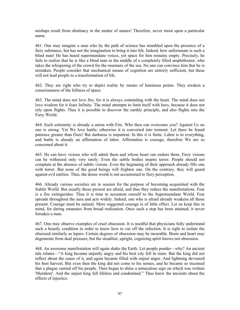mishaps result from obstinacy in the matter of names! Therefore, never insist upon a particular name.

461. One may imagine a man who by the path of science has stumbled upon the presence of a fiery substance, but has not the imagination to bring it into life. Indeed, how unfortunate is such a blind man! He has heard supermundane voices, yet space for him remains empty. Precisely, he fails to realize that he is like a blind man in the middle of a completely filled amphitheater, who takes the whispering of the crowd for the murmurs of the sea. No one can convince him that he is mistaken. People consider that mechanical means of cognition are entirely sufficient, but these will not lead people to a transformation of life.

462. They are right who try to depict reality by means of luminous points. They awaken a consciousness of the fullness of space.

463. The mind does not love fire, for it is always contending with the heart. The mind does not love wisdom for it fears Infinity. The mind attempts to limit itself with laws, because it does not rely upon flights. Thus it is possible to discover the earthly principle, and also flights into the Fiery World.

464. Each solemnity is already a union with Fire. Who then can overcome you? Against Us no one is strong. Yet We love battle; otherwise it is converted into torment. Let there be found patience greater than Ours! But darkness is impatient. In this it is finite. Labor is in everything, and battle is already an affirmation of labor. Affirmation is courage, therefore We are so concerned about it.

465. He can have visions who will admit them and whose heart can endure them. Fiery visions can be withstood only very rarely. Even the subtle bodies inspire terror. People should not complain at the absence of subtle visions. Even the beginning of their approach already fills one with terror. But none of the good beings will frighten one. On the contrary, they will guard against evil entities. Thus, the dense world is not accustomed to fiery perception.

466. Already various societies are in session for the purpose of becoming acquainted with the Subtle World. But usually those present are afraid, and thus they reduce the manifestations. Fear is a fire extinguisher. Thus it is time to accustom oneself to the Supermundane World. Fear spreads throughout the aura and acts widely. Indeed, one who is afraid already weakens all those present. Courage must be natural. Mere suggested courage is of little effect. Let us keep this in mind, for daring emanates from broad realization. Once such a step has been attained, it never forsakes a man.

467. One may observe examples of cruel obsession. It is needful that physicians fully understand such a beastly condition in order to know how to cut off the infection. It is right to isolate the obsessed similarly as lepers. Certain degrees of obsession may be incurable. Brain and heart may degenerate from dual pressure, but the steadfast, upright, cognizing spirit knows not obsession.

468. An awesome manifestation will again shake the Earth. Let people ponder—why? An ancient tale relates—"A king became unjustly angry and his best city fell in ruins. But the king did not reflect about the cause of it, and again became filled with unjust anger. And lightning devoured his best harvest. But even then the king did not come to his senses, and he became so incensed that a plague carried off his people. Then began to shine a miraculous sign on which was written 'Murderer'. And the unjust king fell lifeless and condemned." Thus knew the ancients about the effects of injustice.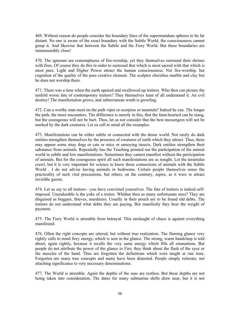469. Without reason do people consider the boundary lines of the supermundane spheres to be far distant. No one is aware of the exact boundary with the Subtle World; the consciousness cannot grasp it. And likewise that between the Subtle and the Fiery World. But these boundaries are immeasurably close!

470. The ignorant are contemptuous of fire-worship, yet they themselves surround their shrines with fires. Of course they do this in order to surround that which is most sacred with that which is most pure. Light and Higher Power attract the human consciousness. Not fire-worship, but cognition of the quality of the pure creative element. The sculptor cherishes marble and clay but he does not worship them.

471. There was a time when the earth opened and swallowed up traitors. Who then can picture the tenfold worse fate of contemporary traitors? They themselves least of all understand it. An evil destiny! The manifestation grows, and subterranean wrath is growling.

472. Can a worthy man meet on the path viper or scorpion or tarantula? Indeed he can. The longer the path, the more encounters. The difference is merely in this, that the faint-hearted can be stung, but the courageous will not be hurt. Thus, let us not consider that the best messengers will not be marked by the dark creatures. Let us call to mind all the examples.

473. Manifestations can be either subtle or connected with the dense world. Not rarely do dark entities strengthen themselves by the presence of creatures of earth which they attract. Thus, there may appear some stray dogs or cats or mice or annoying insects. Dark entities strengthen their substance from animals. Repeatedly has the Teaching pointed out the participation of the animal world in subtle and low manifestations. Sometimes they cannot manifest without the participation of animals. But for the courageous spirit all such manifestations are as nought. Let the tarantulas crawl, but it is very important for science to know these connections of animals with the Subtle World . I do not advise having animals in bedrooms. Certain people themselves sense the practicality of such vital precautions, but others, on the contrary, aspire, as it were to attract invisible guests.

474. Let us say to all traitors—you have convicted yourselves. The fate of traitors is indeed selfimposed. Unendurable is the yoke of a traitor. Whither then so many unfortunate ones? They are disguised as beggars, thieves, murderers. Usually in their pouch are to be found old debts. The traitors do not understand what debts they are paying. But manifestly they bear the weight of payment.

475. The Fiery World is atremble from betrayal. This onslaught of chaos is against everything manifested.

476. Often the right concepts are uttered, but without true realization. The flaming glance very rightly calls to mind fiery energy, which is sent in the glance. The strong, warm handclasp is told about; again rightly, because it recalls the very same energy which fills all emanations. But people do not attribute the power of the glance to Fire; they think about the flash of the eyes or the muscles of the hand. Thus are forgotten the definitions which were taught at one time. Forgotten are many true concepts and many have been distorted. People simply reiterate, not attaching significance to very necessary denominations.

477. The World is atremble. Again the depths of the seas are restless. But these depths are not being taken into consideration. The dates for many submarine shifts draw near, but it is not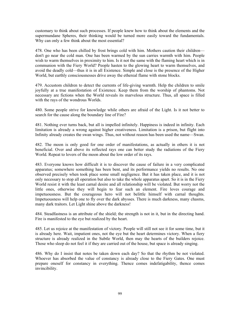customary to think about such processes. If people knew how to think about the elements and the supermundane Spheres, their thinking would be turned more easily toward the fundamentals. Why can only a few think about the most essential?

478. One who has been chilled by frost brings cold with him. Mothers caution their children don't go near the cold man. One has been warmed by the sun carries warmth with him. People wish to warm themselves in proximity to him. Is it not the same with the flaming heart which is in communion with the Fiery World? People hasten to the glowing heart to warm themselves, and avoid the deadly cold—thus it is in all Existence. Simple and close is the presence of the Higher World, but earthly consciousnesses drive away the ethereal flame with stone blocks.

479. Accustom children to detect the currents of life-giving warmth. Help the children to smile joyfully at a true manifestation of Existence. Keep them from the worship of phantoms. Not necessary are fictions when the World reveals its marvelous structure. Thus, all space is filled with the rays of the wondrous Worlds.

480. Some people strive for knowledge while others are afraid of the Light. Is it not better to search for the cause along the boundary line of Fire?

481. Nothing ever turns back, but all is impelled infinitely. Happiness is indeed in infinity. Each limitation is already a wrong against higher creativeness. Limitation is a prison, but flight into Infinity already creates the swan wings. Thus, not without reason has been used the name—Swan.

482. The moon is only good for one order of manifestations, as actually in others it is not beneficial. Over and above its reflected rays one can better study the radiations of the Fiery World. Repeat to lovers of the moon about the low order of its rays.

483. Everyone knows how difficult it is to discover the cause of failure in a very complicated apparatus; somewhere something has been bent, and its performance yields no results. No one observed precisely when took place some small negligence. But it has taken place, and it is not only necessary to stop all operation but also to take the whole apparatus apart. So it is in the Fiery World resist it with the least carnal desire and all relationship will be violated. But worry not the little ones, otherwise they will begin to fear such an element. Fire loves courage and impetuousness. But the courageous hero will not belittle himself with carnal thoughts. Impetuousness will help one to fly over the dark abysses. There is much darkness, many chasms, many dark traitors. Let Light shine above the darkness!

484. Steadfastness is an attribute of the shield; the strength is not in it, but in the directing hand. Fire is manifested to the eye but realized by the heart.

485. Let us rejoice at the manifestation of victory. People will still not see it for some time, but it is already here. Wait, impatient ones, not the eye but the heart determines victory. When a fiery structure is already realized in the Subtle World, then may the hearts of the builders rejoice. Those who sleep do not feel it if they are carried out of the house, but space is already singing.

486. Why do I insist that notes be taken down each day? So that the rhythm be not violated. Whoever has absorbed the value of constancy is already close to the Fiery Gates. One must prepare oneself for constancy in everything. Thence comes indefatigability, thence comes invincibility.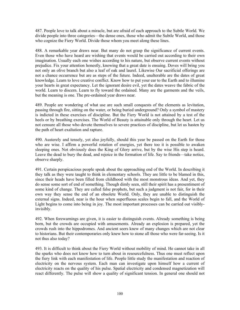487. People love to talk about a miracle, but are afraid of each approach to the Subtle World. We divide people into three categories—the dense ones, those who admit the Subtle World, and those who cognize the Fiery World. Divide those whom you meet along these lines.

488. A remarkable year draws near. But many do not grasp the significance of current events. Even those who have heard are wishing that events would be carried out according to their own imagination. Usually each one wishes according to his nature, but observe current events without prejudice. Fix your attention honestly, knowing that a great date is ensuing. Doves will bring you not only an olive branch but also a leaf of oak and laurel. Likewise Our sacrificial offerings are not a chance occurrence but are as steps of the future. Indeed, unalterable are the dates of great knowledge. Learn to love creative conflict. Know how to put your ear to the Earth and to illumine your hearts in great expectancy. Let the ignorant desire evil, yet the dates weave the fabric of the world. Learn to discern. Learn to fly toward the ordained. Many are the garments and the veils, but the meaning is one. The pre-ordained year draws near.

489. People are wondering of what use are such small conquests of the elements as levitation, passing through fire, sitting on the water, or being buried underground? Only a symbol of mastery is indicted in these exercises of discipline. But the Fiery World is not attained by a test of the heels or by breathing exercises. The World of Beauty is attainable only through the heart. Let us not censure all those who devote themselves to severe practices of discipline, but let us hasten by the path of heart exaltation and rapture.

490. Austerely and tensely, yet also joyfully, should this year be passed on the Earth for those who are wise. I affirm a powerful rotation of energies, yet there too it is possible to awaken sleeping ones. Not obviously does the King of Glory arrive, but by the wise His step is heard. Leave the dead to bury the dead, and rejoice in the formation of life. Say to friends—take notice, observe sharply.

491. Certain perspicacious people speak about the approaching end of the World. In describing it they talk as they were taught to think in elementary schools. They are little to be blamed in this, since their heads have been filled from childhood with the most monstrous ideas. And yet, they do sense some sort of end of something. Though dimly seen, still their spirit has a presentiment of some kind of change. They are called false prophets, but such a judgment is not fair, for in their own way they sense the end of an obsolete World. Only, they are unable to distinguish the external signs. Indeed, near is the hour when superfluous scales begin to fall, and the World of Light begins to come into being in joy. The most important processes can be carried out visiblyinvisibly.

492. When forewarnings are given, it is easier to distinguish events. Already something is being born, but the crowds are occupied with amusements. Already an explosion is prepared, yet the crowds rush into the hippodromes. And ancient seers knew of many changes which are not clear to historians. But their contemporaries only knew how to stone all those who were far-seeing. Is it not thus also today?

493. It is difficult to think about the Fiery World without mobility of mind. He cannot take in all the sparks who does not know how to turn about in resourcefulness. Thus one must reflect upon the fiery link with each manifestation of life. People little study the manifestation and reaction of electricity on the nervous system. Each man can investigate upon himself how a current of electricity reacts on the quality of his pulse. Spatial electricity and condensed magnetization will react differently. The pulse will show a quality of significant tension. In general one should not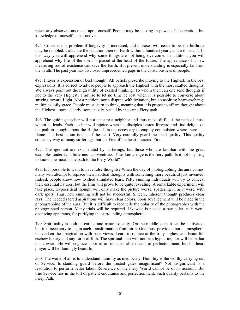reject any observations made upon oneself. People may be lacking in power of observation, but knowledge of oneself is instructive.

494. Consider this problem if longevity is increased, and diseases will cease to be, the birthrate may be doubled. Calculate the situation then on Earth within a hundred years, and a thousand. In this way you will apprehend why some things are not being overcome. In addition, you will apprehend why life of the spirit is placed at the head of the future. The appearance of a new measuring rod of existence can save the Earth. But present understanding is especially far from the Truth. The past year has disclosed unprecedented gaps in the consciousness of people.

495. Prayer is expression of best thought. All beliefs prescribe praying to the Highest, in the best expressions. It is correct to advise people to approach the Highest with the most exalted thoughts. We always point out the high utility of exalted thinking. To whom then can one send thoughts if not to the very Highest? I advise to let no time be lost when it is possible to converse about striving toward Light. Not a petition, nor a dispute with irritation, but an aspiring heart-exchange multiples lofty grace. People must learn to think, meaning that it is proper to affirm thought about the Highest—some clearly, some hazily, yet all by the same Fiery path.

496. The guiding teacher will not censure a neighbor and thus make difficult the path of those whom he leads. Each teacher will rejoice when his disciples hasten forward and find delight on the path in thought about the Highest. It is not necessary to employ compulsion where there is a flame. The best action is that of the heart. Very carefully guard the heart quality. This quality comes by way of many sufferings, but the Fire of the heart is sacred Fire.

497. The ignorant are exasperated by sufferings, but those who are familiar with the great examples understand bitterness as sweetness. Thus knowledge is the fiery path. Is it not inspiring to know how near is the path to the Fiery World?

498. Is it possible to want to have false thoughts? When the day of photographing the aura comes, many will attempt to replace their habitual thoughts with something more beautiful just invented. Indeed, people know how to shed simulated tears. Petty cunning individuals will try to conceal their essential natures, but the film will prove to be quite revealing. A remarkable experiment will take place. Hypocritical thought will only make the picture worse, spattering it, as it were, with dark spots. Thus, new cunning will not be successful. Sincere, inherent thought produces clear rays. The needed sacred aspirations will have clear colors. Soon advancement will be made in the photographing of the aura. But it is difficult to reconcile the polarity of the photographer with the photographed person. Many trials will be required. Likewise is needed a particular, as it were, ozonizing apparatus, for purifying the surrounding atmosphere.

499. Spirituality is both an earned and natural quality. On the middle steps it can be cultivated, but it is necessary to begin such transformation from birth. One must provide a pure atmosphere, not darken the imagination with base views. Learn to rejoice at the truly highest and beautiful, eschew luxury and any form of filth. The spiritual man will not be a hypocrite, nor will he be liar nor coward. He will cognize labor as an indispensable means of perfectionment, but his heart prayer will be flamingly beautiful.

500. The worst of all is to understand humility as mediocrity. Humility is the worthy carrying out of Service. Is standing guard before the trusted gates insignificant? Not insignificant is a resolution to perform better labor. Reverence of the Fiery World cannot be of no account. But true Service lies in the toil of patient endurance and perfectionment. Such quality pertains to the Fiery Path.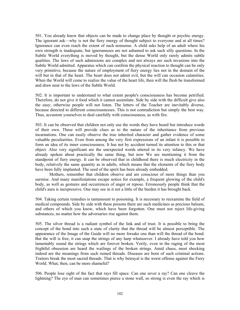501. You already know that objects can be made to change place by thought or psychic energy. The ignorant ask—why is not the fiery energy of thought subject to everyone and at all times? Ignorance can even reach the extent of such nonsense. A child asks help of an adult where his own strength is inadequate, but ignoramuses are not ashamed to ask such silly questions. In the Subtle World everything is moved by thought, but the dense World only rarely admits subtle qualities. The laws of such admissions are complex and not always are such invasions into the Subtle World admitted. Apparatus which can confirm the physical reaction to thought can be only very primitive, because the nature of employment of fiery energy lies not in the domain of the will but in that of the heart. The heart does not admit evil, but the will can occasion calamities. When the World will come to realize the value of the heart life, then will the flesh be transformed and draw near to the laws of the Subtle World.

502. It is important to understand to what extent people's consciousness has become petrified. Therefore, do not give it food which it cannot assimilate. Side by side with the difficult give also the easy; otherwise people will not listen. The letters of the Teacher are inevitably diverse, because directed to different consciousnesses. This is not contradiction but simply the best way. Thus, accustom yourselves to deal carefully with consciousness, as with fire.

503. It can be observed that children not only use the words they have heard but introduce words of their own. These will provide clues as to the nature of the inheritance from previous incarnations. One can easily observe the true inherited character and gather evidence of some valuable peculiarities. Even from among the very first expressions of an infant it is possible to form an idea of its inner consciousness. It has not by accident turned its attention to this or that object. Also very significant are the unexpected words uttered in its very infancy. We have already spoken about practically the same thing, but now We are mentioning it from the standpoint of fiery energy. It can be observed that in childhood there is much electricity in the body, relatively the same quantity as in adults, which means that the elements of the fiery body have been fully implanted. The seed of the spirit has been already embedded.

 Mothers, remember that children observe and are conscious of more things than you surmise. And many manifestations escape notice for example, a frequent glowing of the child's body, as well as gestures and occurrences of anger or repose. Erroneously people think that the child's aura is inexpressive. One may see in it not a little of the burden it has brought back.

504. Taking certain remedies is tantamount to poisoning. It is necessary to reexamine the field of medical compounds. Side by side with these poisons there are such medicines as precious balsam, and others of which you know, which have been forgotten. One must not reject life-giving substances, no matter how the adversaries rise against them.

505. The silver thread is a radiant symbol of the link and of trust. It is possible to bring the concept of the bond into such a state of clarity that the thread will be almost perceptible. The appearance of the Image of the Guide will no more forsake one than will the thread of the bond. But the will is free; it can snap the strings of any harp whatsoever. I already have told you how lamentably sound the strings which are forever broken. Verily, even in the raging of the most frightful obsession are heard the wailings of the broken strings. Amid chaos, most shocking indeed are the moanings from such ruined threads. Diseases are born of such criminal actions. Traitors break the most sacred threads. That is why betrayal is the worst offense against the Fiery World. What, then, can be more shameful?

506. People lose sight of the fact that rays fill space. Can one sever a ray? Can one cleave the lightning? The eye of man can sometimes pierce a stone wall, so strong is even the ray which is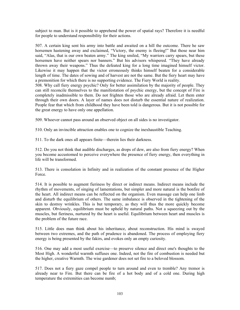subject to man. But is it possible to apprehend the power of spatial rays? Therefore it is needful for people to understand responsibility for their actions.

507. A certain king sent his army into battle and awaited on a hill the outcome. There he saw horsemen hastening away and exclaimed, "Victory, the enemy is fleeing!" But those near him said, "Alas, that is our own beaten army." The king smiled, "My warriors carry spears, but these horsemen have neither spears nor banners." But his advisors whispered. "They have already thrown away their weapons." Thus the defeated king for a long time imagined himself victor. Likewise it may happen that the victor erroneously thinks himself beaten for a considerable length of time. The dates of sowing and of harvest are not the same. But the fiery heart may have a premonition for which there is no supporting evidence. The Fiery World is reality.

508. Why call fiery energy psychic? Only for better assimilation by the majority of people. They can still reconcile themselves to the manifestation of psychic energy, but the concept of Fire is completely inadmissible to them. Do not frighten those who are already afraid. Let them enter through their own doors. A layer of names does not disturb the essential nature of realization. People fear that which from childhood they have been told is dangerous. But it is not possible for the great energy to have only one appellation.

509. Whoever cannot pass around an observed object on all sides is no investigator.

510. Only an invincible attraction enables one to cognize the inexhaustible Teaching.

511. To the dark ones all appears finite—therein lies their darkness.

512. Do you not think that audible discharges, as drops of dew, are also from fiery energy? When you become accustomed to perceive everywhere the presence of fiery energy, then everything in life will be transformed.

513. There is consolation in Infinity and in realization of the constant presence of the Higher Force.

514. It is possible to augment fieriness by direct or indirect means. Indirect means include the rhythm of movements, of singing of lamentations, but simpler and more natural is the bonfire of the heart. All indirect means can be reflected on the organism. Even massage can help one limb and disturb the equilibrium of others. The same imbalance is observed in the tightening of the skin to destroy wrinkles. This is but temporary, as they will thus the more quickly become apparent. Obviously, equilibrium must be upheld by natural paths. Not a squeezing out by the muscles, but fieriness, nurtured by the heart is useful. Equilibrium between heart and muscles is the problem of the future race.

515. Little does man think about his inheritance, about reconstruction. His mind is swayed between two extremes, and the path of prudence is abandoned. The process of employing fiery energy is being presented by the fakirs, and evokes only an empty curiosity.

516. One may add a most useful exercise—to preserve silence and direct one's thoughts to the Most High. A wonderful warmth suffuses one. Indeed, not the fire of combustion is needed but the higher, creative Warmth. The wise gardener does not set fire to a beloved blossom.

517. Does not a fiery gaze compel people to turn around and even to tremble? Any tremor is already near to Fire. But there can be fire of a hot body and of a cold one. During high temperature the extremities can become numb;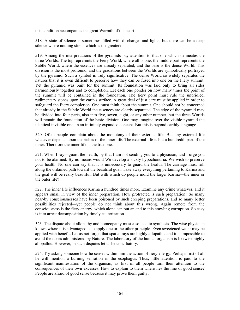this condition accompanies the great Warmth of the heart.

518. A state of silence is sometimes filled with discharges and lights, but there can be a deep silence where nothing stirs—which is the greater?

519. Among the interpretations of the pyramids pay attention to that one which delineates the three Worlds. The top represents the Fiery World, where all is one; the middle part represents the Subtle World, where the essences are already separated; and the base is the dense World. This division is the most profound, and the gradations between the Worlds are symbolically portrayed by the pyramid. Such a symbol is truly significative. The dense World so widely separates the natures that it is even difficult to perceive how they can be fused into one on the Fiery summit. Yet the pyramid was built for the summit. Its foundation was laid only to bring all sides harmoniously together and to completion. Let each one ponder on how many times the point of the summit will be contained in the foundation. The fiery point must rule the unbridled, rudimentary stones upon the earth's surface. A great deal of just care must be applied in order to safeguard the Fiery completion. One must think about the summit. One should not be concerned that already in the Subtle World the essences are clearly separated. The edge of the pyramid may be divided into four parts, also into five, seven, eight, or any other number, but the three Worlds will remain the foundation of the basic division. One may imagine over the visible pyramid the identical invisible one, in an infinitely expanded concept. But this is beyond earthly language.

520. Often people complain about the monotony of their external life. But any external life whatever depends upon the riches of the inner life. The external life is but a hundredth part of the inner. Therefore the inner life is the true one.

521. When I say—guard the health, by that I am not sending you to a physician, and I urge you not to be alarmed. By no means would We develop a sickly hypochondria. We wish to preserve your health. No one can say that it is unnecessary to guard the health. The carriage must roll along the ordained path toward the beautiful goal. Take away everything pertaining to Karma and the goal will be really beautiful. But with which do people mold the larger Karma—the inner or the outer life?

522. The inner life influences Karma a hundred times more. Examine any crime whatever, and it appears small in view of the inner preparation. How protracted is such preparation! So many near-by consciousnesses have been poisoned by such creeping preparations, and so many better possibilities rejected—yet people do not think about this wrong. Again remote from the consciousness is the fiery energy, which alone can put an end to this crawling corruption. So easy is it to arrest decomposition by timely cauterization.

523. The dispute about allopathy and homeopathy must also lead to synthesis. The wise physician knows where it is advantageous to apply one or the other principle. Even sweetened water may be applied with benefit. Let us not forget that spatial rays are highly allopathic and it is impossible to avoid the doses administered by Nature. The laboratory of the human organism is likewise highly allopathic. However, in such disputes let us be conciliatory.

524. Try asking someone how he senses within him the action of fiery energy. Perhaps first of all he will mention a burning sensation in the esophagus. Thus, little attention is paid to the significant manifestation of the organism, as first of all people turn their attention to the consequences of their own excesses. How to explain to them where lies the line of good sense? People are afraid of good sense because it may prove them guilty.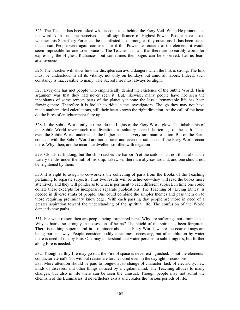525. The Teacher has been asked what is concealed behind the Fiery Veil. When He pronounced the word Aum—no one perceived its full significance of Highest Power. People have asked whether this Superfiery Force can be manifested also among earthly creations. It has been stated that it can. People were again confused, for if this Power lies outside of the elements it would seem impossible for one to embrace it. The Teacher has said that there are no earthly words for expressing the Highest Radiances, but sometimes their signs can be observed. Let us learn attentiveness.

526. The Teacher will show how the disciples can avoid dangers when the link is strong. The link must be understood in all its vitality, not only on holidays but amid all labors. Indeed, such constancy is inaccessible to many. The Sacred Fire must always be alight.

527. Everyone has met people who emphatically denied the existence of the Subtle World. Their argument was that they had never seen it. But, likewise, many people have not seen the inhabitants of some remote parts of the planet yet none the less a remarkable life has been flowing there. Therefore it is foolish to ridicule the investigators. Though they may not have made mathematical calculations, still their heart knows the right direction. At the call of the heart do the Fires of enlightenment flare up.

528. In the Subtle World only at times do the Lights of the Fiery World glow. The inhabitants of the Subtle World revere such manifestations as salutary sacred shortenings of the path. Thus, even the Subtle World understands the higher step as a very rare manifestation. But on the Earth contacts with the Subtle World are not so rare; and even the radiances of the Fiery World occur there. Why, then, are the incarnate dwellers so filled with negation

529. Clouds rush along, but the ship reaches the harbor. Yet the sailor must not think about the watery depths under the hull of his ship. Likewise, there are abysses around, and one should not be frightened by them.

530. It is right to assign to co-workers the collecting of parts from the Books of the Teaching pertaining to separate subjects. Thus two results will be achieved—they will read the books more attentively and they will ponder as to what is pertinent to each different subject. In time one could collate these excerpts for inexpensive separate publications. The Teaching of "Living Ethics" is needed in diverse strata of people. One could combine the simpler themes and pass them on to those requiring preliminary knowledge. With each passing day people are more in need of a greater aspiration toward the understanding of the spiritual life. The confusion of the World demands new paths.

531. For what reason then are people being tormented here? Why are sufferings not diminished? Why is hatred so strongly in possession of hearts? The shield of the spirit has been forgotten. There is nothing supernatural in a reminder about the Fiery World, where the coarse knags are being burned away. People consider bodily cleanliness necessary, but after ablution by water there is need of one by Fire. One may understand that water pertains to subtle ingress, but further along Fire is needed.

532. Though earthly fire may go out, the Fire of space is never extinguished. Is not the elemental conductor eternal? Not without reason are torches used even in the daylight processions.

533. More attention should be paid to longevity, to change of character, lack of electricity, new kinds of diseases, and other things noticed by a vigilant mind. The Teaching alludes to many changes, but also in life there can be seen the unusual. Though people may not admit the chemism of the Luminaries, it nevertheless exists and creates the various periods of life.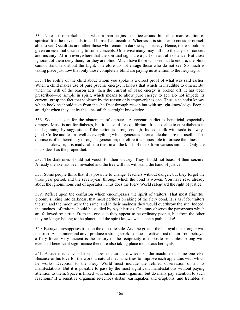534. Note this remarkable fact when a man begins to notice around himself a manifestation of spiritual life, he never fails to call himself an occultist. Whereas it is simpler to consider oneself able to see. Occultists are rather those who remain in darkness, in secrecy. Hence, there should be given an essential cleansing to some concepts. Otherwise many may fall into the abyss of conceit and insanity. Affirm everywhere that the spiritual signs are a part of natural existence. But those ignorant of them deny them, for they are blind. Much have those who see had to endure; the blind cannot stand talk about the Light. Therefore do not enrage those who do not see. So much is taking place just now that only those completely blind are paying no attention to the fiery signs.

535. The ability of the child about whom you spoke is a direct proof of what was said earlier. When a child makes use of pure psychic energy, it knows that which in inaudible to others. But when the will of the reason acts, then the current of basic energy is broken off. It has been prescribed—be simple in spirit, which means to allow pure energy to act. Do not impede its current; grasp the fact that violence by the reason only impoverishes one. Thus, a scientist knows which book he should take from the shelf not through reason but with straight-knowledge. People are right when they act by this unassailable straight-knowledge.

536. Soda is taken for the abatement of diabetes. A vegetarian diet is beneficial, especially oranges. Musk is not for diabetes, but it is useful for equilibrium. It is possible to cure diabetes in the beginning by suggestion, if the action is strong enough. Indeed, milk with soda is always good. Coffee and tea, as well as everything which generates internal alcohol, are not useful. This disease is often hereditary through a generation; therefore it is impossible to foresee the illness.

 Likewise, it is inadvisable to trust in all the kinds of musk from various animals. Only the musk deer has the proper diet.

537. The dark ones should not vouch for their victory. They should not boast of their seizure. Already the axe has been revealed and the tree will not withstand the hand of justice.

538. Some people think that it is possible to change Teachers without danger, but they forget the three year period, and the seven-year, through which the bond is woven. You have read already about the ignominious end of apostates. Thus does the Fiery World safeguard the right of justice.

539. Reflect upon the confusion which encompasses the spirit of traitors. That most frightful, gloomy sinking into darkness, that most perilous breaking of the fiery bond. It is as if for traitors the sun and the moon were the same, and in their madness they would overthrow the sun. Indeed, the madness of traitors should be studied by psychiatrists. One may observe the paroxysms which are followed by terror. From the one side they appear to be ordinary people, but from the other they no longer belong to the planet, and the spirit knows what such a path is like!

540. Betrayal presupposes trust on the opposite side. And the greater the betrayal the stronger was the trust. As hammer and anvil produce a strong spark, so does creative trust obtain from betrayal a fiery force. Very ancient is the history of the reciprocity of opposite principles. Along with events of beneficent significance there are also taking place monstrous betrayals.

541. A true mechanic is he who does not turn the wheels of the machine of some one else. Because of his love for the work, a natural mechanic tries to improve each apparatus with which he works. Devotion to the Fiery World must include the refined observation of all its manifestations. But it is possible to pass by the most significant manifestations without paying attention to them. Space is linked with each human organism, but do many pay attention to such reactions? If a sensitive organism re-echoes distant earthquakes and eruptions, and trembles at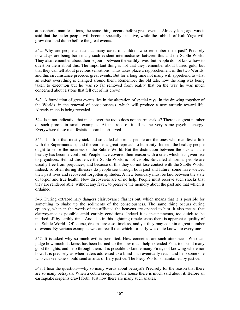atmospheric manifestations, the same thing occurs before great events. Already long ago was it said that the better people will become specially sensitive, while the rubbish of Kali Yuga will grow deaf and dumb before the great events.

542. Why are people amazed at many cases of children who remember their past? Precisely nowadays are being born many such evident intermediaries between this and the Subtle World. They also remember about their sojourn between the earthly lives, but people do not know how to question them about this. The important thing is not that they remember about buried gold, but that they can tell about precious sensations. Thus takes place a rapprochement of the two Worlds, and this circumstance precedes great events. But for a long time not many will apprehend to what an extent everything is changed around them. Remember the old tale, how the king was being taken to execution but he was so far removed from reality that on the way he was much concerned about a stone that fell out of his crown.

543. A foundation of great events lies in the alteration of spatial rays, in the drawing together of the Worlds, in the renewal of consciousness, which will produce a new attitude toward life. Already much is being revealed.

544. Is it not indicative that music over the radio does not charm snakes? There is a great number of such proofs in small examples. At the root of it all is the very same psychic energy. Everywhere these manifestations can be observed.

545. It is true that mostly sick and so-called abnormal people are the ones who manifest a link with the Supermundane, and therein lies a great reproach to humanity. Indeed, the healthy people ought to sense the nearness of the Subtle World. But the distinction between the sick and the healthy has become confused. People have covered their reason with a crust which has given rise to prejudices. Behind this fence the Subtle World is not visible. So-called abnormal people are usually free from prejudices, and because of this they do not lose contact with the Subtle World. Indeed, so often during illnesses do people see through both past and future; some have viewed their past lives and recovered forgotten aptitudes. A new boundary must be laid between the state of torpor and true health. New discoveries are of no help. People must receive such shocks that they are rendered able, without any fever, to preserve the memory about the past and that which is ordained.

546. During extraordinary dangers clairvoyance flashes out, which means that it is possible for something to shake up the sediments of the consciousness. The same thing occurs during epilepsy, when in the words of the afflicted the heavens are opened to him. It also means that clairvoyance is possible amid earthly conditions. Indeed it is instantaneous, too quick to be marked off by earthly time. And also in this lightning timelessness there is apparent a quality of the Subtle World . Of course, dreams are also timeless, and yet they may contain a great number of events. By various examples we can recall that which formerly was quite known to every one.

547. It is asked why so much evil is permitted. How conceited are such utterances! Who can judge how much darkness has been burned up the how much help extended You, too, send many good thoughts, and help through them. It is possible to kindle many Fires, not knowing where nor how. It is precisely as when letters addressed to a blind man eventually reach and help some one who can see. One should send arrows of fiery justice. The Fiery World is maintained by justice.

548. I hear the question—why so many words about betrayal? Precisely for the reason that there are so many betrayals. When a cobra creeps into the house there is much said about it. Before an earthquake serpents crawl forth. Just now there are many such snakes.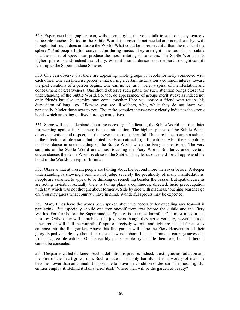549. Experienced telegraphers can, without employing the voice, talk to each other by scarcely noticeable touches. So too in the Subtle World, the voice is not needed and is replaced by swift thought, but sound does not leave the World. What could be more beautiful than the music of the spheres? And people forbid conversation during music. They are right—the sound is so subtle that the noises of speech can produce the most irritating dissonances. The Subtle World in its higher spheres sounds indeed beautifully. When it is so burdensome on the Earth, thought can lift itself up to the Supermundane Spheres.

550. One can observe that there are appearing whole groups of people formerly connected with each other. One can likewise perceive that during a certain incarnation a common interest toward the past creations of a person begins. One can notice, as it were, a spiral of manifestation and concealment of creativeness. One should observe such paths, for such attention brings closer the understanding of the Subtle World. So, too, do appearances of groups merit study; as indeed not only friends but also enemies may come together Here you notice a friend who retains his disposition of long ago. Likewise you see ill-wishers, who, while they do not harm you personally, hinder those near to you. The entire complex interweaving clearly indicates the strong bonds which are being outlived through many lives.

551. Some will not understand about the necessity of indicating the Subtle World and then later forewarning against it. Yet there is no contradiction. The higher spheres of the Subtle World deserve attention and respect, but the lower ones can be harmful. The pure in heart are not subject to the infection of obsession, but tainted hearts can attract frightful entities. Also, there should be no discordance in understanding of the Subtle World when the Fiery is mentioned. The very summits of the Subtle World are almost touching the Fiery World. Similarly, under certain circumstances the dense World is close to the Subtle. Thus, let us once and for all apprehend the bond of the Worlds as steps of Infinity.

552. Observe that at present people are talking about the beyond more than ever before. A deeper understanding is showing itself. Do not judge severely the peculiarity of many manifestations. People are ashamed to appear to be thinking of something besides the bazaar. But spatial currents are acting invisibly. Actually there is taking place a continuous, directed, lucid preoccupation with that which was not thought about formerly. Side by side with madness, touching searches go on. You may guess what country I have in mind. Wonderful sprouts may be expected.

553. Many times have the words been spoken about the necessity for expelling any fear—it is paralyzing. But especially should one free oneself from fear before the Subtle and the Fiery Worlds. For fear before the Supermundane Spheres is the most harmful. One must transform it into joy. Only a few will apprehend this joy. Even though they agree verbally, nevertheless an inner tremor will chill the warmth of rapture. Precisely warmth and light are needed for an easy entrance into the fine garden. Above this fine garden will shine the Fiery Heavens in all their glory. Equally fearlessly should one meet new neighbors. In fact, luminous courage saves one from disagreeable entities. On the earthly plane people try to hide their fear, but out there it cannot be concealed.

554. Despair is called darkness. Such a definition is precise; indeed, it extinguishes radiation and the Fire of the heart grows dim. Such a state is not only harmful, it is unworthy of man; he becomes lower than an animal. It is possible to brave the condition of despair. The most frightful entities employ it. Behind it stalks terror itself. Where then will be the garden of beauty?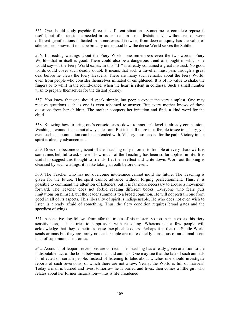555. One should study psychic forces in different situations. Sometimes a complete repose is useful, but often tension is needed in order to attain a manifestation. Not without reason were different genuflections indicated in monasteries. Likewise, from deep antiquity has the value of silence been known. It must be broadly understood how the dense World serves the Subtle.

556. If, reading writings about the Fiery World, one remembers even the two words—Fiery World—that in itself is good. There could also be a dangerous trend of thought in which one would say—if the Fiery World exists. In this "if"" is already contained a great mistrust. No good words could cover such deadly doubt. It means that such a traveller must pass through a great deal before he views the Fiery Heavens. There are many such remarks about the Fiery World; even from people who consider themselves initiated or enlightened. It is of no value to shake the fingers or to whirl in the round-dance, when the heart is silent in coldness. Such a small number wish to prepare themselves for the distant journey.

557. You know that one should speak simply, but people expect the very simplest. One may receive questions such as one is even ashamed to answer. But every mother knows of these questions from her children. The mother conquers her irritation and finds a kind word for the child.

558. Knowing how to bring one's consciousness down to another's level is already compassion. Washing a wound is also not always pleasant. But it is still more insufferable to see treachery, yet even such an abomination can be contended with. Victory is so needed for the path. Victory in the spirit is already advancement.

559. Does one become cognizant of the Teaching only in order to tremble at every shadow? It is sometimes helpful to ask oneself how much of the Teaching has been so far applied in life. It is useful to suggest this thought to friends. Let them reflect and write down. Worn out thinking is cleansed by such writings, it is like taking an oath before oneself.

560. The Teacher who has not overcome intolerance cannot mold the future. The Teaching is given for the future. The spirit cannot advance without forging perfectionment. Thus, it is possible to command the attention of listeners, but it is far more necessary to arouse a movement forward. The Teacher does not forbid reading different books. Everyone who fears puts limitations on himself, but the leader summons to a broad cognition. He will not restrain one from good in all of its aspects. This liberality of spirit is indispensable. He who does not even wish to listen is already afraid of something. Thus, the fiery condition requires broad gates and the speediest of wings.

561. A sensitive dog follows from afar the traces of his master. So too in man exists this fiery sensitiveness, but he tries to suppress it with reasoning. Whereas not a few people will acknowledge that they sometimes sense inexplicable odors. Perhaps it is that the Subtle World sends aromas but they are rarely noticed. People are more quickly conscious of an animal scent than of supermundane aromas.

562. Accounts of leopard reversions are correct. The Teaching has already given attention to the indisputable fact of the bond between man and animals. One may see that the fate of such animals is reflected on certain people. Instead of listening to tales about witches one should investigate reports of such reversions, of which there are not a few. Verily, the World is full of marvels! Today a man is burned and lives, tomorrow he is buried and lives; then comes a little girl who relates about her former incarnation—thus is life broadened.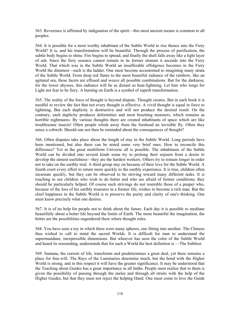563. Reverence is affirmed by indignation of the spirit—this most ancient means is common to all peoples.

564. It is possible for a most worthy inhabitant of the Subtle World to rise thence into the Fiery World? It is, and his transformation will be beautiful. Through the process of purification, the subtle body begins to shine. Fire begins to spread, and finally the shell falls away like a light layer of ash. Since the fiery essence cannot remain in its former stratum it ascends into the Fiery World. That which was in the Subtle World an insufferable effulgence becomes in the Fiery World the dimmest—such is the ladder. One must become accustomed to imagining many strata of the Subtle World. From deep red flame to the most beautiful radiance of the rainbow, like an agitated sea, these facets are effused and weave all possible combinations. But for the darkness, for the lower abysses, this radiance will be as distant as heat-lightning. Let him who longs for Light not fear to be fiery. A burning on Earth is a symbol of superb transformation.

565. The reality of the force of thought is beyond dispute. Thought creates. But in each book it is needful to review the fact that not every thought is effective. A vivid thought is equal in force to lightning. But each duplicity is destructive and will not produce the desired result. On the contrary, each duplicity produces deformities and most besetting monsters, which remains as horrible nightmares. By various thoughts there are created inhabitants of space which are like troublesome insects! Often people whisk away from the forehead an invisible fly. Often they sense a cobweb. Should one not then be reminded about the consequences of thought?

566. Often disputes take place about the length of stay in the Subtle World. Long periods have been mentioned, but also there can be noted some very brief ones. How to reconcile this difference? Yet in the great multiform Universe all is possible. The inhabitants of the Subtle World can be divided into several kinds some try to prolong their sojourn from a desire to develop the utmost usefulness—they are the hardest workers. Others try to remain longer in order not to take on the earthly trial. A third group stay on because of their love for the Subtle World. A fourth exert every effort to return more quickly to the earthly experience. It is true, children often incarnate quickly, but they can be observed to be striving toward many different tasks. It is touching to see children who wish to do better and who are afraid of former conditions; they should be particularly helped. Of course such strivings do not resemble those of a pauper who, because of the loss of his earthly treasures in a former life, wishes to become a rich man. But the chief happiness in the Subtle World is to preserve the purity and clarity of one's thinking. One must know precisely what one desires.

567. It is of no help for people not to think about the future. Each day it is possible to meditate beautifully about a better life beyond the limits of Earth. The more beautiful the imagination, the better are the possibilities engendered there where thought rules.

568. You have seen a toy in which there were many spheres, one fitting into another. The Chinese thus wished to call to mind the sacred Worlds. It is difficult for man to understand the supermundane, inexpressible dimensions. But whoever has seen the color of the Subtle World and heard its resounding, understands that for such a World the best definition is —The Subtlest.

569. Santana, the current of life, transforms and predetermines a great deal, yet there remains a place for free-will. The Rays of the Luminaries determine much, but the bond with the Higher World is strong, and in this respect it will have the greater significance. It may be understood that the Teaching about Guides has a great importance in all faiths. People must realize that to them is given the possibility of passing through the melee and through all straits with the help of the Higher Guides, but that they must not reject the helping Hand. One must come to love the Guide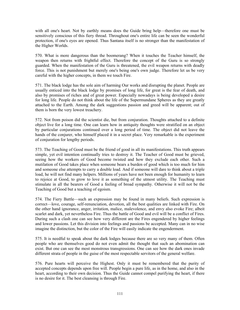with all one's heart. Not by earthly means does the Guide bring help—therefore one must be sensitively conscious of this fiery thread. Throughout one's entire life can be seen the wonderful protection, if one's eyes are opened. Thus Santana itself is no stronger than the manifestation of the Higher Worlds.

570. What is more dangerous than the boomerang? When it touches the Teacher himself, the weapon then returns with frightful effect. Therefore the concept of the Guru is so strongly guarded. When the manifestation of the Guru is threatened, the evil weapon returns with deadly force. This is not punishment but merely one's being one's own judge. Therefore let us be very careful with the higher concepts, in them we touch Fire.

571. The black lodge has the sole aim of harming Our works and disrupting the planet. People are usually enticed into the black lodge by promises of long life, for great is the fear of death, and also by promises of riches and of great power. Especially nowadays is being developed a desire for long life. People do not think about the life of the Supermundane Spheres as they are greatly attached to the Earth. Among the dark suggestions passion and greed will be apparent; out of them is born the very lowest treachery.

572. Not from poison did the scientist die, but from conjuration. Thoughts attached to a definite object live for a long time. One can learn how in antiquity thoughts were stratified on an object by particular conjurations continued over a long period of time. The object did not leave the hands of the conjurer, who himself placed it in a secret place. Very remarkable is the experiment of conjuration for lengthy periods.

573. The Teaching of Good must be the friend of good in all its manifestations. This truth appears simple, yet evil intention continually tries to destroy it. The Teacher of Good must be grieved, seeing how the workers of Good become twisted and how they exclude each other. Such a mutilation of Good takes place when someone bears a burden of good which is too much for him and someone else attempts to carry a double load. And if someone will dare to think about a triple load, he will not find many helpers. Millions of years have not been enough for humanity to learn to rejoice at Good, to grow to love it as something of the utmost utility. The Teaching must stimulate in all the bearers of Good a feeling of broad sympathy. Otherwise it will not be the Teaching of Good but a teaching of egoism.

574. The Fiery Battle—such an expression may be found in many beliefs. Such expression is correct—love, courage, self-renunciation, devotion, all the best qualities are linked with Fire. On the other hand ignorance, anger, irritation, malice, malevolence, and envy also evoke Fire; albeit scarlet and dark, yet nevertheless Fire. Thus the battle of Good and evil will be a conflict of Fires. During such a clash one can see how very different are the Fires engendered by higher feelings and lower passions. Let this division into feelings and passions be accepted. Many can in no wise imagine the distinction, but the color of the Fire will easily indicate the engenderment.

575. It is needful to speak about the dark lodges because there are so very many of them. Often people who are themselves good do not even admit the thought that such an abomination can exist. But one can see the most monstrous transgressions. One can see how the dark ones invade different strata of people in the guise of the most respectable servitors of the general welfare.

576. Pure hearts will perceive the Highest. Only it must be remembered that the purity of accepted concepts depends upon free will. People begin a pure life, as in the home, and also in the heart, according to their own decision. Thus the Guide cannot compel purifying the heart, if there is no desire for it. The best cleansing is through Fire.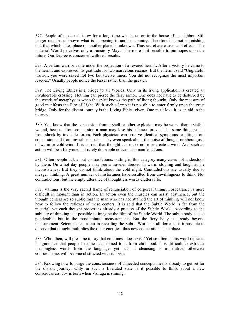577. People often do not know for a long time what goes on in the house of a neighbor. Still longer remains unknown what is happening in another country. Therefore it is not astonishing that that which takes place on another plane is unknown. Thus secret are causes and effects. The material World perceives only a transitory Maya. The more is it sensible to pin hopes upon the future. Our Decree is concerned with real results.

578. A certain warrior came under the protection of a revered hermit. After a victory he came to the hermit and expressed his gratitude for two marvelous rescues. But the hermit said "Ungrateful warrior, you were saved not two but twelve times. You did not recognize the most important rescues." Usually people notice the lesser rather than the greater.

579. The Living Ethics is a bridge to all Worlds. Only in its living application is created an invulnerable crossing. Nothing can pierce the fiery armor. One does not have to be disturbed by the weeds of metaphysics when the spirit knows the path of living thought. Only the measure of good manifests the Fire of Light. With such a lamp it is possible to enter firmly upon the great bridge. Only for the distant journey is the Living Ethics given. One must love it as an aid in the journey.

580. You know that the concussion from a shell or other explosion may be worse than a visible wound, because from concussion a man may lose his balance forever. The same thing results from shock by invisible forces. Each physician can observe identical symptoms resulting from concussion and from invisible shocks. They even speak about the noise of thought or about gusts of warm or cold wind. It is correct that thought can make noise or create a wind. And such an action will be a fiery one, but rarely do people notice such manifestations.

581. Often people talk about contradictions, putting in this category many cases not understood by them. On a hot day people may see a traveler dressed in warm clothing and laugh at the inconsistency. But they do not think about the cold night. Contradictions are usually due to meager thinking. A great number of misfortunes have resulted from unwillingness to think. Not contradictions, but the empty utterance of thoughtless words clutters life.

582. Vairaga is the very sacred flame of renunciation of corporeal things. Forbearance is more difficult in thought than in action. In action even the muscles can assist abstinence, but the thought centers are so subtle that the man who has not attained the art of thinking will not know how to follow the reflexes of these centers. It is said that the Subtle World is far from the material, yet each thought process is already a process of the Subtle World. According to the subtlety of thinking is it possible to imagine the film of the Subtle World. The subtle body is also ponderable, but in the most minute measurements. But the fiery body is already beyond measurement. Scientists can assist in revealing the Subtle World. In all domains is it possible to observe that thought multiplies the other energies; thus new cooperations take place.

583. Who, then, will presume to say that emptiness does exist? Yet so often is this word repeated in ignorance that people become accustomed to it from childhood. It is difficult to extricate meaningless words from the language, yet such a cleansing is imperative; otherwise consciousness will become obstructed with rubbish.

584. Knowing how to purge the consciousness of unneeded concepts means already to get set for the distant journey. Only in such a liberated state is it possible to think about a new consciousness. Joy is born when Vairaga is shining.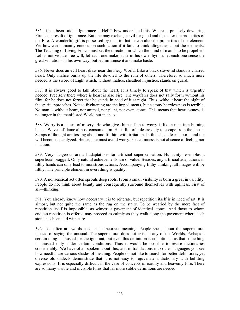585. It has been said—"Ignorance is Hell." Few understand this. Whereas, precisely devouring Fire is the result of ignorance. But one may exchange evil for good and thus alter the properties of the Fire. A wonderful gift is possessed by man in that he can alter the properties of the element. Yet how can humanity enter upon such action if it fails to think altogether about the elements? The Teaching of Living Ethics must set the direction in which the mind of man is to be propelled. Let us not violate free will, let each one make haste in his own rhythm, let each one sense the great vibrations in his own way, but let him sense it and make haste.

586. Never does an evil heart draw near the Fiery World. Like a black stove-lid stands a charred heart. Only malice burns up the life devoted to the ruin of others. Therefore, so much more needed is the sword of Light which, without malice, sheathed in justice, stands on guard.

587. It is always good to talk about the heart. It is timely to speak of that which is urgently needed. Precisely there where is heart is also Fire. The wayfarer does not sally forth without his flint, for he does not forget that he stands in need of it at night. Thus, without heart the night of the spirit approaches. Not so frightening are the impediments, but a stony heartlessness is terrible. No man is without heart, nor animal, nor plant, nor even stones. This means that heartlessness is no longer in the manifested World but in chaos.

588. Worry is a chasm of misery. He who gives himself up to worry is like a man in a burning house. Waves of flame almost consume him. He is full of a desire only to escape from the house. Scraps of thought are tossing about and fill him with irritation. In this chaos fear is born, and the will becomes paralyzed. Hence, one must avoid worry. Yet calmness is not absence of feeling nor inaction.

589. Very dangerous are all adaptations for artificial super-sensation. Humanity resembles a superficial braggart. Only natural achievements are of value. Besides, any artificial adaptations in filthy hands can only lead to monstrous actions. Accompanying filthy thinking, all images will be filthy. The principle element in everything is quality.

590. A nonsensical act often sprouts deep roots. From a small visibility is born a great invisibility. People do not think about beauty and consequently surround themselves with ugliness. First of all—thinking.

591. You already know how necessary it is to reiterate, but repetition itself is in need of art. It is almost, but not quite the same as the rug on the stairs. To be wearied by the mere fact of repetition itself is impossible, as witness a pavement of identical stones. And those to whom endless repetition is offered may proceed as calmly as they walk along the pavement where each stone has been laid with care.

592. Too often are words used in an incorrect meaning. People speak about the supernatural instead of saying the unusual. The supernatural does not exist in any of the Worlds. Perhaps a certain thing is unusual for the ignorant, but even this definition is conditional, as that something is unusual only under certain conditions. Thus it would be possible to revise dictionaries considerably. We have often spoken about this, and in translations into other languages you see how needful are various shades of meaning. People do not like to search for better definitions, yet diverse old dialects demonstrate that it is not easy to rejuvenate a dictionary with befitting expressions. It is especially difficult in the case of concepts of earthly and heavenly Fire. There are so many visible and invisible Fires that far more subtle definitions are needed.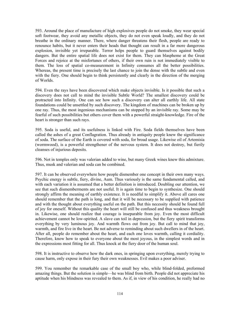593. Around the place of manufacture of high explosives people do not smoke, they wear special soft footwear, they avoid any metallic objects, they do not even speak loudly, and they do not breathe in the ordinary manner. There, where danger threatens their flesh, people are ready to renounce habits, but it never enters their heads that thought can result in a far more dangerous explosion, invisible yet irreparable. Terror helps people to guard themselves against bodily dangers. But the entire spatial life does not exist for them. They can blaspheme at the Great Forces and rejoice at the misfortunes of others, if their own ruin is not immediately visible to them. The loss of spatial co-measurement in Infinity consumes all the better possibilities. Whereas, the present time is precisely the last chance to join the dense with the subtle and even with the fiery. One should begin to think persistently and clearly in the direction of the merging of Worlds.

594. Even the rays have been discovered which make objects invisible. Is it possible that such a discovery does not call to mind the invisible Subtle World? The smallest discovery could be protracted into Infinity. One can see how such a discovery can alter all earthly life. All state foundations could be unsettled by such discovery. The kingdom of machines can be broken up by one ray. Thus, the most ingenious mechanisms can be stopped by an invisible ray. Some may be fearful of such possibilities but others cover them with a powerful straight-knowledge. Fire of the heart is stronger than such rays.

595. Soda is useful, and its usefulness is linked with Fire. Soda fields themselves have been called the ashes of a great Conflagration. Thus already in antiquity people knew the significance of soda. The surface of the Earth is covered with soda, for broad usage. Likewise oil of Artemisia (wormwood), is a powerful strengthener of the nervous system. It does not destroy, but fierily cleanses of injurious deposits.

596. Not in temples only was valerian added to wine, but many Greek wines knew this admixture. Thus, musk and valerian and soda can be combined.

597. It can be observed everywhere how people dismember one concept in their own many ways. Psychic energy is subtle, fiery, divine, Aum. Thus variously is the same fundamental called, and with each variation it is assumed that a better definition is introduced. Doubling our attention, we see that such dismemberments are not useful. It is again time to begin to synthesize. One should strongly affirm the meaning of earthly existence. It is needful to simplify it. Above all cares one should remember that the path is long, and that it will be necessary to be supplied with patience and with the thought about everything useful on the path. But this necessity should be found full of joy for oneself. Without this quality the heart will still be confused and thus weakness brought in. Likewise, one should realize that courage is inseparable from joy. Even the most difficult achievement cannot be low-spirited. A slave can toil in depression, but the fiery spirit transforms everything by very luminous joy. And warmth flows out from joy. But call to mind that joy, warmth, and fire live in the heart. Be not adverse to reminding about such dwellers in of the heart. After all, people do remember about the heart, and each one loves warmth, calling it cordiality. Therefore, know how to speak to everyone about the most joyous, in the simplest words and in the expressions most fitting for all. Thus knock at the fiery door of the human soul.

598. It is instructive to observe how the dark ones, in springing upon everything, merely trying to cause harm, only expose in their fury their own weaknesses. Evil makes a poor adviser.

599. You remember the remarkable case of the small boy who, while blind-folded, preformed amazing things. But the solution is simple—he was blind from birth. People did not appreciate his aptitude when his blindness was revealed to them. As if, in view of his condition, he really had no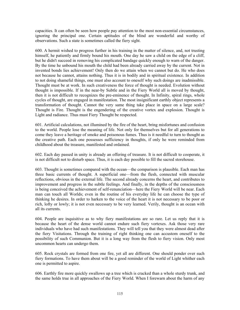capacities. It can often be seen how people pay attention to the most non-essential circumstances, ignoring the principal one. Certain aptitudes of the blind are wonderful and worthy of observations. Such a state is sometimes called the fiery sight.

600. A hermit wished to progress further in his training in the matter of silence, and, not trusting himself, he patiently and firmly bound his mouth. One day he saw a child on the edge of a cliff, but he didn't succeed in removing his complicated bandage quickly enough to warn of the danger. By the time he unbound his mouth the child had been already carried away by the current. Not in invented bonds lies achievement! Only then do we attain when we cannot but do. He who does not because he cannot, attains nothing. Thus it is in bodily and in spiritual existence. In addition to not doing shameful things, one must also account to oneself why such doings are inadmissible. Thought must be at work. In such creativeness the force of thought is needed. Evolution without thought is impossible. If in the near-by Subtle and in the Fiery World all is moved by thought, then it is not difficult to recognizes the pre-eminence of thought. In Infinity, spiral rings, whole cycles of thought, are engaged in manifestation. The most insignificant earthly object represents a transformation of thought. Cannot the very same thing take place in space on a large scale? Thought is Fire. Thought is the engendering of the creative vortex and explosion. Thought is Light and radiance. Thus must Fiery Thought be respected.

601. Artificial calculations, not illumined by the fire of the heart, bring misfortunes and confusion to the world. People lose the meaning of life. Not only for themselves but for all generations to come they leave a heritage of smoke and poisonous fumes. Thus is it needful to turn to thought as the creative path. Each one possesses sufficiency in thoughts, if only he were reminded from childhood about the treasure, manifested and ordained.

602. Each day passed in unity is already an offering of treasure. It is not difficult to cooperate, it is not difficult not to disturb space. Thus, it is each day possible to fill the sacred storehouse.

603. Thought is sometimes compared with the ocean—the comparison is plausible. Each man has three basic currents of thought. A superficial one—from the flesh, connected with muscular reflections, obvious in the external life. The second already concerns the heart, and contributes to improvement and progress in the subtle feelings. And finally, in the depths of the consciousness is being conceived the achievement of self-renunciation—here the Fiery World will be near. Each man can touch all Worlds; even in the routine of his everyday life he can choose the type of thinking he desires. In order to harken to the voice of the heart it is not necessary to be poor or rich, lofty or lowly; it is not even necessary to be very learned. Verily, thought is an ocean with all its currents.

604. People are inquisitive as to why fiery manifestations are so rare. Let us reply that it is because the heart of the dense world cannot endure such fiery vortexes. Ask those very rare individuals who have had such manifestations. They will tell you that they were almost dead after the fiery Visitations. Through the training of right thinking one can accustom oneself to the possibility of such Communion. But it is a long way from the flesh to fiery vision. Only most uncommon hearts can undergo them.

605. Rock crystals are formed from one fire, yet all are different. One should ponder over such fiery formations. To have them about will be a good reminder of the world of Light whither each one is permitted to aspire.

606. Earthly fire more quickly swallows up a tree which is cracked than a whole sturdy trunk, and the same holds true in all approaches of the Fiery World. When I forewarn about the harm of any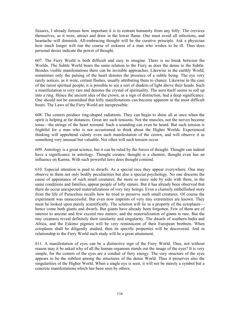fissures, I already foresee how important it is to restrain humanity from any folly. The crevices themselves, as it were, attract and draw in the lower flame. One must avoid all infections, and heartache will diminish. All-embracing thought will be the curative principle. Ask a physician how much longer will run the course of sickness of a man who wishes to be ill. Thus does personal desire indicate the power of thought.

607. The Fiery World is both difficult and easy to imagine. There is no break between the Worlds. The Subtle World bears the same relation to the Fiery as does the dense to the Subtle. Besides visible manifestations there can be invisible approaches. Likewise in the earthly World, sometimes only the pulsing of the heart denotes the presence of a subtle being. The eye very rarely notices, as it were, certain flashes, usually attributing them to chance. Likewise in the case of the rarest spiritual people, it is possible to see a sort of diadem of light above their heads. Such a manifestation is very rare and denotes the crystal of spirituality. The aura itself seems to roll up into a ring. Hence the ancient idea of the crown, as a sign of distinction, had a deep significance. One should not be astonished that lofty manifestations can become apparent in the most difficult hours. The Laws of the Fiery World are inexpressible.

608. The centers produce ring-shaped radiations. They can begin to shine all at once when the spirit is helping at far distances. Great are such tensions. Not the muscles, not the nerves become tense—the strings of the heart resound. Such a sounding can even be heard. But such tension is frightful for a man who is not accustomed to think about the Higher Worlds. Experienced thinking will apprehend calmly even such manifestation of the crown, and will observe it as something very unusual but valuable. Not often will such tension occur.

609. Astrology is a great science, but it can be ruled by the forces of thought. Thought can indeed have a significance in astrology. Thought creates; thought is a chemist; thought even has an influence on Karma. With such powerful laws does thought contend.

610. Especial attention is paid to dwarfs. As a special race they appear everywhere. One may observe in them not only bodily peculiarities but also a special psychology. No one discerns the cause of appearance of such small creatures; the more so since side by side with them, in the same conditions and families, appear people of lofty stature. But it has already been observed that there do occur unexpected materializations of very tiny beings. Even a clumsily embellished story from the life of Paracelsus recalls how he tried to preserve such small creatures. Of course the experiment was unsuccessful. But even now imprints of very tiny extremities are known. They must be looked upon purely scientifically. The solution will lie in a property of the ectoplasm hence come both giants and dwarfs. But giants have already been forgotten. Few of them are of interest to anyone and few exceed two meters; and the materialization of giants is rare. But the tiny creatures reveal definitely their similarity and singularity. The dwarfs of southern India and Africa, and the Eskimo pigmies will be very reminiscent of their European brethren. When ectoplasm shall be diligently studied, then its specific properties will be discovered. And in relationship to the Fiery World such study will be a great attainment.

611. A manifestation of eyes can be a distinctive sign of the Fiery World. Thus, not without reason may it be asked why of all the human organism stands out the image of the eyes? It is very simple, for the centers of the eyes are a conduit of fiery energy. The very structure of the eyes appears to be the subtlest among the structures of the dense World. Thus it preserves also the singularities of the Higher World. When a single eye is seen, it will not be merely a symbol but a concrete manifestations which has been seen by others.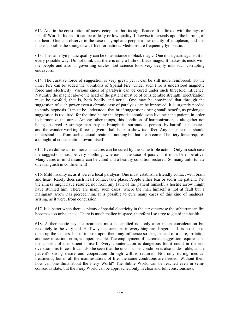612. And in the constitution of races, ectoplasm has its significance. It is linked with the rays of far-off Worlds. Indeed, it can be of lofty or low quality. Likewise it depends upon the burning of the heart. One can observe in the case of lymphatic people a low quality of ectoplasm, and this makes possible the strange dwarf-like formations. Mediums are frequently lymphatic.

613. The same lymphatic quality can be of assistance to black magic. One must guard against it in every possible way. Do not think that there is only a little of black magic. It makes its nests with the people and also in governing circles. Let science look very deeply into such corrupting endeavors.

614. The curative force of suggestion is very great, yet it can be still more reinforced. To the inner Fire can be added the vibrations of Spatial Fire. Under such Fire is understood magnetic force and electricity. Various kinds of paralysis can be cured under such threefold influence. Naturally the magnet above the head of the patient must be of considerable strength. Electrization must be twofold, that is, both bodily and aerial. One may be convinced that through the suggestion of such power even a chronic case of paralysis can be improved. It is urgently needed to study hypnosis. It must be understood that brief suggestions bring small benefit, as prolonged suggestion is required; for the time being the hypnotist should even live near the patient, in order to harmonize the auras. Among other things, this condition of harmonization is altogether not being observed. A strange man may be brought in, surrounded perhaps by harmful tendencies, and the wonder-working force is given a half-hour to show its effect. Any sensible man should understand that from such a casual treatment nothing but harm can come. The fiery force requires a thoughtful consideration toward itself.

615. Even dullness from nervous causes can be cured by the same triple action. Only in such case the suggestion must be very soothing, whereas in the case of paralysis it must be imperative. Many cases of mild insanity can be cured and a healthy condition restored. So many unfortunate ones languish in confinement!

616. Mild insanity is, as it were, a local paralysis. One must establish a friendly contact with brain and heart. Rarely does such heart contact take place. People either fear or scorn the patient. Yet the illness might have resulted not from any fault of the patient himself; a hostile arrow might have stunned him. There are many such cases, where the man himself is not at fault but a malignant arrow has pierced him. It is possible to cure many cases of this kind of madness, arising, as it were, from concussion.

617. It is better when there is plenty of spatial electricity in the air; otherwise the subterranean fire becomes too unbalanced. There is much malice in space, therefore I so urge to guard the health.

618. A therapeutic-psychic treatment must be applied not only after much consideration but resolutely to the very end. Half-way measures, as in everything are dangerous. It is possible to open up the centers, but to impose upon them any influence so that, instead of a cure, irritation and new infection set in, is impermissible. The employment of increased suggestion requires also the consent of the patient himself. Every counteraction is dangerous for it could in the end overstrain his forces. It can also be seen that the unconscious condition is also undesirable, as the patient's strong desire and cooperation through will is required. Not only during medical treatments, but in all the manifestations of life, the same conditions are needed. Without them how can one think about the Fiery World? The Subtle World can be reached even in semiconscious state, but the Fiery World can be approached only in clear and full consciousness.